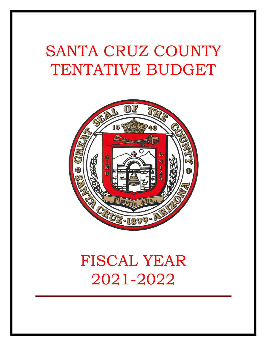# SANTA CRUZ COUNTY TENTATIVE BUDGET



# FISCAL YEAR 2021-2022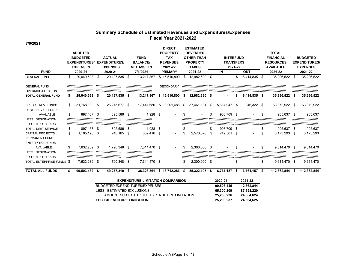#### **Summary Schedule of Estimated Revenues and Expenditures/Expenses Fiscal Year 2021-2022**

**7/6/2021**

|                           |     |                            |      |                            |     |                            |     | <b>DIRECT</b>    |    | <b>ESTIMATED</b>  |    |                  |         |              |                  |                  |                      |                             |
|---------------------------|-----|----------------------------|------|----------------------------|-----|----------------------------|-----|------------------|----|-------------------|----|------------------|---------|--------------|------------------|------------------|----------------------|-----------------------------|
|                           |     | <b>ADOPTED</b>             |      |                            |     |                            |     | <b>PROPERTY</b>  |    | <b>REVENUES</b>   |    |                  |         |              |                  | <b>TOTAL</b>     |                      |                             |
|                           |     | <b>BUDGETED</b>            |      | <b>ACTUAL</b>              |     | <b>FUND</b>                |     | <b>TAX</b>       |    | <b>OTHER THAN</b> |    | <b>INTERFUND</b> |         |              |                  | <b>FINANCIAL</b> |                      | <b>BUDGETED</b>             |
|                           |     | <b>EXPENDITURES/</b>       |      | <b>EXPENDITURES/</b>       |     | <b>BALANCE</b>             |     | <b>REVENUES</b>  |    | <b>PROPERTY</b>   |    | <b>TRANSFERS</b> |         |              |                  | <b>RESOURCES</b> | <b>EXPENDITURES/</b> |                             |
|                           |     | <b>EXPENSES</b>            |      | <b>EXPENSES</b>            |     | <b>NET ASSETS</b>          |     | 2021-22          |    | <b>TAXES</b>      |    |                  | 2021-22 |              | <b>AVAILABLE</b> |                  | <b>EXPENSES</b>      |                             |
| <b>FUND</b>               |     | 2020-21                    |      | 2020-21                    |     | 7/1/2021                   |     | <b>PRIMARY</b>   |    | 2021-22           |    | IN               |         | <b>OUT</b>   |                  | 2021-22          | 2021-22              |                             |
| <b>GENERAL FUND</b>       | \$  | 29,040,598                 | -\$  | 20,127,535                 | \$  | 13,217,867                 |     | \$15,510,800     |    | 12,982,690        | \$ |                  |         | 6,414,835    | -\$              | 35,296,522       | \$                   | 35,296,522                  |
| <b>GENERAL FUND</b>       |     | ,,,,,,,,,,,,,,,,,,,,,,,,,, |      | ,,,,,,,,,,,,,,,,,,,,,,,,,, |     | ,,,,,,,,,,,,,,,,,,,,,,,,,, |     | <b>SECONDARY</b> |    |                   |    |                  |         |              |                  |                  |                      | ,,,,,,,,,,,,,,,,,,,,,,,,,,  |
| <b>OVERRIDE-ELECTION</b>  |     | ,,,,,,,,,,,,,,,,,,,,,,,,,  |      | ,,,,,,,,,,,,,,,,,,,,,,,,,, |     | ,,,,,,,,,,,,,,,,,,,,,,,,,, |     |                  |    |                   |    |                  |         |              |                  |                  |                      | ,,,,,,,,,,,,,,,,,,,,,,,,,,  |
| <b>TOTAL GENERAL FUND</b> |     | 29,040,598                 | - \$ | 20,127,535                 | -\$ | 13,217,867                 | \$  | 15,510,800       |    | 12,982,690 \$     |    |                  |         | 6.414.835 \$ |                  | 35,296,522       | Ŝ.                   | 35,296,522                  |
| SPECIAL REV. FUNDS        | \$. | 51,768,002 \$              |      | 26,215,677 \$              |     | 17,441,680                 | \$  | 3,201,486        | -S | 37,461,131        | \$ | 5,614,947        | - \$    | 346,322 \$   |                  | 63,372,922 \$    |                      | 63,372,922                  |
| <b>DEBT SERVICE FUNDS</b> |     |                            |      |                            |     |                            |     |                  |    |                   |    |                  |         |              |                  |                  |                      |                             |
| <b>AVAILABLE</b>          | \$  | 897,467 \$                 |      | 895,586                    | -\$ | $1,928$ \$                 |     |                  |    |                   | \$ | 903,709 \$       |         |              | \$               | 905,637          | \$                   | 905,637                     |
| <b>LESS: DESIGNATION</b>  |     | ,,,,,,,,,,,,,,,,,,,,,,,,,, |      | ,,,,,,,,,,,,,,,,,,,,,,,,,, |     | ,,,,,,,,,,,,,,,,,,,,,,,,,, |     |                  |    |                   |    |                  |         |              |                  |                  |                      | ,,,,,,,,,,,,,,,,,,,,,,,,,,  |
| <b>FOR FUTURE YEARS</b>   |     | ,,,,,,,,,,,,,,,,,,,,,,,,,  |      | ,,,,,,,,,,,,,,,,,,,,,,,,,, |     | ,,,,,,,,,,,,,,,,,,,,,,,,,, |     |                  |    |                   |    |                  |         |              |                  |                  |                      | /////////////////////////// |
| <b>TOTAL DEBT SERVICE</b> | S   | 897,467 \$                 |      | 895,586                    | -\$ | 1,928                      | -\$ |                  | S  |                   | S  | 903,709          | - \$    |              | \$               | 905,637          | \$                   | 905,637                     |
| <b>CAPITAL PROJECTS</b>   | \$  | 1,165,126 \$               |      | 248,165                    | -\$ | 352,416                    | \$  | $\blacksquare$   |    | 2,578,376         | \$ | 242,501          | - \$    |              |                  | 3,173,293        | \$                   | 3,173,293                   |
| PERMANENT FUNDS           |     |                            |      |                            |     |                            |     |                  |    |                   |    |                  |         |              |                  |                  |                      |                             |
| <b>ENTERPRISE FUNDS</b>   |     |                            |      |                            |     |                            |     |                  |    |                   |    |                  |         |              |                  |                  |                      |                             |
| <b>AVAILABLE</b>          | \$  | 7,632,289 \$               |      | 1,790,348                  | \$  | 7,314,470 \$               |     |                  | S  | 2,300,000 \$      |    |                  | S       |              | S                | 9,614,470        | \$                   | 9,614,470                   |
| <b>LESS: DESIGNATION</b>  |     | ,,,,,,,,,,,,,,,,,,,,,,,,,, |      | ,,,,,,,,,,,,,,,,,,,,,,,,,  |     | ,,,,,,,,,,,,,,,,,,,,,,,,,, |     |                  |    |                   |    |                  |         |              |                  |                  |                      | ,,,,,,,,,,,,,,,,,,,,,,,,,,  |
| <b>FOR FUTURE YEARS</b>   |     | ,,,,,,,,,,,,,,,,,,,,,,,,,  |      | ,,,,,,,,,,,,,,,,,,,,,,,,,, |     | ,,,,,,,,,,,,,,,,,,,,,,,,,, |     |                  |    |                   |    |                  |         |              |                  |                  |                      | /////////////////////////// |
| TOTAL ENTERPRISE FUNDS \$ |     | 7,632,289 \$               |      | 1,790,348                  | -\$ | 7,314,470 \$               |     |                  |    | 2,300,000 \$      |    |                  | \$      |              | S                | 9,614,470        | Ŝ.                   | 9,614,470                   |

**TOTAL ALL FUNDS 90,503,482 \$ 49,277,310 \$ 38,328,361 \$ 18,712,286 \$ 55,322,197 \$ 6,761,157 \$ 6,761,157 \$ 112,362,844 \$ 112,362,844 \$** 

| <b>EXPENDITURE LIMITATION COMPARISON</b>     | 2020-21    | 2021-22     |
|----------------------------------------------|------------|-------------|
| BUDGETED EXPENDITURES/EXPENSES               | 90.503.445 | 112.362.844 |
| LESS: ESTIMATED EXCLUSIONS                   | 65,300,209 | 87,698,220  |
| AMOUNT SUBJECT TO THE EXPENDITURE LIMITATION | 25.203.236 | 24.664.624  |
| <b>EEC EXPENDITURE LIMITATION</b>            | 25,203,237 | 24.664.625  |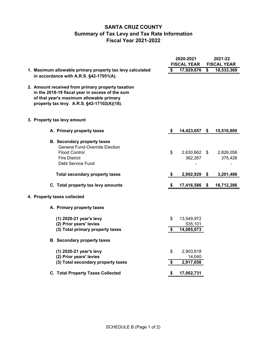## **SANTA CRUZ COUNTY Summary of Tax Levy and Tax Rate Information Fiscal Year 2021-2022**

|                                                                                                                                                                                                 | 2020-2021<br><b>FISCAL YEAR</b> |                                     | 2021-22<br><b>FISCAL YEAR</b> |  |  |
|-------------------------------------------------------------------------------------------------------------------------------------------------------------------------------------------------|---------------------------------|-------------------------------------|-------------------------------|--|--|
| 1. Maximum allowable primary property tax levy calculated<br>in accordance with A.R.S. §42-17051(A).                                                                                            | \$                              | 17,929,676                          | \$<br>18,533,369              |  |  |
| 2. Amount received from primary property taxation<br>in the 2018-19 fiscal year in excess of the sum<br>of that year's maximum allowable primary<br>property tax levy. A.R.S. §42-17102(A)(18). |                                 |                                     |                               |  |  |
| 3. Property tax levy amount                                                                                                                                                                     |                                 |                                     |                               |  |  |
| A. Primary property taxes                                                                                                                                                                       | \$                              | 14,423,657                          | \$<br>15,510,800              |  |  |
| <b>B.</b> Secondary property taxes<br><b>General Fund-Override Election</b><br><b>Flood Control</b><br><b>Fire District</b><br>Debt Service Fund                                                | \$                              | 2,630,662 \$<br>362,267             | 2,826,058<br>375,428          |  |  |
| <b>Total secondary property taxes</b>                                                                                                                                                           | \$                              | 2,992,929 \$                        | 3,201,486                     |  |  |
| C. Total property tax levy amounts                                                                                                                                                              | \$                              | 17,416,586                          | \$<br>18,712,286              |  |  |
| 4. Property taxes collected                                                                                                                                                                     |                                 |                                     |                               |  |  |
| A. Primary property taxes                                                                                                                                                                       |                                 |                                     |                               |  |  |
| (1) 2020-21 year's levy<br>(2) Prior years' levies<br>(3) Total primary property taxes                                                                                                          | \$<br>\$                        | 13,549,972<br>535,101<br>14,085,073 |                               |  |  |
| <b>B.</b> Secondary property taxes                                                                                                                                                              |                                 |                                     |                               |  |  |
| (1) 2020-21 year's levy<br>(2) Prior years' levies<br>(3) Total secondary property taxes                                                                                                        | \$<br>\$                        | 2,903,618<br>14,040<br>2,917,658    |                               |  |  |
| <b>C. Total Property Taxes Collected</b>                                                                                                                                                        | \$                              | 17,002,731                          |                               |  |  |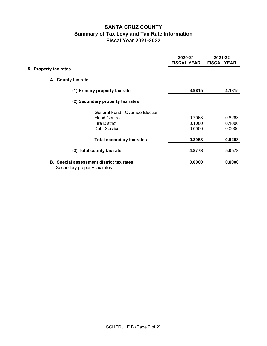## **SANTA CRUZ COUNTY Summary of Tax Levy and Tax Rate Information Fiscal Year 2021-2022**

|                       |                                                                                 | 2020-21<br><b>FISCAL YEAR</b> | 2021-22<br><b>FISCAL YEAR</b> |
|-----------------------|---------------------------------------------------------------------------------|-------------------------------|-------------------------------|
| 5. Property tax rates |                                                                                 |                               |                               |
|                       | A. County tax rate                                                              |                               |                               |
|                       | (1) Primary property tax rate                                                   | 3.9815                        | 4.1315                        |
|                       | (2) Secondary property tax rates                                                |                               |                               |
|                       | <b>General Fund - Override Election</b>                                         |                               |                               |
|                       | <b>Flood Control</b>                                                            | 0.7963                        | 0.8263                        |
|                       | <b>Fire District</b>                                                            | 0.1000                        | 0.1000                        |
|                       | Debt Service                                                                    | 0.0000                        | 0.0000                        |
|                       | <b>Total secondary tax rates</b>                                                | 0.8963                        | 0.9263                        |
|                       | (3) Total county tax rate                                                       | 4.8778                        | 5.0578                        |
|                       | <b>B.</b> Special assessment district tax rates<br>Secondary property tax rates | 0.0000                        | 0.0000                        |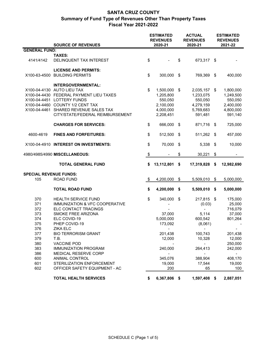|                               | <b>SOURCE OF REVENUES</b>               |                             | <b>ESTIMATED</b><br><b>REVENUES</b><br>2020-21 |     | <b>ACTUAL</b><br><b>REVENUES</b><br>2020-21 |      | <b>ESTIMATED</b><br><b>REVENUES</b><br>2021-22 |
|-------------------------------|-----------------------------------------|-----------------------------|------------------------------------------------|-----|---------------------------------------------|------|------------------------------------------------|
| <b>GENERAL FUND:</b>          |                                         |                             |                                                |     |                                             |      |                                                |
|                               | <b>TAXES:</b>                           |                             |                                                |     |                                             |      |                                                |
| 4141/4142                     | DELINQUENT TAX INTEREST                 | \$                          |                                                | \$  | 673,317 \$                                  |      |                                                |
|                               | <b>LICENSE AND PERMITS:</b>             |                             |                                                |     |                                             |      |                                                |
| X100-63-4500                  | <b>BUILDING PERMITS</b>                 | \$                          | 300,000                                        | \$  | 769,369                                     | \$   | 400,000                                        |
|                               | INTERGOVERNMENTAL:                      |                             |                                                |     |                                             |      |                                                |
|                               | X100-04-4130 AUTO LIEU TAX              | \$                          | 1,500,000                                      | -\$ | 2,035,157 \$                                |      | 1,800,000                                      |
|                               | X100-04-4430 FEDERAL PAYMENT LIEU TAXES |                             | 1,205,800                                      |     | 1,233,075                                   |      | 1,249,500                                      |
|                               | X100-04-4451 LOTTERY FUNDS              |                             | 550,050                                        |     | 550,050                                     |      | 550,050                                        |
|                               | X100-04-4460 COUNTY 1/2 CENT TAX        |                             | 2,100,000                                      |     | 4,279,159                                   |      | 2,400,000                                      |
| X100-04-4461                  | SHARED REVENUE SALES TAX                |                             | 4,000,000                                      |     | 5,769,683                                   |      | 4,800,000                                      |
|                               | CITY/STATE/FEDERAL REIMBURSEMENT        |                             | 2,208,451                                      |     | 591,481                                     |      | 591,140                                        |
|                               | <b>CHARGES FOR SERVICES:</b>            | \$                          | 666,000                                        | \$  | 871,716                                     | -\$  | 725,000                                        |
| 4600-4619                     | <b>FINES AND FORFEITURES:</b>           | \$                          | 512,500                                        | \$  | 511,262                                     | \$   | 457,000                                        |
|                               | X100-04-4910 INTEREST ON INVESTMENTS:   | \$                          | 70,000                                         | \$  | 5,338                                       | \$   | 10,000                                         |
| 4980/4985/4990 MISCELLANEOUS: |                                         | $\boldsymbol{\hat{\theta}}$ | $\blacksquare$                                 | \$  | 30,221                                      | \$   | $\blacksquare$                                 |
|                               | <b>TOTAL GENERAL FUND</b>               | \$                          | 13,112,801                                     | \$  | 17,319,828                                  | \$   | 12,982,690                                     |
| <b>SPECIAL REVENUE FUNDS:</b> |                                         |                             |                                                |     |                                             |      |                                                |
| 105                           | <b>ROAD FUND</b>                        | \$                          | 4,200,000                                      | \$  | 5,509,010                                   | \$   | 5,000,000                                      |
|                               |                                         |                             |                                                |     |                                             |      |                                                |
|                               | <b>TOTAL ROAD FUND</b>                  | \$                          | 4,200,000                                      | \$  | 5,509,010                                   | \$   | 5,000,000                                      |
| 370                           | <b>HEALTH SERVICE FUND</b>              | \$                          | 340,000                                        | \$  | 217,815                                     | - \$ | 175,000                                        |
| 371                           | IMMUNIZATION & VFC COOPERATIVE          |                             |                                                |     | (0.03)                                      |      | 25,000                                         |
| 372                           | ELC CONTACT TRACINGS                    |                             |                                                |     |                                             |      | 716,079                                        |
| 373                           | SMOKE FREE ARIZONA                      |                             | 37,000                                         |     | 5,114                                       |      | 37,000                                         |
| 374                           | ELC COVID-19                            |                             | 5,000,000                                      |     | 600,542                                     |      | 801,264                                        |
| 375                           | PHEP COVID-19                           |                             | 173,092                                        |     | (8,061)                                     |      |                                                |
| 376                           | ZIKA ELC                                |                             |                                                |     |                                             |      |                                                |
| 377                           | <b>BIO TERRORISM GRANT</b>              |                             | 201,438                                        |     | 100,743                                     |      | 201,438                                        |
| 379                           | T.B.                                    |                             | 12,000                                         |     | 10,328                                      |      | 12,000                                         |
| 380                           | <b>VACCINE POD</b>                      |                             |                                                |     |                                             |      | 250,000                                        |
| 383                           | <b>IMMUNIZATION PROGRAM</b>             |                             | 240,000                                        |     | 264,413                                     |      | 242,000                                        |
| 386                           | MEDICAL RESERVE CORP                    |                             |                                                |     |                                             |      |                                                |
| 600                           | <b>ANIMAL CONTROL</b>                   |                             | 345,076                                        |     | 388,904                                     |      | 408,170                                        |
| 601                           | STERILIZATION ENFORCEMENT               |                             | 19,000                                         |     | 17,544                                      |      | 19,000                                         |
| 602                           | OFFICER SAFETY EQUIPMENT - AC           |                             | 200                                            |     | 65                                          |      | 100                                            |
|                               | <b>TOTAL HEALTH SERVICES</b>            | \$                          | 6,367,806 \$                                   |     | 1,597,408 \$                                |      | 2,887,051                                      |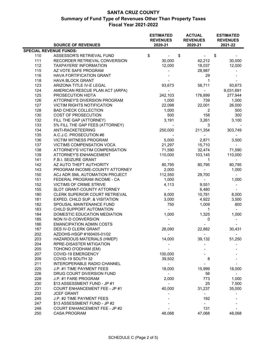|     | <b>SOURCE OF REVENUES</b>            | <b>ESTIMATED</b><br><b>REVENUES</b><br>2020-21 | <b>ACTUAL</b><br><b>REVENUES</b><br>2020-21 | <b>ESTIMATED</b><br><b>REVENUES</b><br>2021-22 |
|-----|--------------------------------------|------------------------------------------------|---------------------------------------------|------------------------------------------------|
|     | <b>SPECIAL REVENUE FUNDS:</b>        |                                                |                                             |                                                |
| 110 | ASSESSOR'S RETRIEVAL FUND            | \$                                             | \$                                          | \$                                             |
| 111 | RECORDER RETRIEVAL CONVERSION        | 30,000                                         | 42,212                                      | 30,000                                         |
| 112 | <b>TAXPAYERS' INFORMATION</b>        | 12,000                                         | 18,037                                      | 12,000                                         |
| 115 | AZ VOTE SAFE PROGRAM                 |                                                | 28,987                                      |                                                |
| 116 | HAVA FORTIFICATION GRANT             |                                                | 29                                          |                                                |
| 118 | <b>HAVA BLOCK GRANT</b>              |                                                | $\mathbf{1}$                                |                                                |
| 123 | ARIZONA TITLE IV-E LEGAL             | 93,673                                         | 58,711                                      | 93,673                                         |
| 124 | AMERICAN RESCUE PLAN ACT (ARPA)      | $\overline{\phantom{a}}$                       |                                             | 9,031,691                                      |
| 125 | PROSECUTION HIDTA                    | 242,103                                        | 176,899                                     | 277,944                                        |
| 126 | ATTORNEY'S DIVERSION PROGRAM         | 1,000                                          | 739                                         | 1,000                                          |
| 127 | <b>VICTIM RIGHTS NOTIFICATION</b>    | 22,098                                         | 22,001                                      | 26,000                                         |
| 128 | <b>BAD CHECK COLLECTION</b>          | 1,000                                          | 2                                           | 500                                            |
| 130 | COST OF PROSECUTION                  | 500                                            | 158                                         | 300                                            |
| 132 | FILL THE GAP (ATTORNEY)              | 3,191                                          | 3,261                                       | 3,100                                          |
| 133 | 5% FILL THE GAP FEES (ATTORNEY)      |                                                | 3                                           |                                                |
| 134 | ANTI-RACKETEERING                    | 250,000                                        | 211,354                                     | 303,749                                        |
| 135 | A.C.J.C. PROSECUTION #6              |                                                |                                             |                                                |
| 136 | VICTIM WITNESS PROGRAM               | 5,000                                          | 2,871                                       | 3,500                                          |
| 137 | <b>VICTIMS COMPENSATION VOCA</b>     | 21,297                                         | 15,710                                      |                                                |
| 138 | ATTORNEY'S VICTIM COMPENSATION       | 71,590                                         | 32,474                                      | 71,590                                         |
| 139 | <b>ATTORNEY'S ENHANCEMENT</b>        | 110,000                                        | 103,145                                     | 110,000                                        |
| 141 | F.B.I. SEIZURE GRANT                 | $\overline{\phantom{a}}$                       | 1                                           | $\blacksquare$                                 |
| 142 | AZ AUTO THEFT AUTHORITY              | 80,795                                         | 80,795                                      | 80,795                                         |
| 143 | PROGRAM INCOME-COUNTY ATTORNEY       | 2,000                                          | $\overline{\phantom{0}}$                    | 1,000                                          |
| 150 | ACJ ADR SML AUTOMATION PROJECT       | 112,550                                        | 29,700                                      | $\sim$                                         |
| 151 | FEDERAL PROGRAM INCOME - CA          | 1,000                                          | $\blacksquare$                              | 1,000                                          |
| 152 | VICTIMS OF CRIME STRIVE              | 4,113                                          | 9,551                                       |                                                |
| 155 | SLOT GRANT-COUNTY ATTORNEY           | $\overline{\phantom{0}}$                       | 6,480                                       |                                                |
| 180 | CLERK SUPERIOR COURT RETRIEVAL       | 8,000                                          | 10,781                                      | 8,000                                          |
| 181 | EXPED. CHILD SUP. & VISITATION       | 3,000                                          | 4,922                                       | 3,500                                          |
| 182 | SPOUSAL MAINTENANCE FUND             | 750                                            | 1,009                                       | 800                                            |
| 183 | CHILD SUPPORT AUTOMATION             |                                                | 1                                           |                                                |
| 184 | DOMESTIC EDUCATION MEDIATION         | 1,000                                          | 1,325                                       | 1,000                                          |
| 185 | NON IV-D CONVERSION                  |                                                | 0                                           |                                                |
| 186 | <b>EMANCIPATION ADMIN COSTS</b>      |                                                |                                             |                                                |
| 187 | DES IV-D CLERK GRANT                 | 28,090                                         | 22,882                                      | 30,431                                         |
| 202 | AZDOHS-HSGP #160405-01/02            |                                                |                                             |                                                |
| 203 | HAZARDOUS MATERIALS (HMEP)           | 14,000                                         | 39,132                                      | 51,250                                         |
| 204 | RPRE-DISASTER MITIGATION             |                                                |                                             |                                                |
| 205 | TOHONO O'ODHAM (EM)                  |                                                |                                             |                                                |
| 207 | COVID-19 EMERGENCY                   | 100,000                                        |                                             |                                                |
| 209 | COVID-19 SOUTH 32                    | 39,502                                         | 8                                           |                                                |
| 211 | <b>INTEROPERABLE RADIO CHANNEL</b>   |                                                |                                             |                                                |
| 225 | J.P. #1 TIME PAYMENT FEES            | 18,000                                         | 15,999                                      | 18,000                                         |
| 226 | DRUG COURT DIVERSION FUND            |                                                | 56                                          |                                                |
| 228 | J.P. #1 FARE PROGRAM                 | 2,000                                          | 773                                         | 1,000                                          |
| 230 | \$13 ASSESSMENT FUND - JP #1         |                                                | 25                                          | 7,500                                          |
| 231 | <b>COURT ENHANCEMENT FEE - JP #1</b> | 40,000                                         | 31,237                                      | 35,000                                         |
| 232 | <b>JCEF GRANT</b>                    |                                                | $\overline{\phantom{0}}$                    |                                                |
| 245 | J.P. #2 TIME PAYMENT FEES            |                                                | 192                                         |                                                |
| 247 | \$13 ASSESSMENT FUND - JP #2         |                                                |                                             |                                                |
| 248 | <b>COURT ENHANCEMENT FEE - JP #2</b> |                                                | 131                                         |                                                |
| 250 | <b>CASA PROGRAM</b>                  | 48,068                                         | 47,068                                      | 48,068                                         |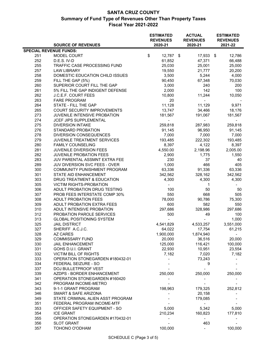|     | <b>SOURCE OF REVENUES</b>          | <b>ESTIMATED</b><br><b>REVENUES</b><br>2020-21 | <b>ACTUAL</b><br><b>REVENUES</b><br>2020-21 | <b>ESTIMATED</b><br><b>REVENUES</b><br>2021-22 |
|-----|------------------------------------|------------------------------------------------|---------------------------------------------|------------------------------------------------|
|     | <b>SPECIAL REVENUE FUNDS:</b>      |                                                |                                             |                                                |
| 251 | MODEL COURT                        | \$<br>$12,787$ \$                              | 17,933 \$                                   | 12,786                                         |
| 252 | D.E.S. IV-D                        | 61,852                                         | 47,371                                      | 66,488                                         |
| 255 | TRAFFIC CASE PROCESSING FUND       | 25,030                                         | 25,001                                      | 25,000                                         |
| 257 | <b>LAW LIBRARY</b>                 | 19,550                                         | 21,777                                      | 20,200                                         |
| 258 | DOMESTIC EDUCATION CHILD ISSUES    | 3,500                                          | 5,244                                       | 4,000                                          |
| 259 | FILL THE GAP (5%)                  | 90,450                                         | 67,348                                      | 70,030                                         |
| 260 | SUPERIOR COURT FILL THE GAP        | 3,000                                          | 240                                         | 200                                            |
| 261 | 5% FILL THE GAP INDIGENT DEFENSE   | 2,000                                          | 142                                         | 100                                            |
| 262 | J.C.E.F. COURT FEES                | 10,800                                         | 11,244                                      | 10,050                                         |
| 263 | <b>FARE PROGRAM</b>                | 20                                             |                                             |                                                |
| 264 | STATE - FILL THE GAP               | 11,128                                         | 11,129                                      | 9,971                                          |
| 265 | <b>COURT SECURITY IMPROVEMENTS</b> | 13,747                                         | 34,466                                      | 18,176                                         |
| 273 | JUVENILE INTENSIVE PROBATION       | 181,567                                        | 191,067                                     | 181,567                                        |
| 274 | JCEF JIPS SUPPLEMENTAL             |                                                |                                             |                                                |
| 275 | <b>DIVERSION INTAKE</b>            | 259,818                                        | 287,983                                     | 259,818                                        |
| 276 | STANDARD PROBATION                 | 91,145                                         | 96,950                                      | 91,145                                         |
| 278 | <b>DIVERSION CONSEQUENCES</b>      | 7,000                                          | 7,000                                       | 7,000                                          |
| 279 | JUVENILE TREATMENT SERVICES        | 193,485                                        | 222,302                                     | 193,485                                        |
| 280 | <b>FAMILY COUNSELING</b>           | 8,397                                          | 4,122                                       | 8,397                                          |
| 281 | JUVENILE DIVERSION FEES            | 4,550.00                                       | 2,198.96                                    | 2,005.00                                       |
| 282 | JUVENILE PROBATION FEES            | 2,900                                          | 1,775                                       | 1,550                                          |
| 283 | JUV PARENTAL ASSMNT EXTRA FEE      | 230                                            | 37                                          | 40                                             |
| 289 | JUV DIVERSION SVC FEES - OVER      | 1,000                                          | 466                                         | 405                                            |
| 300 | COMMUNITY PUNISHMENT PROGRAM       | 63,336                                         | 91,336                                      | 63,336                                         |
| 301 | STATE AID ENHANCEMENT              | 342,562                                        | 328,162                                     | 342,562                                        |
| 303 | DRUG TREATMENT & EDUCATION         | 4,300                                          | 4,300                                       | 4,300                                          |
| 305 | <b>VICTIM RIGHTS-PROBATION</b>     | $\overline{\phantom{0}}$                       | 1                                           |                                                |
| 306 | ADULT PROBATION DRUG TESTING       | 100                                            | 50                                          | 50                                             |
| 307 | PROB FEES INTERSTATE COMP 30%      | 550                                            | 668                                         | 505                                            |
| 308 | <b>ADULT PROBATION FEES</b>        | 78,000                                         | 90,786                                      | 75,300                                         |
| 309 | ADULT PROBATION EXTRA FEES         | 600                                            | 582                                         | 550                                            |
| 310 | ADULT INTENSIVE PROBATION          | 297,686                                        | 328,986                                     | 297,686                                        |
| 312 | PROBATION PAROLE SERVICES          | 500                                            | 49                                          | 100                                            |
| 313 | <b>GLOBAL POSITIONING SYSTEM</b>   |                                                |                                             | 1,000                                          |
| 325 | <b>JAIL DISTRICT</b>               | 4,541,829                                      | 4,533,257                                   | 3,551,000                                      |
| 327 | SHERIFF A.C.J.C.                   | 64,022                                         | 17,754                                      | 61,215                                         |
| 328 | <b>AZ CARES</b>                    | 1,900,000                                      | 1,874,940                                   |                                                |
| 329 | <b>COMMISSARY FUND</b>             | 20,000                                         | 36,516                                      | 20,000                                         |
| 330 | <b>JAIL ENHANCEMENT</b>            | 125,000                                        | 116,421                                     | 100,000                                        |
| 331 | GOHS D.U.I. GRANT                  | 22,930                                         | 10,951                                      | 23,554                                         |
| 332 | <b>VICTIM BILL OF RIGHTS</b>       | 7,182                                          | 7,020                                       | 7,182                                          |
| 333 | OPERATION STONEGARDEN #180432-01   |                                                |                                             |                                                |
| 334 | FEDERAL SEIZURE - SO               |                                                | 73,243<br>9                                 |                                                |
| 337 | DOJ BULLETPROOF VEST               |                                                |                                             |                                                |
|     |                                    |                                                |                                             |                                                |
| 339 | AZDPS - BORDER ENHANCEMENT         | 250,000                                        | 250,000                                     | 250,000                                        |
| 341 | OPERATION STONEGARDEN #160420      |                                                |                                             |                                                |
| 342 | PROGRAM INCOME-METRO               |                                                |                                             |                                                |
| 343 | 9-1-1 GRANT PROGRAM                | 198,963                                        | 179,325                                     | 252,812                                        |
| 346 | SMART & SAFE ARIZONA               |                                                | 20,158                                      |                                                |
| 349 | STATE CRIMINAL ALIEN ASST PROGRAM  |                                                | 179,085                                     |                                                |
| 351 | FEDERAL PROGRAM INCOME-MTF         |                                                |                                             |                                                |
| 353 | OFFICER SAFETY EQUIPMENT - SO      | 5,000                                          | 5,342                                       | 5,000                                          |
| 354 | <b>ICE GRANT</b>                   | 210,234                                        | 160,823                                     | 177,810                                        |
| 355 | OPERATION STONEGARDEN #170432-01   |                                                |                                             |                                                |
| 356 | <b>SLOT GRANT</b>                  |                                                | 463                                         |                                                |
| 357 | TOHONO O'ODHAM                     | 100,000                                        |                                             | 100,000                                        |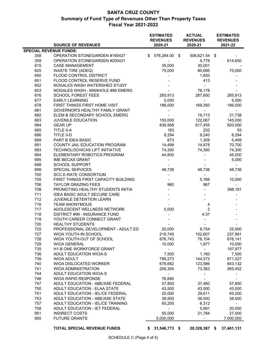|                               | <b>SOURCE OF REVENUES</b>            |    | <b>ESTIMATED</b><br><b>REVENUES</b><br>2020-21 | <b>ACTUAL</b><br><b>REVENUES</b><br>2020-21 | <b>ESTIMATED</b><br><b>REVENUES</b><br>2021-22 |
|-------------------------------|--------------------------------------|----|------------------------------------------------|---------------------------------------------|------------------------------------------------|
| <b>SPECIAL REVENUE FUNDS:</b> |                                      |    |                                                |                                             |                                                |
| 358                           | OPERATION STONEGARDEN #190427        | \$ | 576,264.00                                     | \$<br>506,621.54 \$                         |                                                |
| 359                           | OPERATION STONEGARDEN #200431        |    |                                                | 4,776                                       | 614,650                                        |
| 615                           | <b>CASE MANAGEMENT</b>               |    | 35,000                                         | 30,001                                      |                                                |
| 625                           | <b>WASTE TIRE (ADEQ)</b>             |    | 75,000                                         | 80,695                                      | 75,000                                         |
| 650                           | <b>FLOOD CONTROL DISTRICT</b>        |    |                                                | 1,830                                       |                                                |
| 651                           | FLOOD CONTROL RESERVE FUND           |    |                                                | 413                                         |                                                |
| 652                           | NOGALES WASH WATERSHED STUDY         |    |                                                |                                             |                                                |
| 653                           | NOGALES WASH - MANHOLE #89 EMERG     |    |                                                | 76,178                                      |                                                |
| 676                           | <b>SCHOOL FOREST FEES</b>            |    | 285,913                                        | 287,850                                     | 285,913                                        |
| 677                           | <b>EARLY LEARNING</b>                |    | 5,000                                          |                                             | 5,000                                          |
| 678                           | <b>FIRST THINGS FIRST HOME VISIT</b> |    | 186,000                                        | 169,393                                     | 186,000                                        |
| 681                           | GOVERNOR'S HEALTHY FAMILY GRANT      |    |                                                |                                             |                                                |
| 682                           | ELEM & SECONDARY SCHOOL EMERG        |    |                                                | 19,713                                      | 21,738                                         |
| 683                           | <b>JUVENILE EDUCATION</b>            |    | 155,000                                        | 122,067                                     | 145,000                                        |
| 684                           | <b>GEAR UP</b>                       |    | 836,958                                        | 617,455                                     | 820,000                                        |
| 685                           | TITLE II-A                           |    | 183                                            | 232                                         | 93                                             |
| 686                           | TITLE II-D                           |    | 8,294                                          | 9,240                                       | 8,294                                          |
| 689                           | PART B IDEA BASIC                    |    | 873                                            | 1,309                                       | 5,499                                          |
| 691                           | COUNTY JAIL EDUCATION PROGRAM        |    | 14,499                                         | 14,878                                      | 70,700                                         |
| 693                           | TECHNOLOCHICAS LIFT INITIATIVE       |    | 74,300                                         | 74,300                                      | 74,300                                         |
| 694                           | ELEMENTARY ROBOTICS PROGRAM          |    | 44,800                                         |                                             | 45,000                                         |
|                               | <b>IME BECAS GRANT</b>               |    |                                                |                                             |                                                |
| 695<br>698                    |                                      |    |                                                |                                             | 5,000                                          |
|                               | <b>SCHOOL SUPPORT</b>                |    |                                                |                                             |                                                |
| 699                           | SPECIAL SERVICES                     |    | 48,736                                         | 48,736                                      | 48,736                                         |
| 700                           | <b>SCC E-RATE CONSORTIUM</b>         |    |                                                | $\blacksquare$                              |                                                |
| 705                           | FIRST THINGS FIRST CAPACITY BUILDING |    |                                                | 5,766                                       | 10,000                                         |
| 706                           | <b>TAYLOR GRAZING FEES</b>           |    | 960                                            | 967                                         |                                                |
| 708                           | PROMOTING HEALTHY STUDENTS INITIA    |    |                                                |                                             | 398,181                                        |
| 711                           | <b>IDEA BASIC ADULT SECURE CARE</b>  |    |                                                |                                             |                                                |
| 712                           | JUVENILE DETENTION LEARN             |    |                                                |                                             |                                                |
| 716                           | <b>TEAM ANONYMOUS</b>                |    |                                                | 4                                           |                                                |
| 717                           | ADOLESCENT WELLNESS NETWORK          |    | 5,000                                          | $\overline{2}$                              |                                                |
| 718                           | DISTRICT #99 - INSURANCE FUND        |    |                                                | 4.37                                        |                                                |
| 719                           | YOUTH CAREER CONNECT GRANT           |    |                                                |                                             |                                                |
| 720                           | <b>HEALTHY STUDENTS</b>              |    |                                                |                                             |                                                |
| 725                           | PROFESSIONAL DEVELOPMENT - ADULT ED  |    | 25,000                                         | 8,754                                       | 25,000                                         |
| 727                           | <b>WIOA YOUTH-IN SCHOOL</b>          |    | 219,745                                        | 152,607                                     | 237,981                                        |
| 728                           | WIOA YOUTH-OUT OF SCHOOL             |    | 676,743                                        | 76,104                                      | 676,141                                        |
| 729                           | <b>WIOA GENERAL</b>                  |    | 10,000                                         | 1,877                                       | 10,000                                         |
| 735                           | H1-B ONE WORKFORCE GRANT             |    |                                                |                                             | 197,977                                        |
| 736                           | <b>ADULT EDUCATION WIOA-S</b>        |    | 7,500                                          | 1,160                                       | 7,500                                          |
| 739                           | <b>WIOA ADULT</b>                    |    | 789,273                                        | 144,573                                     | 871,027                                        |
| 740                           | WIOA DISLOCATED WORKER               |    | 678,662                                        | 123,566                                     | 643,132                                        |
| 741                           | <b>WIOA ADMINISTRATION</b>           |    | 259,304                                        | 73,363                                      | 265,452                                        |
| 744                           | ADULT EDUCATION WIOA-S               |    | $\overline{\phantom{a}}$                       |                                             |                                                |
| 746                           | <b>WIOA RAPID RESPONSE</b>           |    | 76,890                                         |                                             |                                                |
| 747                           | ADULT EDUCATION - ABE/ASE FEDERAL    |    | 57,800                                         | 37,460                                      | 57,800                                         |
| 750                           | ADULT EDUCATION - ELAA STATE         |    | 43,500                                         | 43,500                                      | 43,500                                         |
| 751                           | ADULT EDUCATION - IEL/CE FEDERAL     |    | 20,000                                         | 29,611                                      | 65,200                                         |
| 753                           | ADULT EDUCATION - ABE/ASE STATE      |    | 38,500                                         | 38,500                                      | 38,500                                         |
| 757                           | ADULT EDUCATION - IEL/CE TRAINING    |    | 65,200                                         | 6,312                                       | $\sim$                                         |
| 758                           | ADULT EDUCATION - IET FEDERAL        |    | $\overline{\phantom{0}}$                       | 5,691                                       | 20,000                                         |
| 951                           | <b>INDIRECT COSTS</b>                |    | 55,000                                         | 21,784                                      | 27,000                                         |
| 955                           | <b>FUTURE GRANTS</b>                 |    | 5,000,000                                      |                                             | 7,000,000                                      |
|                               | <b>TOTAL SPECIAL REVENUE FUNDS</b>   | S. | 31,546,773 \$                                  | 20,328,397 \$                               | 37,461,131                                     |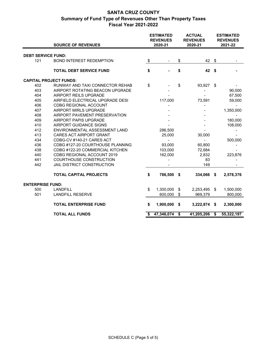|                               | <b>SOURCE OF REVENUES</b>        | <b>ESTIMATED</b><br><b>ACTUAL</b><br><b>REVENUES</b><br><b>REVENUES</b><br>2020-21<br>2020-21 |            | <b>ESTIMATED</b><br><b>REVENUES</b><br>2021-22 |            |        |                         |
|-------------------------------|----------------------------------|-----------------------------------------------------------------------------------------------|------------|------------------------------------------------|------------|--------|-------------------------|
|                               |                                  |                                                                                               |            |                                                |            |        |                         |
| <b>DEBT SERVICE FUND:</b>     |                                  |                                                                                               |            |                                                |            |        |                         |
| 121                           | <b>BOND INTEREST REDEMPTION</b>  | \$                                                                                            |            | \$                                             | 42         | \$     |                         |
|                               | <b>TOTAL DEBT SERVICE FUND</b>   | \$                                                                                            |            | \$                                             | 42         | - \$   |                         |
| <b>CAPITAL PROJECT FUNDS:</b> |                                  |                                                                                               |            |                                                |            |        |                         |
| 402                           | RUNWAY AND TAXI CONNECTOR REHAB  | \$                                                                                            |            | \$                                             | 93,927     | \$     |                         |
| 403                           | AIRPORT ROTATING BEACON UPGRADE  |                                                                                               |            |                                                |            |        | 90,000                  |
| 404                           | AIRPORT REILS UPGRADE            |                                                                                               |            |                                                |            |        | 67,500                  |
| 405                           | AIRFIELD ELECTRICAL UPGRADE DESI | 117,000                                                                                       |            | 73,591                                         |            | 59,000 |                         |
| 406                           | CDBG REGIONAL ACCOUNT            |                                                                                               |            |                                                |            |        |                         |
| 407                           | AIRPORT MIRLS UPGRADE            |                                                                                               |            |                                                |            |        | 1,350,000               |
| 408                           | AIRPORT PAVEMENT PRESERVATION    |                                                                                               |            |                                                |            |        |                         |
| 409                           | AIRPORT PAPIS UPGRADE            |                                                                                               |            |                                                |            |        | 180,000                 |
| 410                           | AIRPORT GUIDANCE SIGNS           |                                                                                               |            |                                                |            |        | 108,000                 |
| 412                           | ENVIRONMENTAL ASSESSMENT LAND    |                                                                                               | 286,500    |                                                |            |        |                         |
| 413                           | <b>CARES ACT AIRPORT GRANT</b>   |                                                                                               | 25,000     |                                                | 30,000     |        |                         |
| 434                           | CDBG-CV #140-21 CARES ACT        |                                                                                               |            |                                                |            |        | 500,000                 |
| 436                           | CDBG #127-20 COURTHOUSE PLANNING |                                                                                               | 93,000     |                                                | 60,800     |        |                         |
| 438                           | CDBG #122-20 COMMERCIAL KITCHEN  |                                                                                               | 103,000    |                                                | 72,684     |        |                         |
| 440                           | CDBG REGIONAL ACCOUNT 2019       |                                                                                               | 162,000    |                                                | 2,832      |        | 223,876                 |
| 441                           | COURTHOUSE CONSTRUCTION          |                                                                                               |            |                                                | 83         |        |                         |
| 442                           | JAIL DISTRICT CONSTRUCTION       |                                                                                               |            |                                                | 149        |        |                         |
|                               | <b>TOTAL CAPITAL PROJECTS</b>    | \$                                                                                            | 786,500    | \$                                             | 334,066    | \$     | 2,578,376               |
| <b>ENTERPRISE FUND:</b>       |                                  |                                                                                               |            |                                                |            |        |                         |
| 500                           | <b>LANDFILL</b>                  | \$                                                                                            | 1,300,000  | \$                                             | 2,253,495  | \$     | 1,500,000               |
| 501                           | <b>LANDFILL RESERVE</b>          |                                                                                               | 600,000    | \$                                             | 969,379    |        | 800,000                 |
|                               | <b>TOTAL ENTERPRISE FUND</b>     | \$                                                                                            | 1,900,000  | \$                                             | 3,222,874  | \$     | 2,300,000               |
|                               | <b>TOTAL ALL FUNDS</b>           | \$                                                                                            | 47,346,074 | \$                                             | 41,205,206 | \$     | $\overline{55,3}22,197$ |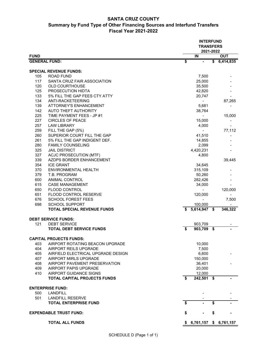## **SANTA CRUZ COUNTY Summary by Fund Type of Other Financing Sources and Interfund Transfers Fiscal Year 2021-2022**

|                      |                                    | <b>INTERFUND</b><br><b>TRANSFERS</b><br>2021-2022 |                |    |            |  |
|----------------------|------------------------------------|---------------------------------------------------|----------------|----|------------|--|
| <b>FUND</b>          |                                    |                                                   | IN             |    | <b>OUT</b> |  |
| <b>GENERAL FUND:</b> |                                    | $\overline{\boldsymbol{\mathsf{s}}}$              |                | \$ | 6,414,835  |  |
|                      | <b>SPECIAL REVENUE FUNDS:</b>      |                                                   |                |    |            |  |
| 105                  | <b>ROAD FUND</b>                   |                                                   | 7,500          |    |            |  |
| 117                  | SANTA CRUZ FAIR ASSOCIATION        |                                                   | 25,000         |    |            |  |
| 120                  | <b>OLD COURTHOUSE</b>              |                                                   | 35,500         |    |            |  |
| 125                  | PROSECUTION HIDTA                  |                                                   | 42,820         |    |            |  |
| 133                  | 5% FILL THE GAP FEES CTY ATTY      |                                                   | 20,747         |    |            |  |
| 134                  | ANTI-RACKETEERING                  |                                                   |                |    | 87,265     |  |
| 139                  | <b>ATTORNEY'S ENHANCEMENT</b>      |                                                   | 5,681          |    |            |  |
| 142                  | AUTO THEFT AUTHORITY               |                                                   | 38,764         |    |            |  |
| 225                  | TIME PAYMENT FEES - JP #1          |                                                   |                |    | 15,000     |  |
| 227                  | <b>CIRCLES OF PEACE</b>            |                                                   | 15,000         |    |            |  |
| 257                  | <b>LAW LIBRARY</b>                 |                                                   | 4,000          |    |            |  |
| 259                  | FILL THE GAP (5%)                  |                                                   |                |    | 77,112     |  |
| 260                  | SUPERIOR COURT FILL THE GAP        |                                                   | 41,510         |    |            |  |
| 261                  | 5% FILL THE GAP INDIGENT DEF.      |                                                   | 14,855         |    |            |  |
| 280                  | <b>FAMILY COUNSELING</b>           |                                                   | 2,099          |    |            |  |
| 325                  | <b>JAIL DISTRICT</b>               |                                                   | 4,420,231      |    |            |  |
| 327                  | <b>ACJC PROSECUTION (MTF)</b>      |                                                   | 4,800          |    |            |  |
| 339                  | AZDPS BORDER ENHANCEMENT           |                                                   |                |    | 39,445     |  |
| 354                  | <b>ICE GRANT</b>                   |                                                   | 34,645         |    |            |  |
| 370                  | ENVIRONMENTAL HEALTH               |                                                   | 315,109        |    |            |  |
| 379                  | T.B. PROGRAM                       |                                                   | 50,260         |    |            |  |
| 600                  | ANIMAL CONTROL                     |                                                   | 282,426        |    |            |  |
| 615                  | <b>CASE MANAGEMENT</b>             |                                                   | 34,000         |    |            |  |
| 650                  | <b>FLOOD CONTROL</b>               |                                                   |                |    | 120,000    |  |
| 651                  | FLOOD CONTROL RESERVE              |                                                   | 120,000        |    |            |  |
| 676                  | <b>SCHOOL FOREST FEES</b>          |                                                   |                |    | 7,500      |  |
| 698                  | <b>SCHOOL SUPPORT</b>              |                                                   | 100,000        |    |            |  |
|                      | <b>TOTAL SPECIAL REVENUE FUNDS</b> | \$                                                | $5,614,947$ \$ |    | 346,322    |  |
|                      |                                    |                                                   |                |    |            |  |
|                      | <b>DEBT SERVICE FUNDS:</b>         |                                                   |                |    |            |  |
| 121                  | <b>DEBT SERVICE</b>                |                                                   | 903,709        |    |            |  |
|                      | <b>TOTAL DEBT SERVICE FUNDS</b>    | \$                                                | 903,709 \$     |    |            |  |
|                      | <b>CAPITAL PROJECTS FUNDS:</b>     |                                                   |                |    |            |  |
| 403                  | AIRPORT ROTATING BEACON UPGRADE    |                                                   | 10,000         |    |            |  |
| 404                  | AIRPORT REILS UPGRADE              |                                                   | 7,500          |    |            |  |
| 405                  | AIRFIELD ELECTRICAL UPGRADE DESIGN |                                                   | 6,600          |    |            |  |
| 407                  | AIRPORT MIRLS UPGRADE              |                                                   | 150,000        |    |            |  |
| 408                  | AIRPORT PAVEMENT PRESERVATION      |                                                   | 36,401         |    |            |  |
| 409                  | AIRPORT PAPIS UPGRADE              |                                                   | 20,000         |    |            |  |
| 410                  | AIRPORT GUIDANCE SIGNS             |                                                   | 12,000         |    |            |  |
|                      | TOTAL CAPITAL PROJECTS FUNDS       | \$                                                | $242,501$ \$   |    |            |  |
|                      | <b>ENTERPRISE FUND:</b>            |                                                   |                |    |            |  |
| 500                  | LANDFILL                           |                                                   |                |    |            |  |
| 501                  | <b>LANDFILL RESERVE</b>            |                                                   |                |    |            |  |
|                      | <b>TOTAL ENTERPRISE FUND</b>       | \$                                                |                | \$ |            |  |
|                      | <b>EXPENDABLE TRUST FUND:</b>      | \$                                                |                | \$ |            |  |
|                      | <b>TOTAL ALL FUNDS</b>             | \$                                                | 6,761,157      | \$ | 6,761,157  |  |
|                      |                                    |                                                   |                |    |            |  |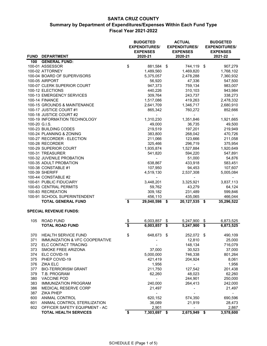| FUND DEPARTMENT<br>100 GENERAL FUND:<br>\$<br>100-01 ASSESSOR<br>881,584<br>744,119 \$<br>907,279<br>- \$<br>100-02 ATTORNEY<br>1,489,560<br>1,469,820<br>1,768,102<br>100-04 BOARD OF SUPERVISORS<br>5,375,057<br>2,478,288<br>7,360,932<br>100-05 AIRPORT<br>56,920<br>47,336<br>547,500<br>100-07 CLERK SUPERIOR COURT<br>947,373<br>759,134<br>983,007<br>100-12 ELECTIONS<br>440,226<br>310,103<br>943,984<br>100-13 EMERGENCY SERVICES<br>309,764<br>243,737<br>338,273<br>100-14 FINANCE<br>1,517,086<br>419,263<br>2,478,332<br>100-15 GROUNDS & MAINTENANCE<br>2,641,709<br>1,346,717<br>2,680,910<br>100-17 JUSTICE COURT #1<br>865,342<br>760,272<br>852,666<br>100-18 JUSTICE COURT #2<br>100-19 INFORMATION TECHNOLOGY<br>1,921,665<br>1,310,230<br>1,351,846<br>100-20 G.I.S.<br>49,000<br>49,500<br>36,735<br>100-23 BUILDING CODES<br>219,519<br>197,201<br>219,949<br>100-24 PLANNING & ZONING<br>383,800<br>268,042<br>470,726<br>100-27 RECORDER - ELECTION<br>211,066<br>123,666<br>211,058<br>100-28 RECORDER<br>296,719<br>375,954<br>325,466<br>100-29 SUPERIOR COURT<br>1,527,884<br>1,920,649<br>1,935,874<br>100-31 TREASURER<br>541,820<br>594,220<br>547,891<br>100-32 JUVENILE PROBATION<br>54,876<br>51,000<br>100-35 ADULT PROBATION<br>638,867<br>433,918<br>583,451<br>100-38 CONSTABLE #1<br>107,607<br>107,950<br>94,453<br>100-39 SHERIFF<br>4,519,130<br>2,537,308<br>5,005,084<br>100-44 CONSTABLE #2<br>100-61 PUBLIC FIDUCIARY<br>3,448,201<br>3,325,921<br>3,837,113<br>100-63 CENTRAL PERMITS<br>59,762<br>43,279<br>64,124<br>100-83 RECREATION<br>309,182<br>231,489<br>599,846<br>100-91 SCHOOL SUPERINTENDENT<br>456,110<br>435,065<br>466,044<br>\$<br><b>TOTAL GENERAL FUND</b><br>35,296,522<br>29,040,598<br>\$<br>20,127,535<br>\$<br><b>SPECIAL REVENUE FUNDS:</b><br>105<br><b>ROAD FUND</b><br>6,003,857<br>6,873,525<br>5,247,900<br>\$<br>\$<br>\$<br>\$<br><b>TOTAL ROAD FUND</b><br>6,003,857<br>\$<br>5,247,900<br>\$<br>6,873,525<br>HEALTH SERVICE FUND<br>648,673 \$<br>252,072 \$<br>370<br>490,109<br>\$<br>371<br>IMMUNIZATION & VFC COOPERATIVE<br>12,810<br>25,000<br>372<br>148,134<br>716,079<br>ELC CONTACT TRACING<br>373<br>30,523<br>SMOKE FREE ARIZONA<br>37,000<br>37,000<br>374<br>801,264<br>ELC COVID-19<br>5,000,000<br>746,338<br>375<br>PHEP COVID-19<br>204,924<br>8,061<br>421,419<br>376<br><b>ZIKA ELC</b><br>1,956<br>1,956<br>377<br><b>BIO-TERRORISM GRANT</b><br>211,750<br>127,542<br>201,438<br>379<br>48,023<br>62,260<br>T.B. PROGRAM<br>62,260<br>380<br>244,901<br><b>VACCINE POD</b><br>250,000<br>383<br>240,000<br>264,413<br><b>IMMUNIZATION PROGRAM</b><br>242,000<br>386<br>MEDICAL RESERVE CORP<br>21,497<br>21,497<br><b>ZIKA PHEP</b><br>387<br>600<br>ANIMAL CONTROL<br>620,152<br>574,350<br>690,596<br>601<br>ANIMAL CONTROL STERILIZATION<br>36,089<br>21,919<br>28,473<br>602<br>2,901<br>OFFICER SAFETY EQUIPMENT - AC<br>2,867<br>\$<br>7,303,697 \$<br>2,675,949<br>3,578,600<br><b>TOTAL HEALTH SERVICES</b><br>\$ |  | <b>BUDGETED</b><br><b>EXPENDITURES/</b><br><b>EXPENSES</b> |         |  | <b>ACTUAL</b><br><b>EXPENDITURES/</b><br><b>EXPENSES</b> | <b>BUDGETED</b><br><b>EXPENDITURES/</b><br><b>EXPENSES</b> |  |  |
|-------------------------------------------------------------------------------------------------------------------------------------------------------------------------------------------------------------------------------------------------------------------------------------------------------------------------------------------------------------------------------------------------------------------------------------------------------------------------------------------------------------------------------------------------------------------------------------------------------------------------------------------------------------------------------------------------------------------------------------------------------------------------------------------------------------------------------------------------------------------------------------------------------------------------------------------------------------------------------------------------------------------------------------------------------------------------------------------------------------------------------------------------------------------------------------------------------------------------------------------------------------------------------------------------------------------------------------------------------------------------------------------------------------------------------------------------------------------------------------------------------------------------------------------------------------------------------------------------------------------------------------------------------------------------------------------------------------------------------------------------------------------------------------------------------------------------------------------------------------------------------------------------------------------------------------------------------------------------------------------------------------------------------------------------------------------------------------------------------------------------------------------------------------------------------------------------------------------------------------------------------------------------------------------------------------------------------------------------------------------------------------------------------------------------------------------------------------------------------------------------------------------------------------------------------------------------------------------------------------------------------------------------------------------------------------------------------------------------------------------------------------------------------------------------------------------------------------------------------------------------------------------------------------------------------------------------------------------------------------------------------------------------------------|--|------------------------------------------------------------|---------|--|----------------------------------------------------------|------------------------------------------------------------|--|--|
|                                                                                                                                                                                                                                                                                                                                                                                                                                                                                                                                                                                                                                                                                                                                                                                                                                                                                                                                                                                                                                                                                                                                                                                                                                                                                                                                                                                                                                                                                                                                                                                                                                                                                                                                                                                                                                                                                                                                                                                                                                                                                                                                                                                                                                                                                                                                                                                                                                                                                                                                                                                                                                                                                                                                                                                                                                                                                                                                                                                                                                     |  |                                                            | 2020-21 |  | 2020-21                                                  | 2021-22                                                    |  |  |
|                                                                                                                                                                                                                                                                                                                                                                                                                                                                                                                                                                                                                                                                                                                                                                                                                                                                                                                                                                                                                                                                                                                                                                                                                                                                                                                                                                                                                                                                                                                                                                                                                                                                                                                                                                                                                                                                                                                                                                                                                                                                                                                                                                                                                                                                                                                                                                                                                                                                                                                                                                                                                                                                                                                                                                                                                                                                                                                                                                                                                                     |  |                                                            |         |  |                                                          |                                                            |  |  |
|                                                                                                                                                                                                                                                                                                                                                                                                                                                                                                                                                                                                                                                                                                                                                                                                                                                                                                                                                                                                                                                                                                                                                                                                                                                                                                                                                                                                                                                                                                                                                                                                                                                                                                                                                                                                                                                                                                                                                                                                                                                                                                                                                                                                                                                                                                                                                                                                                                                                                                                                                                                                                                                                                                                                                                                                                                                                                                                                                                                                                                     |  |                                                            |         |  |                                                          |                                                            |  |  |
|                                                                                                                                                                                                                                                                                                                                                                                                                                                                                                                                                                                                                                                                                                                                                                                                                                                                                                                                                                                                                                                                                                                                                                                                                                                                                                                                                                                                                                                                                                                                                                                                                                                                                                                                                                                                                                                                                                                                                                                                                                                                                                                                                                                                                                                                                                                                                                                                                                                                                                                                                                                                                                                                                                                                                                                                                                                                                                                                                                                                                                     |  |                                                            |         |  |                                                          |                                                            |  |  |
|                                                                                                                                                                                                                                                                                                                                                                                                                                                                                                                                                                                                                                                                                                                                                                                                                                                                                                                                                                                                                                                                                                                                                                                                                                                                                                                                                                                                                                                                                                                                                                                                                                                                                                                                                                                                                                                                                                                                                                                                                                                                                                                                                                                                                                                                                                                                                                                                                                                                                                                                                                                                                                                                                                                                                                                                                                                                                                                                                                                                                                     |  |                                                            |         |  |                                                          |                                                            |  |  |
|                                                                                                                                                                                                                                                                                                                                                                                                                                                                                                                                                                                                                                                                                                                                                                                                                                                                                                                                                                                                                                                                                                                                                                                                                                                                                                                                                                                                                                                                                                                                                                                                                                                                                                                                                                                                                                                                                                                                                                                                                                                                                                                                                                                                                                                                                                                                                                                                                                                                                                                                                                                                                                                                                                                                                                                                                                                                                                                                                                                                                                     |  |                                                            |         |  |                                                          |                                                            |  |  |
|                                                                                                                                                                                                                                                                                                                                                                                                                                                                                                                                                                                                                                                                                                                                                                                                                                                                                                                                                                                                                                                                                                                                                                                                                                                                                                                                                                                                                                                                                                                                                                                                                                                                                                                                                                                                                                                                                                                                                                                                                                                                                                                                                                                                                                                                                                                                                                                                                                                                                                                                                                                                                                                                                                                                                                                                                                                                                                                                                                                                                                     |  |                                                            |         |  |                                                          |                                                            |  |  |
|                                                                                                                                                                                                                                                                                                                                                                                                                                                                                                                                                                                                                                                                                                                                                                                                                                                                                                                                                                                                                                                                                                                                                                                                                                                                                                                                                                                                                                                                                                                                                                                                                                                                                                                                                                                                                                                                                                                                                                                                                                                                                                                                                                                                                                                                                                                                                                                                                                                                                                                                                                                                                                                                                                                                                                                                                                                                                                                                                                                                                                     |  |                                                            |         |  |                                                          |                                                            |  |  |
|                                                                                                                                                                                                                                                                                                                                                                                                                                                                                                                                                                                                                                                                                                                                                                                                                                                                                                                                                                                                                                                                                                                                                                                                                                                                                                                                                                                                                                                                                                                                                                                                                                                                                                                                                                                                                                                                                                                                                                                                                                                                                                                                                                                                                                                                                                                                                                                                                                                                                                                                                                                                                                                                                                                                                                                                                                                                                                                                                                                                                                     |  |                                                            |         |  |                                                          |                                                            |  |  |
|                                                                                                                                                                                                                                                                                                                                                                                                                                                                                                                                                                                                                                                                                                                                                                                                                                                                                                                                                                                                                                                                                                                                                                                                                                                                                                                                                                                                                                                                                                                                                                                                                                                                                                                                                                                                                                                                                                                                                                                                                                                                                                                                                                                                                                                                                                                                                                                                                                                                                                                                                                                                                                                                                                                                                                                                                                                                                                                                                                                                                                     |  |                                                            |         |  |                                                          |                                                            |  |  |
|                                                                                                                                                                                                                                                                                                                                                                                                                                                                                                                                                                                                                                                                                                                                                                                                                                                                                                                                                                                                                                                                                                                                                                                                                                                                                                                                                                                                                                                                                                                                                                                                                                                                                                                                                                                                                                                                                                                                                                                                                                                                                                                                                                                                                                                                                                                                                                                                                                                                                                                                                                                                                                                                                                                                                                                                                                                                                                                                                                                                                                     |  |                                                            |         |  |                                                          |                                                            |  |  |
|                                                                                                                                                                                                                                                                                                                                                                                                                                                                                                                                                                                                                                                                                                                                                                                                                                                                                                                                                                                                                                                                                                                                                                                                                                                                                                                                                                                                                                                                                                                                                                                                                                                                                                                                                                                                                                                                                                                                                                                                                                                                                                                                                                                                                                                                                                                                                                                                                                                                                                                                                                                                                                                                                                                                                                                                                                                                                                                                                                                                                                     |  |                                                            |         |  |                                                          |                                                            |  |  |
|                                                                                                                                                                                                                                                                                                                                                                                                                                                                                                                                                                                                                                                                                                                                                                                                                                                                                                                                                                                                                                                                                                                                                                                                                                                                                                                                                                                                                                                                                                                                                                                                                                                                                                                                                                                                                                                                                                                                                                                                                                                                                                                                                                                                                                                                                                                                                                                                                                                                                                                                                                                                                                                                                                                                                                                                                                                                                                                                                                                                                                     |  |                                                            |         |  |                                                          |                                                            |  |  |
|                                                                                                                                                                                                                                                                                                                                                                                                                                                                                                                                                                                                                                                                                                                                                                                                                                                                                                                                                                                                                                                                                                                                                                                                                                                                                                                                                                                                                                                                                                                                                                                                                                                                                                                                                                                                                                                                                                                                                                                                                                                                                                                                                                                                                                                                                                                                                                                                                                                                                                                                                                                                                                                                                                                                                                                                                                                                                                                                                                                                                                     |  |                                                            |         |  |                                                          |                                                            |  |  |
|                                                                                                                                                                                                                                                                                                                                                                                                                                                                                                                                                                                                                                                                                                                                                                                                                                                                                                                                                                                                                                                                                                                                                                                                                                                                                                                                                                                                                                                                                                                                                                                                                                                                                                                                                                                                                                                                                                                                                                                                                                                                                                                                                                                                                                                                                                                                                                                                                                                                                                                                                                                                                                                                                                                                                                                                                                                                                                                                                                                                                                     |  |                                                            |         |  |                                                          |                                                            |  |  |
|                                                                                                                                                                                                                                                                                                                                                                                                                                                                                                                                                                                                                                                                                                                                                                                                                                                                                                                                                                                                                                                                                                                                                                                                                                                                                                                                                                                                                                                                                                                                                                                                                                                                                                                                                                                                                                                                                                                                                                                                                                                                                                                                                                                                                                                                                                                                                                                                                                                                                                                                                                                                                                                                                                                                                                                                                                                                                                                                                                                                                                     |  |                                                            |         |  |                                                          |                                                            |  |  |
|                                                                                                                                                                                                                                                                                                                                                                                                                                                                                                                                                                                                                                                                                                                                                                                                                                                                                                                                                                                                                                                                                                                                                                                                                                                                                                                                                                                                                                                                                                                                                                                                                                                                                                                                                                                                                                                                                                                                                                                                                                                                                                                                                                                                                                                                                                                                                                                                                                                                                                                                                                                                                                                                                                                                                                                                                                                                                                                                                                                                                                     |  |                                                            |         |  |                                                          |                                                            |  |  |
|                                                                                                                                                                                                                                                                                                                                                                                                                                                                                                                                                                                                                                                                                                                                                                                                                                                                                                                                                                                                                                                                                                                                                                                                                                                                                                                                                                                                                                                                                                                                                                                                                                                                                                                                                                                                                                                                                                                                                                                                                                                                                                                                                                                                                                                                                                                                                                                                                                                                                                                                                                                                                                                                                                                                                                                                                                                                                                                                                                                                                                     |  |                                                            |         |  |                                                          |                                                            |  |  |
|                                                                                                                                                                                                                                                                                                                                                                                                                                                                                                                                                                                                                                                                                                                                                                                                                                                                                                                                                                                                                                                                                                                                                                                                                                                                                                                                                                                                                                                                                                                                                                                                                                                                                                                                                                                                                                                                                                                                                                                                                                                                                                                                                                                                                                                                                                                                                                                                                                                                                                                                                                                                                                                                                                                                                                                                                                                                                                                                                                                                                                     |  |                                                            |         |  |                                                          |                                                            |  |  |
|                                                                                                                                                                                                                                                                                                                                                                                                                                                                                                                                                                                                                                                                                                                                                                                                                                                                                                                                                                                                                                                                                                                                                                                                                                                                                                                                                                                                                                                                                                                                                                                                                                                                                                                                                                                                                                                                                                                                                                                                                                                                                                                                                                                                                                                                                                                                                                                                                                                                                                                                                                                                                                                                                                                                                                                                                                                                                                                                                                                                                                     |  |                                                            |         |  |                                                          |                                                            |  |  |
|                                                                                                                                                                                                                                                                                                                                                                                                                                                                                                                                                                                                                                                                                                                                                                                                                                                                                                                                                                                                                                                                                                                                                                                                                                                                                                                                                                                                                                                                                                                                                                                                                                                                                                                                                                                                                                                                                                                                                                                                                                                                                                                                                                                                                                                                                                                                                                                                                                                                                                                                                                                                                                                                                                                                                                                                                                                                                                                                                                                                                                     |  |                                                            |         |  |                                                          |                                                            |  |  |
|                                                                                                                                                                                                                                                                                                                                                                                                                                                                                                                                                                                                                                                                                                                                                                                                                                                                                                                                                                                                                                                                                                                                                                                                                                                                                                                                                                                                                                                                                                                                                                                                                                                                                                                                                                                                                                                                                                                                                                                                                                                                                                                                                                                                                                                                                                                                                                                                                                                                                                                                                                                                                                                                                                                                                                                                                                                                                                                                                                                                                                     |  |                                                            |         |  |                                                          |                                                            |  |  |
|                                                                                                                                                                                                                                                                                                                                                                                                                                                                                                                                                                                                                                                                                                                                                                                                                                                                                                                                                                                                                                                                                                                                                                                                                                                                                                                                                                                                                                                                                                                                                                                                                                                                                                                                                                                                                                                                                                                                                                                                                                                                                                                                                                                                                                                                                                                                                                                                                                                                                                                                                                                                                                                                                                                                                                                                                                                                                                                                                                                                                                     |  |                                                            |         |  |                                                          |                                                            |  |  |
|                                                                                                                                                                                                                                                                                                                                                                                                                                                                                                                                                                                                                                                                                                                                                                                                                                                                                                                                                                                                                                                                                                                                                                                                                                                                                                                                                                                                                                                                                                                                                                                                                                                                                                                                                                                                                                                                                                                                                                                                                                                                                                                                                                                                                                                                                                                                                                                                                                                                                                                                                                                                                                                                                                                                                                                                                                                                                                                                                                                                                                     |  |                                                            |         |  |                                                          |                                                            |  |  |
|                                                                                                                                                                                                                                                                                                                                                                                                                                                                                                                                                                                                                                                                                                                                                                                                                                                                                                                                                                                                                                                                                                                                                                                                                                                                                                                                                                                                                                                                                                                                                                                                                                                                                                                                                                                                                                                                                                                                                                                                                                                                                                                                                                                                                                                                                                                                                                                                                                                                                                                                                                                                                                                                                                                                                                                                                                                                                                                                                                                                                                     |  |                                                            |         |  |                                                          |                                                            |  |  |
|                                                                                                                                                                                                                                                                                                                                                                                                                                                                                                                                                                                                                                                                                                                                                                                                                                                                                                                                                                                                                                                                                                                                                                                                                                                                                                                                                                                                                                                                                                                                                                                                                                                                                                                                                                                                                                                                                                                                                                                                                                                                                                                                                                                                                                                                                                                                                                                                                                                                                                                                                                                                                                                                                                                                                                                                                                                                                                                                                                                                                                     |  |                                                            |         |  |                                                          |                                                            |  |  |
|                                                                                                                                                                                                                                                                                                                                                                                                                                                                                                                                                                                                                                                                                                                                                                                                                                                                                                                                                                                                                                                                                                                                                                                                                                                                                                                                                                                                                                                                                                                                                                                                                                                                                                                                                                                                                                                                                                                                                                                                                                                                                                                                                                                                                                                                                                                                                                                                                                                                                                                                                                                                                                                                                                                                                                                                                                                                                                                                                                                                                                     |  |                                                            |         |  |                                                          |                                                            |  |  |
|                                                                                                                                                                                                                                                                                                                                                                                                                                                                                                                                                                                                                                                                                                                                                                                                                                                                                                                                                                                                                                                                                                                                                                                                                                                                                                                                                                                                                                                                                                                                                                                                                                                                                                                                                                                                                                                                                                                                                                                                                                                                                                                                                                                                                                                                                                                                                                                                                                                                                                                                                                                                                                                                                                                                                                                                                                                                                                                                                                                                                                     |  |                                                            |         |  |                                                          |                                                            |  |  |
|                                                                                                                                                                                                                                                                                                                                                                                                                                                                                                                                                                                                                                                                                                                                                                                                                                                                                                                                                                                                                                                                                                                                                                                                                                                                                                                                                                                                                                                                                                                                                                                                                                                                                                                                                                                                                                                                                                                                                                                                                                                                                                                                                                                                                                                                                                                                                                                                                                                                                                                                                                                                                                                                                                                                                                                                                                                                                                                                                                                                                                     |  |                                                            |         |  |                                                          |                                                            |  |  |
|                                                                                                                                                                                                                                                                                                                                                                                                                                                                                                                                                                                                                                                                                                                                                                                                                                                                                                                                                                                                                                                                                                                                                                                                                                                                                                                                                                                                                                                                                                                                                                                                                                                                                                                                                                                                                                                                                                                                                                                                                                                                                                                                                                                                                                                                                                                                                                                                                                                                                                                                                                                                                                                                                                                                                                                                                                                                                                                                                                                                                                     |  |                                                            |         |  |                                                          |                                                            |  |  |
|                                                                                                                                                                                                                                                                                                                                                                                                                                                                                                                                                                                                                                                                                                                                                                                                                                                                                                                                                                                                                                                                                                                                                                                                                                                                                                                                                                                                                                                                                                                                                                                                                                                                                                                                                                                                                                                                                                                                                                                                                                                                                                                                                                                                                                                                                                                                                                                                                                                                                                                                                                                                                                                                                                                                                                                                                                                                                                                                                                                                                                     |  |                                                            |         |  |                                                          |                                                            |  |  |
|                                                                                                                                                                                                                                                                                                                                                                                                                                                                                                                                                                                                                                                                                                                                                                                                                                                                                                                                                                                                                                                                                                                                                                                                                                                                                                                                                                                                                                                                                                                                                                                                                                                                                                                                                                                                                                                                                                                                                                                                                                                                                                                                                                                                                                                                                                                                                                                                                                                                                                                                                                                                                                                                                                                                                                                                                                                                                                                                                                                                                                     |  |                                                            |         |  |                                                          |                                                            |  |  |
|                                                                                                                                                                                                                                                                                                                                                                                                                                                                                                                                                                                                                                                                                                                                                                                                                                                                                                                                                                                                                                                                                                                                                                                                                                                                                                                                                                                                                                                                                                                                                                                                                                                                                                                                                                                                                                                                                                                                                                                                                                                                                                                                                                                                                                                                                                                                                                                                                                                                                                                                                                                                                                                                                                                                                                                                                                                                                                                                                                                                                                     |  |                                                            |         |  |                                                          |                                                            |  |  |
|                                                                                                                                                                                                                                                                                                                                                                                                                                                                                                                                                                                                                                                                                                                                                                                                                                                                                                                                                                                                                                                                                                                                                                                                                                                                                                                                                                                                                                                                                                                                                                                                                                                                                                                                                                                                                                                                                                                                                                                                                                                                                                                                                                                                                                                                                                                                                                                                                                                                                                                                                                                                                                                                                                                                                                                                                                                                                                                                                                                                                                     |  |                                                            |         |  |                                                          |                                                            |  |  |
|                                                                                                                                                                                                                                                                                                                                                                                                                                                                                                                                                                                                                                                                                                                                                                                                                                                                                                                                                                                                                                                                                                                                                                                                                                                                                                                                                                                                                                                                                                                                                                                                                                                                                                                                                                                                                                                                                                                                                                                                                                                                                                                                                                                                                                                                                                                                                                                                                                                                                                                                                                                                                                                                                                                                                                                                                                                                                                                                                                                                                                     |  |                                                            |         |  |                                                          |                                                            |  |  |
|                                                                                                                                                                                                                                                                                                                                                                                                                                                                                                                                                                                                                                                                                                                                                                                                                                                                                                                                                                                                                                                                                                                                                                                                                                                                                                                                                                                                                                                                                                                                                                                                                                                                                                                                                                                                                                                                                                                                                                                                                                                                                                                                                                                                                                                                                                                                                                                                                                                                                                                                                                                                                                                                                                                                                                                                                                                                                                                                                                                                                                     |  |                                                            |         |  |                                                          |                                                            |  |  |
|                                                                                                                                                                                                                                                                                                                                                                                                                                                                                                                                                                                                                                                                                                                                                                                                                                                                                                                                                                                                                                                                                                                                                                                                                                                                                                                                                                                                                                                                                                                                                                                                                                                                                                                                                                                                                                                                                                                                                                                                                                                                                                                                                                                                                                                                                                                                                                                                                                                                                                                                                                                                                                                                                                                                                                                                                                                                                                                                                                                                                                     |  |                                                            |         |  |                                                          |                                                            |  |  |
|                                                                                                                                                                                                                                                                                                                                                                                                                                                                                                                                                                                                                                                                                                                                                                                                                                                                                                                                                                                                                                                                                                                                                                                                                                                                                                                                                                                                                                                                                                                                                                                                                                                                                                                                                                                                                                                                                                                                                                                                                                                                                                                                                                                                                                                                                                                                                                                                                                                                                                                                                                                                                                                                                                                                                                                                                                                                                                                                                                                                                                     |  |                                                            |         |  |                                                          |                                                            |  |  |
|                                                                                                                                                                                                                                                                                                                                                                                                                                                                                                                                                                                                                                                                                                                                                                                                                                                                                                                                                                                                                                                                                                                                                                                                                                                                                                                                                                                                                                                                                                                                                                                                                                                                                                                                                                                                                                                                                                                                                                                                                                                                                                                                                                                                                                                                                                                                                                                                                                                                                                                                                                                                                                                                                                                                                                                                                                                                                                                                                                                                                                     |  |                                                            |         |  |                                                          |                                                            |  |  |
|                                                                                                                                                                                                                                                                                                                                                                                                                                                                                                                                                                                                                                                                                                                                                                                                                                                                                                                                                                                                                                                                                                                                                                                                                                                                                                                                                                                                                                                                                                                                                                                                                                                                                                                                                                                                                                                                                                                                                                                                                                                                                                                                                                                                                                                                                                                                                                                                                                                                                                                                                                                                                                                                                                                                                                                                                                                                                                                                                                                                                                     |  |                                                            |         |  |                                                          |                                                            |  |  |
|                                                                                                                                                                                                                                                                                                                                                                                                                                                                                                                                                                                                                                                                                                                                                                                                                                                                                                                                                                                                                                                                                                                                                                                                                                                                                                                                                                                                                                                                                                                                                                                                                                                                                                                                                                                                                                                                                                                                                                                                                                                                                                                                                                                                                                                                                                                                                                                                                                                                                                                                                                                                                                                                                                                                                                                                                                                                                                                                                                                                                                     |  |                                                            |         |  |                                                          |                                                            |  |  |
|                                                                                                                                                                                                                                                                                                                                                                                                                                                                                                                                                                                                                                                                                                                                                                                                                                                                                                                                                                                                                                                                                                                                                                                                                                                                                                                                                                                                                                                                                                                                                                                                                                                                                                                                                                                                                                                                                                                                                                                                                                                                                                                                                                                                                                                                                                                                                                                                                                                                                                                                                                                                                                                                                                                                                                                                                                                                                                                                                                                                                                     |  |                                                            |         |  |                                                          |                                                            |  |  |
|                                                                                                                                                                                                                                                                                                                                                                                                                                                                                                                                                                                                                                                                                                                                                                                                                                                                                                                                                                                                                                                                                                                                                                                                                                                                                                                                                                                                                                                                                                                                                                                                                                                                                                                                                                                                                                                                                                                                                                                                                                                                                                                                                                                                                                                                                                                                                                                                                                                                                                                                                                                                                                                                                                                                                                                                                                                                                                                                                                                                                                     |  |                                                            |         |  |                                                          |                                                            |  |  |
|                                                                                                                                                                                                                                                                                                                                                                                                                                                                                                                                                                                                                                                                                                                                                                                                                                                                                                                                                                                                                                                                                                                                                                                                                                                                                                                                                                                                                                                                                                                                                                                                                                                                                                                                                                                                                                                                                                                                                                                                                                                                                                                                                                                                                                                                                                                                                                                                                                                                                                                                                                                                                                                                                                                                                                                                                                                                                                                                                                                                                                     |  |                                                            |         |  |                                                          |                                                            |  |  |
|                                                                                                                                                                                                                                                                                                                                                                                                                                                                                                                                                                                                                                                                                                                                                                                                                                                                                                                                                                                                                                                                                                                                                                                                                                                                                                                                                                                                                                                                                                                                                                                                                                                                                                                                                                                                                                                                                                                                                                                                                                                                                                                                                                                                                                                                                                                                                                                                                                                                                                                                                                                                                                                                                                                                                                                                                                                                                                                                                                                                                                     |  |                                                            |         |  |                                                          |                                                            |  |  |
|                                                                                                                                                                                                                                                                                                                                                                                                                                                                                                                                                                                                                                                                                                                                                                                                                                                                                                                                                                                                                                                                                                                                                                                                                                                                                                                                                                                                                                                                                                                                                                                                                                                                                                                                                                                                                                                                                                                                                                                                                                                                                                                                                                                                                                                                                                                                                                                                                                                                                                                                                                                                                                                                                                                                                                                                                                                                                                                                                                                                                                     |  |                                                            |         |  |                                                          |                                                            |  |  |
|                                                                                                                                                                                                                                                                                                                                                                                                                                                                                                                                                                                                                                                                                                                                                                                                                                                                                                                                                                                                                                                                                                                                                                                                                                                                                                                                                                                                                                                                                                                                                                                                                                                                                                                                                                                                                                                                                                                                                                                                                                                                                                                                                                                                                                                                                                                                                                                                                                                                                                                                                                                                                                                                                                                                                                                                                                                                                                                                                                                                                                     |  |                                                            |         |  |                                                          |                                                            |  |  |
|                                                                                                                                                                                                                                                                                                                                                                                                                                                                                                                                                                                                                                                                                                                                                                                                                                                                                                                                                                                                                                                                                                                                                                                                                                                                                                                                                                                                                                                                                                                                                                                                                                                                                                                                                                                                                                                                                                                                                                                                                                                                                                                                                                                                                                                                                                                                                                                                                                                                                                                                                                                                                                                                                                                                                                                                                                                                                                                                                                                                                                     |  |                                                            |         |  |                                                          |                                                            |  |  |
|                                                                                                                                                                                                                                                                                                                                                                                                                                                                                                                                                                                                                                                                                                                                                                                                                                                                                                                                                                                                                                                                                                                                                                                                                                                                                                                                                                                                                                                                                                                                                                                                                                                                                                                                                                                                                                                                                                                                                                                                                                                                                                                                                                                                                                                                                                                                                                                                                                                                                                                                                                                                                                                                                                                                                                                                                                                                                                                                                                                                                                     |  |                                                            |         |  |                                                          |                                                            |  |  |
|                                                                                                                                                                                                                                                                                                                                                                                                                                                                                                                                                                                                                                                                                                                                                                                                                                                                                                                                                                                                                                                                                                                                                                                                                                                                                                                                                                                                                                                                                                                                                                                                                                                                                                                                                                                                                                                                                                                                                                                                                                                                                                                                                                                                                                                                                                                                                                                                                                                                                                                                                                                                                                                                                                                                                                                                                                                                                                                                                                                                                                     |  |                                                            |         |  |                                                          |                                                            |  |  |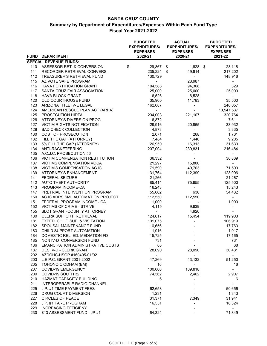|     |                                          | <b>BUDGETED</b><br><b>EXPENDITURES/</b><br><b>EXPENSES</b> |            |  | <b>ACTUAL</b><br><b>EXPENDITURES/</b><br><b>EXPENSES</b> | <b>BUDGETED</b><br><b>EXPENDITURES/</b><br><b>EXPENSES</b> |                |  |
|-----|------------------------------------------|------------------------------------------------------------|------------|--|----------------------------------------------------------|------------------------------------------------------------|----------------|--|
|     | FUND DEPARTMENT                          |                                                            | 2020-21    |  | 2020-21                                                  |                                                            | 2021-22        |  |
|     | <b>SPECIAL REVENUE FUNDS:</b>            |                                                            |            |  |                                                          |                                                            |                |  |
|     | 110 ASSESSOR RET. & CONVERSION           | \$                                                         | 29,867 \$  |  | $1,628$ \$                                               |                                                            | 28,118         |  |
| 111 | RECORDER RETRIEVAL CONVERS.              |                                                            | 235,224 \$ |  | 49,614                                                   |                                                            | 217,202        |  |
| 112 | TREASURER'S RETRIEVAL FUND               |                                                            | 130,729    |  | $\sim 10^{-1}$                                           |                                                            | 148,916        |  |
| 115 | AZ VOTE SAFE PROGRAM                     |                                                            | $\sim$     |  | 28,987                                                   |                                                            |                |  |
| 116 | <b>HAVA FORTIFICATION GRANT</b>          |                                                            | 104,588    |  | 94,368                                                   |                                                            | 329            |  |
| 117 | SANTA CRUZ FAIR ASSOCIATION              |                                                            | 25,000     |  | 25,000                                                   |                                                            | 25,000         |  |
| 118 | <b>HAVA BLOCK GRANT</b>                  |                                                            | 6,526      |  | 6,528                                                    |                                                            |                |  |
| 120 | OLD COURTHOUSE FUND                      |                                                            | 35,900     |  | 11,783                                                   |                                                            | 35,500         |  |
| 123 | ARIZONA TITLE IV-E LEGAL                 |                                                            | 162,087    |  | $\blacksquare$                                           |                                                            | 246,057        |  |
| 124 | AMERICAN RESCUE PLAN ACT (ARPA)          |                                                            |            |  |                                                          |                                                            | 13,547,537     |  |
| 125 | PROSECUTION HIDTA                        |                                                            | 294,003    |  | 221,107                                                  |                                                            | 320,764        |  |
| 126 | ATTORNEY'S DIVERSION PROG.               |                                                            | 6,872      |  | $\sim$                                                   |                                                            | 7,611          |  |
| 127 | <b>VICTIM RIGHTS NOTIFICATION</b>        |                                                            | 29,916     |  | 20,965                                                   |                                                            | 33,932         |  |
| 128 | <b>BAD CHECK COLLECTION</b>              |                                                            | 4,873      |  | $\omega_{\rm{max}}$                                      |                                                            | 3,335          |  |
| 130 | COST OF PROSECUTION                      |                                                            | 2,071      |  | 268                                                      |                                                            | 1,761          |  |
| 132 | FILL THE GAP (ATTORNEY)                  |                                                            | 7,484      |  | 1,446                                                    |                                                            | 9,205          |  |
| 133 | 5% FILL THE GAP (ATTORNEY)               |                                                            | 26,950     |  | 16,313                                                   |                                                            | 31,633         |  |
| 134 | ANTI-RACKETEERING                        |                                                            | 207,004    |  | 239,831                                                  |                                                            | 216,484        |  |
| 135 | A.C.J.C. PROSECUTION #6                  |                                                            | $\sim$     |  |                                                          |                                                            |                |  |
|     | 136 VICTIM COMPENSATION RESTITUTION      |                                                            | 36,332     |  | $\sim$                                                   |                                                            | 36,869         |  |
| 137 | <b>VICTIMS COMPENSATION VOCA</b>         |                                                            | 21,297     |  | 15,800                                                   |                                                            |                |  |
| 138 | VICTIM'S COMPENSATION ACJC               |                                                            | 71,590     |  | 49,703                                                   |                                                            | 71,590         |  |
| 139 | <b>ATTORNEY'S ENHANCEMENT</b>            |                                                            | 131,764    |  | 112,399                                                  |                                                            | 123,096        |  |
| 141 | <b>FEDERAL SEIZURE</b>                   |                                                            | 21,266     |  | $\sim$                                                   |                                                            | 21,267         |  |
|     | 142 AUTO THEFT AUTHORITY                 |                                                            | 85,414     |  | 75,655                                                   |                                                            | 125,500        |  |
| 143 | PROGRAM INCOME-CA                        |                                                            | 16,243     |  | $\sim$                                                   |                                                            | 15,243         |  |
| 147 | PRETRIAL INTERVENTION PROGRAM            |                                                            | 55,062     |  | 630                                                      |                                                            | 54,432         |  |
| 150 | ACJC ADRS SML AUTOMATION PROJECT         |                                                            | 112,550    |  | 112,550                                                  |                                                            | $\sim$         |  |
| 151 | FEDERAL PROGRAM INCOME - CA              |                                                            | 1,000      |  |                                                          |                                                            | 1,000          |  |
| 152 | <b>VICTIMS OF CRIME - STRIVE</b>         |                                                            | 4,115      |  | 9,639                                                    |                                                            | $\blacksquare$ |  |
| 155 | SLOT GRANT-COUNTY ATTORNEY               |                                                            | $\sim 100$ |  | 4,926                                                    |                                                            |                |  |
| 180 | CLERK SUP. CRT. RETRIEVAL                |                                                            | 124,017    |  | 15,454                                                   |                                                            | 119,903        |  |
| 181 | EXPED. CHILD SUP. & VISITATION           |                                                            | 101,075    |  | $\blacksquare$                                           |                                                            | 106,919        |  |
| 182 | SPOUSAL MAINTENANCE FUND                 |                                                            | 16,656     |  |                                                          |                                                            | 17,763         |  |
| 183 | CHILD SUPPORT AUTOMATION                 |                                                            | 1,916      |  |                                                          |                                                            | 1,917          |  |
| 184 | DOMESTIC REL. ED. MEDIATION FD           |                                                            | 15,725     |  |                                                          |                                                            | 17,165         |  |
| 185 | NON IV-D CONVERSION FUND                 |                                                            | 731        |  |                                                          |                                                            | 731            |  |
| 186 | <b>EMANCIPATION ADMINISTRATIVE COSTS</b> |                                                            | 68         |  |                                                          |                                                            | 68             |  |
| 187 | DES IV-D - CLERK GRANT                   |                                                            | 28,090     |  | 28,090                                                   |                                                            | 30,431         |  |
| 202 | AZDOHS-HSGP #160405-01/02                |                                                            |            |  |                                                          |                                                            |                |  |
| 203 | L.E.P.C. GRANT 2001-2002                 |                                                            | 17,269     |  | 43,132                                                   |                                                            | 51,250         |  |
| 205 | TOHONO O'ODHAM (EM)                      |                                                            | 16         |  |                                                          |                                                            | 16             |  |
| 207 | COVID-19 EMERGENCY                       |                                                            | 100,000    |  | 109,818                                                  |                                                            |                |  |
| 209 | COVID-19 SOUTH 32                        |                                                            | 74,562     |  | 2,462                                                    |                                                            | 2,907          |  |
| 210 | HAZMAT CAPACITY BUILDING                 |                                                            | 6          |  |                                                          |                                                            | 6              |  |
| 211 | <b>INTEROPERABLE RADIO CHANNEL</b>       |                                                            |            |  |                                                          |                                                            |                |  |
| 225 | J.P. #1 TIME PAYMENT FEES                |                                                            | 62,658     |  |                                                          |                                                            | 50,656         |  |
| 226 | DRUG COURT DIVERSION                     |                                                            | 1,231      |  |                                                          |                                                            | 1,343          |  |
| 227 | <b>CIRCLES OF PEACE</b>                  |                                                            | 31,371     |  | 7,349                                                    |                                                            | 31,941         |  |
| 228 | J.P. #1 FARE PROGRAM                     |                                                            | 16,551     |  |                                                          |                                                            | 16,324         |  |
| 229 | <b>INCREASING EFFICIENY</b>              |                                                            |            |  |                                                          |                                                            |                |  |
| 230 | \$13 ASSESSMENT FUND - JP #1             |                                                            | 64,324     |  |                                                          |                                                            | 71,849         |  |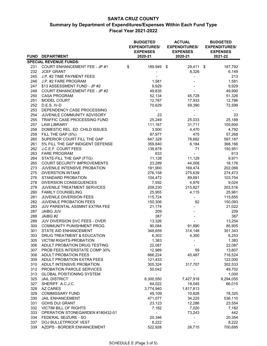|     |                                      | <b>BUDGETED</b><br><b>EXPENDITURES/</b><br><b>EXPENSES</b> |      | <b>ACTUAL</b><br><b>EXPENDITURES/</b><br><b>EXPENSES</b> | <b>BUDGETED</b><br><b>EXPENDITURES/</b><br><b>EXPENSES</b> |
|-----|--------------------------------------|------------------------------------------------------------|------|----------------------------------------------------------|------------------------------------------------------------|
|     | FUND DEPARTMENT                      | 2020-21                                                    |      | 2020-21                                                  | 2021-22                                                    |
|     | <b>SPECIAL REVENUE FUNDS:</b>        |                                                            |      |                                                          |                                                            |
|     | 231 COURT ENHANCEMENT FEE - JP #1    | \$<br>189,949                                              | - \$ | 29,411 \$                                                | 187,792                                                    |
| 232 | <b>JCEF GRANT</b>                    |                                                            |      | 8,326                                                    | 6,149                                                      |
| 245 | J.P. #2 TIME PAYMENT FEES            |                                                            |      | $\qquad \qquad \blacksquare$                             | 213                                                        |
| 246 | J.P. #2 FARE PROGRAM                 | 1,581                                                      |      |                                                          | 1,581                                                      |
| 247 | \$13 ASSESSMENT FUND - JP #2         | 9,929                                                      |      |                                                          | 9,929                                                      |
| 248 | <b>COURT ENHANCEMENT FEE - JP #2</b> | 49,835                                                     |      |                                                          | 49,990                                                     |
| 250 | <b>CASA PROGRAM</b>                  | 52,134                                                     |      | 45,728                                                   | 51,326                                                     |
| 251 | MODEL COURT                          | 12,787                                                     |      | 17,933                                                   | 12,786                                                     |
| 252 | D.E.S. IV-D                          | 70,629                                                     |      | 59,390                                                   | 72,599                                                     |
| 253 | DEPENDENCY CASE PROCESSING           |                                                            |      |                                                          |                                                            |
| 254 | JUVENILE COMMUNITY ADVISORY          | 23                                                         |      |                                                          | 23                                                         |
| 255 | TRAFFIC CASE PROCESSING FUND         | 25,249                                                     |      | 25,033                                                   | 25,188                                                     |
| 257 | LAW LIBRARY                          | 111,167                                                    |      | 31,711                                                   | 105,600                                                    |
| 258 | DOMESTIC REL. ED. CHILD ISSUES       | 3,500                                                      |      | 4,470                                                    | 4,792                                                      |
| 259 | FILL THE GAP (5%)                    | 87,977                                                     |      | 475                                                      | 57,268                                                     |
| 260 | SUPERIOR COURT FILL THE GAP          | 647,328                                                    |      | 78,682                                                   | 597,187                                                    |
| 261 | 5% FILL THE GAP INDIGENT DEFENSE     | 359,840                                                    |      | 6,184                                                    | 368,166                                                    |
| 262 | J.C.E.F. COURT FEES                  | 139,878                                                    |      | 71                                                       | 150,951                                                    |
| 263 | <b>FARE PROGRAM</b>                  | 633                                                        |      |                                                          | 613                                                        |
| 264 | STATE-FILL THE GAP (FTG)             | 11,128                                                     |      | 11,129                                                   | 9,971                                                      |
| 265 | COURT SECURITY IMPROVEMENTS          | 23,289                                                     |      | 44,008                                                   | 18,176                                                     |
| 273 | JUVENILE INTENSIVE PROBATION         | 191,900                                                    |      | 169,474                                                  | 202,066                                                    |
| 275 | <b>DIVERSTION INTAKE</b>             | 276,158                                                    |      | 275,639                                                  | 274,473                                                    |
| 276 | STANDARD PROBATION                   | 104,472                                                    |      | 89,891                                                   | 103,754                                                    |
| 278 | DIVERSION CONSEQUENCES               | 7,592                                                      |      | 4,976                                                    | 9,024                                                      |
| 279 | JUVENILE TREATMENT SERVICES          | 209,230                                                    |      | 215,827                                                  | 203,516                                                    |
| 280 | <b>FAMILY COUNSELING</b>             | 25,955                                                     |      | 4,115                                                    | 25,961                                                     |
| 281 | JUVENILE DIVERSION FEES              | 115,724                                                    |      | $\frac{1}{2}$                                            | 115,655                                                    |
| 282 | JUVENILE PROBATION FEES              | 150,306                                                    |      | 62                                                       | 150,093                                                    |
| 283 | JUV PARENTAL ASSMNT EXTRA FEE        | 21,174                                                     |      |                                                          | 21,022                                                     |
| 287 | <b>JAIBG JUV</b>                     | 209                                                        |      |                                                          | 209                                                        |
| 288 | JAIBG #2                             | 387                                                        |      |                                                          | 387                                                        |
| 289 | JUV DIVERSION SVC FEES - OVER        | 13,326                                                     |      |                                                          | 13,254                                                     |
| 300 | COMMUNITY PUNISHMENT PROG.           | 90,084                                                     |      | 91,890                                                   | 85,905                                                     |
| 301 | STATE AID ENHANCEMENT                | 348,659                                                    |      | 314,148                                                  | 351,343                                                    |
| 303 | DRUG TREATMENT & EDUCATION           | 6,303                                                      |      | 4,300                                                    | 6,253                                                      |
| 305 | VICTIM RIGHTS-PROBATION              | 1,383                                                      |      |                                                          | 1,383                                                      |
| 306 | ADULT PROBATION DRUG TESTING         | 22,087                                                     |      |                                                          | 22,087                                                     |
| 307 | <b>PROB FEES INTERSTATE COMP 30%</b> | 12,989                                                     |      | 59                                                       | 13,607                                                     |
| 308 | ADULT PROBATION FEES                 | 666,224                                                    |      | 45,487                                                   | 716,524                                                    |
| 309 | ADULT PROBATION EXTRA FEES           | 121,433                                                    |      |                                                          | 122,000                                                    |
| 310 | ADULT INTENSIVE PROBATION            | 305,324                                                    |      | 317,707                                                  | 302,533                                                    |
| 312 | PROBATION PAROLE SERVICES            | 50,042                                                     |      |                                                          | 49,702                                                     |
| 313 | <b>GLOBAL POSITIONING SYSTEM</b>     |                                                            |      |                                                          | 1,000                                                      |
| 325 | <b>JAIL DISTRICT</b>                 | 8,300,550                                                  |      | 7,427,918                                                | 9,294,055                                                  |
| 327 | SHERIFF A.C.J.C.                     | 64,022                                                     |      | 19,045                                                   | 66,015                                                     |
| 328 | AZ CARES                             | 3,774,940                                                  |      | 1,817,813                                                |                                                            |
| 329 | <b>COMMISSARY FUND</b>               | 49,109                                                     |      | 10,828                                                   | 78,325                                                     |
| 330 | <b>JAIL ENHANCEMENT</b>              | 471,077                                                    |      | 34,225                                                   | 536,110                                                    |
| 331 | <b>GOHS DUI GRANT</b>                | 23,123                                                     |      | 12,286                                                   | 23,554                                                     |
| 332 | VICTIM BILL OF RIGHTS                | 7,182                                                      |      | 7,020                                                    | 7,182                                                      |
| 333 | OPERATION STONEGARDEN #180432-01     |                                                            |      | 73,243                                                   | 442                                                        |
| 334 | FEDERAL SEIZURE - SO                 | 20,346                                                     |      |                                                          | 20,354                                                     |
| 337 | DOJ BULLETPROOF VEST                 | 8,222                                                      |      |                                                          | 8,222                                                      |
| 339 | AZDPS - BORDER ENHANCEMENT           | 522,928                                                    |      | 26,715                                                   | 700,695                                                    |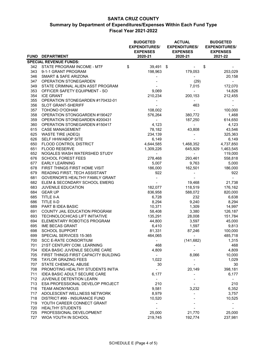|            |                                                         | <b>BUDGETED</b><br><b>EXPENDITURES/</b><br><b>EXPENSES</b> | <b>ACTUAL</b><br><b>EXPENDITURES/</b><br><b>EXPENSES</b> | <b>BUDGETED</b><br><b>EXPENDITURES/</b><br><b>EXPENSES</b> |
|------------|---------------------------------------------------------|------------------------------------------------------------|----------------------------------------------------------|------------------------------------------------------------|
|            | FUND DEPARTMENT                                         | 2020-21                                                    | 2020-21                                                  | 2021-22                                                    |
|            | <b>SPECIAL REVENUE FUNDS:</b>                           |                                                            |                                                          |                                                            |
|            | 342 STATE PROGRAM INCOME - MTF                          | \$<br>39,491 \$                                            |                                                          | \$                                                         |
| 343        | 9-1-1 GRANT PROGRAM                                     | 198,963                                                    | 179,053                                                  | 253,029                                                    |
| 346        | SMART & SAFE ARIZONA                                    |                                                            | $\overline{\phantom{a}}$                                 | 20,158                                                     |
| 347        | OPERATION STONEGARDEN                                   |                                                            | (29)                                                     |                                                            |
| 349        | STATE CRIMINAL ALIEN ASST PROGRAM                       |                                                            | 7,015                                                    | 172,070                                                    |
| 353        | OFFICER SAFETY EQUIPMENT - SO                           | 9,069                                                      | $\blacksquare$                                           | 14,826                                                     |
| 354        | <b>ICE GRANT</b>                                        | 210,234                                                    | 200,153                                                  | 212,455                                                    |
| 355        | OPERATION STONEGARDEN #170432-01                        |                                                            |                                                          |                                                            |
| 356        | <b>SLOT GRANT-SHERIFF</b>                               |                                                            | 463                                                      |                                                            |
| 357        | <b>TOHONO O'ODHAM</b>                                   | 108,002                                                    |                                                          | 100,000                                                    |
| 358        | OPERATION STONGGARDEN #190427                           | 576,264                                                    | 380,772                                                  | 1,468                                                      |
| 359        | OPERATION STONEGARDEN #200431                           | $\blacksquare$                                             | 187,250                                                  | 614,650                                                    |
| 360        | OPERATION STONEGARDEN #150417                           | 4,123                                                      | $\blacksquare$                                           | 4,123                                                      |
| 615        | <b>CASE MANAGEMENT</b>                                  | 78,182                                                     | 43.808                                                   | 43,546                                                     |
| 625        | <b>WASTE TIRE (ADEQ)</b>                                | 234,139                                                    | $\blacksquare$                                           | 325,363                                                    |
| 626        | SELF HHW/ABOP SITE                                      | 6,149                                                      |                                                          | 6,149                                                      |
| 650        | FLOOD CONTROL DISTRICT                                  | 4,644,585                                                  | 1,468,352                                                | 4,737,850                                                  |
| 651        | <b>FLOOD RESERVE</b>                                    | 1,309,226                                                  | 645,929                                                  | 1,463,545                                                  |
| 652        | NOGALES WASH WATERSHED STUDY                            | $\sim$                                                     | $\blacksquare$                                           | 119,000                                                    |
| 676        | <b>SCHOOL FOREST FEES</b>                               | 278,468                                                    | 293,461                                                  | 558,818                                                    |
| 677        | <b>EARLY LEARNING</b>                                   | 5,007                                                      | 9,763                                                    | 5,000                                                      |
| 678        | FIRST THINGS FIRST HOME VISIT                           | 186,000                                                    | 162,501                                                  | 186,000                                                    |
| 679        | READING FIRST, TECH ASSISTANT                           | 922                                                        |                                                          | 922                                                        |
| 681        | GOVERNOR'S HEALTHY FAMILY GRANT                         |                                                            |                                                          |                                                            |
| 682        | ELEM & SECONDARY SCHOOL EMERG                           |                                                            | 19,468                                                   | 21,738                                                     |
| 683        | JUVENILE EDUCATION                                      | 182,077                                                    | 118,519                                                  | 176,162                                                    |
| 684<br>685 | <b>GEAR UP</b><br>TITLE II-A                            | 836,958<br>6,728                                           | 588,072<br>232                                           | 820,000<br>6,638                                           |
| 686        | TITLE II-D                                              | 8,294                                                      | 9,240                                                    | 8,294                                                      |
| 689        | PART B IDEA BASIC                                       | 10,371                                                     | 1,309                                                    | 14,997                                                     |
| 691        | COUNTY JAIL EDUCATION PROGRAM                           | 58,408                                                     | 3,380                                                    | 126,187                                                    |
| 693        | TECHNOLOCHICAS LIFT INITIATIVE                          | 135,291                                                    | 28,008                                                   | 151,784                                                    |
| 694        | ELEMENTARY ROBOTICS PROGRAM                             | 44,800                                                     | 3,597                                                    | 45,000                                                     |
| 695        | <b>IME BECAS GRANT</b>                                  | 6,410                                                      | 1,597                                                    | 9,813                                                      |
| 698        | <b>SCHOOL SUPPORT</b>                                   | 81,331                                                     | 87,246                                                   | 100,000                                                    |
|            |                                                         |                                                            |                                                          |                                                            |
| 699<br>700 | SPECIAL SERVICES 15-365<br><b>SCC E-RATE CONSORTIUM</b> | 464,065                                                    | (141, 682)                                               | 485,718<br>1,315                                           |
| 701        | 21ST CENTURY COM. LEARNING                              | 468                                                        |                                                          | 468                                                        |
| 704        | <b>IDEA BASIC JUVENILE SECURE CARE</b>                  | 4,809                                                      |                                                          | 4,809                                                      |
| 705        | FIRST THINGS FIRST CAPACITY BUILDING                    |                                                            | 8,066                                                    | 10,000                                                     |
| 706        | <b>TAYLOR GRAZING FEES</b>                              | 1,022                                                      |                                                          | 1,029                                                      |
| 707        | STATE CHEMICAL ABUSE                                    | 30                                                         |                                                          | 30                                                         |
| 708        | PROMOTING HEALTHY STUDENTS INITIA                       |                                                            | 20,149                                                   | 398,181                                                    |
| 711        | <b>IDEA BASIC ADULT SECURE CARE</b>                     | 6,177                                                      |                                                          | 6,177                                                      |
| 712        | JUVENILE DETENTION LEARN                                |                                                            |                                                          |                                                            |
| 713        | ESA PROFESSIONAL DEVELOP PROJECT                        | 210                                                        |                                                          | 210                                                        |
| 716        | <b>TEAM ANONYMOUS</b>                                   | 9,581                                                      | 3,232                                                    | 6,352                                                      |
| 717        | ADOLESCENT WELLNESS NETWORK                             | 8,979                                                      |                                                          | 3,757                                                      |
| 718        | DISTRICT #99 - INSURANCE FUND                           | 10,520                                                     |                                                          | 10,525                                                     |
| 719        | YOUTH CAREER CONNECT GRANT                              |                                                            |                                                          |                                                            |
| 720        | <b>HEALTHY STUDENTS</b>                                 |                                                            |                                                          |                                                            |
| 725        | PROFESSIONAL DEVELOPMENT                                | 25,000                                                     | 21,770                                                   | 25,000                                                     |
| 727        | WIOA YOUTH IN SCHOOL                                    | 219,745                                                    | 192,774                                                  | 237,981                                                    |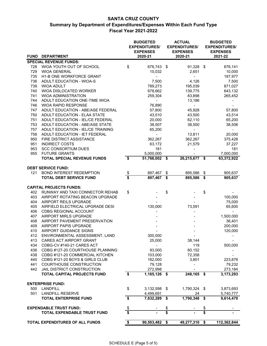|             |                                    |                         | <b>BUDGETED</b><br><b>EXPENDITURES/</b><br><b>EXPENSES</b> |                         | <b>ACTUAL</b><br><b>EXPENDITURES/</b><br><b>EXPENSES</b> | <b>BUDGETED</b><br><b>EXPENDITURES/</b><br><b>EXPENSES</b> |
|-------------|------------------------------------|-------------------------|------------------------------------------------------------|-------------------------|----------------------------------------------------------|------------------------------------------------------------|
| <b>FUND</b> | <b>DEPARTMENT</b>                  |                         | 2020-21                                                    |                         | 2020-21                                                  | 2021-22                                                    |
|             | <b>SPECIAL REVENUE FUNDS:</b>      |                         |                                                            |                         |                                                          |                                                            |
| 728         | WIOA YOUTH OUT OF SCHOOL           | \$                      | 676,743 \$                                                 |                         | 91,328 \$                                                | 676,141                                                    |
| 729         | <b>WIOA GENERAL</b>                |                         | 10,032                                                     |                         | 2,651                                                    | 10,000                                                     |
| 735         | H1-B ONE WORKFORCE GRANT           |                         | $\frac{1}{2}$                                              |                         | $\blacksquare$                                           | 197,977                                                    |
| 736         | ADULT EDUCATION - WIOA-S           |                         | 7,500                                                      |                         | 4,126                                                    | 7,500                                                      |
| 739         | <b>WIOA ADULT</b>                  |                         | 789,273                                                    |                         | 195,039                                                  | 871,027                                                    |
| 740         | WIOA DISLOCATED WORKER             |                         | 678,662                                                    |                         | 139,775                                                  | 643,132                                                    |
| 741         | <b>WIOA ADMINISTRATION</b>         |                         | 259,304                                                    |                         | 83,898                                                   | 265,452                                                    |
| 744         | ADULT EDUCATION ONE-TIME WIOA      |                         | $\blacksquare$                                             |                         | 13,186                                                   |                                                            |
| 746         | <b>WIOA RAPID RESPONSE</b>         |                         | 76,890                                                     |                         | $\blacksquare$                                           |                                                            |
| 747         | ADULT EDUCATION - ABE/ASE FEDERAL  |                         | 57,800                                                     |                         | 45,928                                                   | 57,800                                                     |
| 750         | ADULT EDUCATION - ELAA STATE       |                         | 43,510                                                     |                         | 43,500                                                   | 43,514                                                     |
| 751         | ADULT EDUCATION - IEL/CE FEDERAL   |                         | 20,000                                                     |                         | 62,110                                                   | 65,200                                                     |
| 753         | ADULT EDUCATION - ABE/ASE STATE    |                         | 38,507                                                     |                         | 38,500                                                   | 38,506                                                     |
| 757         | ADULT EDUCATION - IEL/CE TRAINING  |                         | 65,200                                                     |                         | $\blacksquare$                                           | $\blacksquare$                                             |
| 758         | ADULT EDUCATION - IET FEDERAL      |                         | $\blacksquare$                                             |                         | 13,811                                                   | 20,000                                                     |
| 950         | FIRE DISTRICT ASSISTANCE           |                         | 362,267                                                    |                         | 362,267                                                  | 375,428                                                    |
| 951         | <b>INDIRECT COSTS</b>              |                         | 63,172                                                     |                         | 21,579                                                   | 37,227                                                     |
| 953         | <b>SCC CONSORTIUM DUES</b>         |                         | 181                                                        |                         |                                                          | 181                                                        |
| 955         | <b>FUTURE GRANTS</b>               |                         | 5,000,000                                                  |                         |                                                          | 7,000,000                                                  |
|             | <b>TOTAL SPECIAL REVENUE FUNDS</b> | \$                      | 51,768,002                                                 | \$                      | 26,215,677 \$                                            | 63,372,922                                                 |
|             |                                    |                         |                                                            |                         |                                                          |                                                            |
|             | <b>DEBT SERVICE FUND:</b>          |                         |                                                            |                         |                                                          |                                                            |
| 121         | <b>BOND INTEREST REDEMPTION</b>    | \$                      | 897,467                                                    | \$                      | 895,586                                                  | \$<br>905,637                                              |
|             | <b>TOTAL DEBT SERVICE FUND</b>     | \$                      | 897,467                                                    | \$                      | 895,586                                                  | \$<br>905,637                                              |
|             |                                    |                         |                                                            |                         |                                                          |                                                            |
|             | <b>CAPITAL PROJECTS FUNDS:</b>     |                         |                                                            |                         |                                                          |                                                            |
| 402         | RUNWAY AND TAXI CONNECTOR REHAB    | \$                      |                                                            | \$                      |                                                          | \$                                                         |
| 403         | AIRPORT ROTATING BEACON UPGRADE    |                         |                                                            |                         |                                                          | 100,000                                                    |
| 404         | AIRPORT REILS UPGRADE              |                         |                                                            |                         |                                                          | 75,000                                                     |
| 405         | AIRFIELD ELECTRICAL UPGRADE DESI   |                         | 130,000                                                    |                         | 73,591                                                   | 65,600                                                     |
| 406         | CDBG REGIONAL ACCOUNT              |                         |                                                            |                         |                                                          | $\sim$                                                     |
|             |                                    |                         |                                                            |                         |                                                          |                                                            |
| 407         | AIRPORT MIRLS UPGRADE              |                         |                                                            |                         |                                                          | 1,500,000                                                  |
| 408         | AIRPORT PAVEMENT PRESERVATION      |                         |                                                            |                         |                                                          | 36,401                                                     |
| 409         | AIRPORT PAPIS UPGRADE              |                         |                                                            |                         |                                                          | 200,000                                                    |
| 410         | AIRPORT GUIDANCE SIGNS             |                         |                                                            |                         |                                                          | 120,000                                                    |
| 412         | ENVIRONMENTAL ASSESSMENT, LAND     |                         | 300,000                                                    |                         | $\blacksquare$                                           |                                                            |
| 413         | CARES ACT AIRPORT GRANT            |                         | 25,000                                                     |                         | 38,144                                                   |                                                            |
| 434         | CDBG-CV #140-21 CARES ACT          |                         |                                                            |                         | 119                                                      | 500,000                                                    |
| 436         | CDBG #127-20 COURTHOUSE PLANNING   |                         | 93,000                                                     |                         | 60,152                                                   |                                                            |
| 438         | CDBG #121-20 COMMERCIAL KITCHEN    |                         | 103,000                                                    |                         | 72,358                                                   |                                                            |
| 440         | CDBG #121-20 BOYS & GIRLS CLUB     |                         | 162,000                                                    |                         | 3,801                                                    | 223,876                                                    |
| 441         | COURTHOUSE CONSTRUCTION            |                         | 79,128                                                     |                         |                                                          | 79,232                                                     |
| 442         | JAIL DISTRICT CONSTRUCTION         |                         | 272,998                                                    |                         |                                                          | 273,184                                                    |
|             | TOTAL CAPITAL PROJECTS FUND        | \$                      | 1,165,126 \$                                               |                         | $248,165$ \$                                             | 3, 173, 293                                                |
|             |                                    |                         |                                                            |                         |                                                          |                                                            |
|             | <b>ENTERPRISE FUND:</b>            |                         |                                                            |                         |                                                          |                                                            |
| 500         | <b>LANDFILL</b>                    | \$                      | 3,132,598                                                  | -\$                     | 1,790,324 \$                                             | 3,873,693                                                  |
| 501         | <b>LANDFILL RESERVE</b>            |                         | 4,499,691                                                  |                         | 24                                                       | 5,740,777                                                  |
|             | <b>TOTAL ENTERPRISE FUND</b>       | \$                      | 7,632,289                                                  | \$                      | 1,790,348                                                | \$<br>9,614,470                                            |
|             |                                    |                         |                                                            |                         |                                                          |                                                            |
|             | <b>EXPENDABLE TRUST FUND:</b>      | \$                      |                                                            | \$                      |                                                          | \$                                                         |
|             | TOTAL EXPENDABLE TRUST FUND        | $\overline{\mathbf{s}}$ |                                                            | $\overline{\mathsf{s}}$ |                                                          | \$                                                         |
|             | TOTAL EXPENDITURES OF ALL FUNDS    |                         | 90,503,482                                                 | \$                      | 49,277,310                                               | \$<br>112,362,844                                          |
|             |                                    | \$                      |                                                            |                         |                                                          |                                                            |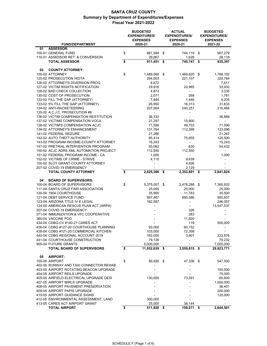| <b>FUND/DEPARTMENT</b><br>2020-21<br>2020-21<br>2021-22<br><b>ASSESSOR:</b><br>01<br>100-01 GENERAL FUND<br>\$<br>881,584<br>\$<br>744,119 \$<br>1,628<br>110-01 ASSESSOR RET. & CONVERSION<br>29,867<br>\$<br>745,747<br>911,451<br>\$<br><b>TOTAL ASSESSOR</b><br>\$<br>02<br><b>COUNTY ATTORNEY:</b><br>\$<br>100-02 ATTORNEY<br>1,489,560<br>\$<br>1,469,820 \$<br>125-02 PROSECUTION HIDTA<br>294,003<br>221,107<br>126-02 ATTORNEY'S DIVERSION PROG.<br>6,872<br>$\overline{\phantom{a}}$<br>127-02 VICTIM RIGHTS NOTIFICATION<br>29,916<br>20,965<br>4,873<br>128-02 BAD CHECK COLLECTION<br>130-02 COST OF PROSECUTION<br>2,071<br>268<br>132-02 FILL THE GAP (ATTORNEY)<br>7,484<br>1,446<br>133-02 5% FILL THE GAP (ATTORNEY)<br>26,950<br>16,313<br>134-02 ANTI-RACKETEERING<br>207,004<br>240,251<br>135-02 A.C.J.C. PROSECUTION #6<br>-<br>136-02 VICTIM COMPENSATION RESTITUTION<br>36,332<br>137-02 VICTIMS COMPENSATION VOCA<br>21,297<br>15,800<br>138-02 VICTIM'S COMPENSATION ACJC<br>71,590<br>49,703<br>139-02 ATTORNEY'S ENHANCEMENT<br>131,764<br>112,399<br>141-02 FEDERAL SEIZURE<br>21,266<br>$\blacksquare$<br>142-02 AUTO THEFT AUTHORITY<br>85,414<br>75,655<br>143-02 PROGRAM INCOME-COUNTY ATTORNEY<br>16,243<br>147-02 PRETRIAL INTERVENTION PROGRAM<br>55,062<br>630<br>150-02 ACJC ADRS XML AUTOMATION PROJECT<br>112,550<br>112,550<br>151-02 FEDERAL PROGRAM INCOME - CA<br>1,000<br>$\overline{\phantom{a}}$<br>152-02 VICTIMS OF CRIME - STRIVE<br>4,115<br>9,639<br>155-02 SLOT GRANT-COUNTY ATTORNEY<br>4,926<br>-<br>207-02 COVID-19 EMERGENCY<br>2,129<br>\$<br><b>TOTAL COUNTY ATTORNEY</b><br>2,625,366<br>2,353,601<br>2,841,824<br>\$<br>\$<br>04<br><b>BOARD OF SUPERVISORS:</b><br>\$<br>100-04 BOARD OF SUPERVISORS<br>5,375,057 \$<br>2,478,288<br>7,360,932<br>\$<br>117-04 SANTA CRUZ FAIR ASSOCIATION<br>25,000<br>25,000<br>120-04 1904 COURTHOUSE<br>35,900<br>11,783<br>121-04 DEBT SERVICE FUND<br>897,467<br>895,586<br>123-04 ARIZONA TITLE IV-E LEGAL<br>162,087<br>$\overline{\phantom{m}}$<br>124-04 AMERICAN RESCUE PLAN ACT (ARPA)<br>13,547,537<br>207-04 COVID-19 EMERGENCY<br>326<br>283<br>371-04 IMMUNIZATION & VFC COOPERATIVE<br>380-04 VACCINE POD<br>11,920<br>434-04 CDBG-CV #140-21 CARES ACT<br>500,000<br>119<br>436-04 CDBG #127-20 COURTHOUSE PLANNING<br>93,000<br>60,152<br>438-04 CDBG #121-20 COMMERCIAL KITCHEN<br>103,000<br>72,358<br>440-04 CDBG REGIONAL ACCOUNT 2019<br>162,000<br>3,801 | 907,279<br>28,118        |
|-----------------------------------------------------------------------------------------------------------------------------------------------------------------------------------------------------------------------------------------------------------------------------------------------------------------------------------------------------------------------------------------------------------------------------------------------------------------------------------------------------------------------------------------------------------------------------------------------------------------------------------------------------------------------------------------------------------------------------------------------------------------------------------------------------------------------------------------------------------------------------------------------------------------------------------------------------------------------------------------------------------------------------------------------------------------------------------------------------------------------------------------------------------------------------------------------------------------------------------------------------------------------------------------------------------------------------------------------------------------------------------------------------------------------------------------------------------------------------------------------------------------------------------------------------------------------------------------------------------------------------------------------------------------------------------------------------------------------------------------------------------------------------------------------------------------------------------------------------------------------------------------------------------------------------------------------------------------------------------------------------------------------------------------------------------------------------------------------------------------------------------------------------------------------------------------------------------------------------------------------------------------------------------------------------------------------------------------------------------------------------------------------------------------------------------------------------------------------------------|--------------------------|
|                                                                                                                                                                                                                                                                                                                                                                                                                                                                                                                                                                                                                                                                                                                                                                                                                                                                                                                                                                                                                                                                                                                                                                                                                                                                                                                                                                                                                                                                                                                                                                                                                                                                                                                                                                                                                                                                                                                                                                                                                                                                                                                                                                                                                                                                                                                                                                                                                                                                                   |                          |
|                                                                                                                                                                                                                                                                                                                                                                                                                                                                                                                                                                                                                                                                                                                                                                                                                                                                                                                                                                                                                                                                                                                                                                                                                                                                                                                                                                                                                                                                                                                                                                                                                                                                                                                                                                                                                                                                                                                                                                                                                                                                                                                                                                                                                                                                                                                                                                                                                                                                                   |                          |
|                                                                                                                                                                                                                                                                                                                                                                                                                                                                                                                                                                                                                                                                                                                                                                                                                                                                                                                                                                                                                                                                                                                                                                                                                                                                                                                                                                                                                                                                                                                                                                                                                                                                                                                                                                                                                                                                                                                                                                                                                                                                                                                                                                                                                                                                                                                                                                                                                                                                                   |                          |
|                                                                                                                                                                                                                                                                                                                                                                                                                                                                                                                                                                                                                                                                                                                                                                                                                                                                                                                                                                                                                                                                                                                                                                                                                                                                                                                                                                                                                                                                                                                                                                                                                                                                                                                                                                                                                                                                                                                                                                                                                                                                                                                                                                                                                                                                                                                                                                                                                                                                                   |                          |
|                                                                                                                                                                                                                                                                                                                                                                                                                                                                                                                                                                                                                                                                                                                                                                                                                                                                                                                                                                                                                                                                                                                                                                                                                                                                                                                                                                                                                                                                                                                                                                                                                                                                                                                                                                                                                                                                                                                                                                                                                                                                                                                                                                                                                                                                                                                                                                                                                                                                                   | 935,397                  |
|                                                                                                                                                                                                                                                                                                                                                                                                                                                                                                                                                                                                                                                                                                                                                                                                                                                                                                                                                                                                                                                                                                                                                                                                                                                                                                                                                                                                                                                                                                                                                                                                                                                                                                                                                                                                                                                                                                                                                                                                                                                                                                                                                                                                                                                                                                                                                                                                                                                                                   |                          |
|                                                                                                                                                                                                                                                                                                                                                                                                                                                                                                                                                                                                                                                                                                                                                                                                                                                                                                                                                                                                                                                                                                                                                                                                                                                                                                                                                                                                                                                                                                                                                                                                                                                                                                                                                                                                                                                                                                                                                                                                                                                                                                                                                                                                                                                                                                                                                                                                                                                                                   |                          |
|                                                                                                                                                                                                                                                                                                                                                                                                                                                                                                                                                                                                                                                                                                                                                                                                                                                                                                                                                                                                                                                                                                                                                                                                                                                                                                                                                                                                                                                                                                                                                                                                                                                                                                                                                                                                                                                                                                                                                                                                                                                                                                                                                                                                                                                                                                                                                                                                                                                                                   | 1,768,102                |
|                                                                                                                                                                                                                                                                                                                                                                                                                                                                                                                                                                                                                                                                                                                                                                                                                                                                                                                                                                                                                                                                                                                                                                                                                                                                                                                                                                                                                                                                                                                                                                                                                                                                                                                                                                                                                                                                                                                                                                                                                                                                                                                                                                                                                                                                                                                                                                                                                                                                                   | 320,764                  |
|                                                                                                                                                                                                                                                                                                                                                                                                                                                                                                                                                                                                                                                                                                                                                                                                                                                                                                                                                                                                                                                                                                                                                                                                                                                                                                                                                                                                                                                                                                                                                                                                                                                                                                                                                                                                                                                                                                                                                                                                                                                                                                                                                                                                                                                                                                                                                                                                                                                                                   | 7,611                    |
|                                                                                                                                                                                                                                                                                                                                                                                                                                                                                                                                                                                                                                                                                                                                                                                                                                                                                                                                                                                                                                                                                                                                                                                                                                                                                                                                                                                                                                                                                                                                                                                                                                                                                                                                                                                                                                                                                                                                                                                                                                                                                                                                                                                                                                                                                                                                                                                                                                                                                   | 33,932                   |
|                                                                                                                                                                                                                                                                                                                                                                                                                                                                                                                                                                                                                                                                                                                                                                                                                                                                                                                                                                                                                                                                                                                                                                                                                                                                                                                                                                                                                                                                                                                                                                                                                                                                                                                                                                                                                                                                                                                                                                                                                                                                                                                                                                                                                                                                                                                                                                                                                                                                                   | 3,335                    |
|                                                                                                                                                                                                                                                                                                                                                                                                                                                                                                                                                                                                                                                                                                                                                                                                                                                                                                                                                                                                                                                                                                                                                                                                                                                                                                                                                                                                                                                                                                                                                                                                                                                                                                                                                                                                                                                                                                                                                                                                                                                                                                                                                                                                                                                                                                                                                                                                                                                                                   | 1,761                    |
|                                                                                                                                                                                                                                                                                                                                                                                                                                                                                                                                                                                                                                                                                                                                                                                                                                                                                                                                                                                                                                                                                                                                                                                                                                                                                                                                                                                                                                                                                                                                                                                                                                                                                                                                                                                                                                                                                                                                                                                                                                                                                                                                                                                                                                                                                                                                                                                                                                                                                   | 9,205                    |
|                                                                                                                                                                                                                                                                                                                                                                                                                                                                                                                                                                                                                                                                                                                                                                                                                                                                                                                                                                                                                                                                                                                                                                                                                                                                                                                                                                                                                                                                                                                                                                                                                                                                                                                                                                                                                                                                                                                                                                                                                                                                                                                                                                                                                                                                                                                                                                                                                                                                                   | 31,633                   |
|                                                                                                                                                                                                                                                                                                                                                                                                                                                                                                                                                                                                                                                                                                                                                                                                                                                                                                                                                                                                                                                                                                                                                                                                                                                                                                                                                                                                                                                                                                                                                                                                                                                                                                                                                                                                                                                                                                                                                                                                                                                                                                                                                                                                                                                                                                                                                                                                                                                                                   | 216,484                  |
|                                                                                                                                                                                                                                                                                                                                                                                                                                                                                                                                                                                                                                                                                                                                                                                                                                                                                                                                                                                                                                                                                                                                                                                                                                                                                                                                                                                                                                                                                                                                                                                                                                                                                                                                                                                                                                                                                                                                                                                                                                                                                                                                                                                                                                                                                                                                                                                                                                                                                   | $\overline{\phantom{a}}$ |
|                                                                                                                                                                                                                                                                                                                                                                                                                                                                                                                                                                                                                                                                                                                                                                                                                                                                                                                                                                                                                                                                                                                                                                                                                                                                                                                                                                                                                                                                                                                                                                                                                                                                                                                                                                                                                                                                                                                                                                                                                                                                                                                                                                                                                                                                                                                                                                                                                                                                                   | 36,869                   |
|                                                                                                                                                                                                                                                                                                                                                                                                                                                                                                                                                                                                                                                                                                                                                                                                                                                                                                                                                                                                                                                                                                                                                                                                                                                                                                                                                                                                                                                                                                                                                                                                                                                                                                                                                                                                                                                                                                                                                                                                                                                                                                                                                                                                                                                                                                                                                                                                                                                                                   |                          |
|                                                                                                                                                                                                                                                                                                                                                                                                                                                                                                                                                                                                                                                                                                                                                                                                                                                                                                                                                                                                                                                                                                                                                                                                                                                                                                                                                                                                                                                                                                                                                                                                                                                                                                                                                                                                                                                                                                                                                                                                                                                                                                                                                                                                                                                                                                                                                                                                                                                                                   | 71,590                   |
|                                                                                                                                                                                                                                                                                                                                                                                                                                                                                                                                                                                                                                                                                                                                                                                                                                                                                                                                                                                                                                                                                                                                                                                                                                                                                                                                                                                                                                                                                                                                                                                                                                                                                                                                                                                                                                                                                                                                                                                                                                                                                                                                                                                                                                                                                                                                                                                                                                                                                   | 123,096                  |
|                                                                                                                                                                                                                                                                                                                                                                                                                                                                                                                                                                                                                                                                                                                                                                                                                                                                                                                                                                                                                                                                                                                                                                                                                                                                                                                                                                                                                                                                                                                                                                                                                                                                                                                                                                                                                                                                                                                                                                                                                                                                                                                                                                                                                                                                                                                                                                                                                                                                                   | 21,267                   |
|                                                                                                                                                                                                                                                                                                                                                                                                                                                                                                                                                                                                                                                                                                                                                                                                                                                                                                                                                                                                                                                                                                                                                                                                                                                                                                                                                                                                                                                                                                                                                                                                                                                                                                                                                                                                                                                                                                                                                                                                                                                                                                                                                                                                                                                                                                                                                                                                                                                                                   | 125,500                  |
|                                                                                                                                                                                                                                                                                                                                                                                                                                                                                                                                                                                                                                                                                                                                                                                                                                                                                                                                                                                                                                                                                                                                                                                                                                                                                                                                                                                                                                                                                                                                                                                                                                                                                                                                                                                                                                                                                                                                                                                                                                                                                                                                                                                                                                                                                                                                                                                                                                                                                   | 15,243                   |
|                                                                                                                                                                                                                                                                                                                                                                                                                                                                                                                                                                                                                                                                                                                                                                                                                                                                                                                                                                                                                                                                                                                                                                                                                                                                                                                                                                                                                                                                                                                                                                                                                                                                                                                                                                                                                                                                                                                                                                                                                                                                                                                                                                                                                                                                                                                                                                                                                                                                                   | 54,432                   |
|                                                                                                                                                                                                                                                                                                                                                                                                                                                                                                                                                                                                                                                                                                                                                                                                                                                                                                                                                                                                                                                                                                                                                                                                                                                                                                                                                                                                                                                                                                                                                                                                                                                                                                                                                                                                                                                                                                                                                                                                                                                                                                                                                                                                                                                                                                                                                                                                                                                                                   |                          |
|                                                                                                                                                                                                                                                                                                                                                                                                                                                                                                                                                                                                                                                                                                                                                                                                                                                                                                                                                                                                                                                                                                                                                                                                                                                                                                                                                                                                                                                                                                                                                                                                                                                                                                                                                                                                                                                                                                                                                                                                                                                                                                                                                                                                                                                                                                                                                                                                                                                                                   | 1,000                    |
|                                                                                                                                                                                                                                                                                                                                                                                                                                                                                                                                                                                                                                                                                                                                                                                                                                                                                                                                                                                                                                                                                                                                                                                                                                                                                                                                                                                                                                                                                                                                                                                                                                                                                                                                                                                                                                                                                                                                                                                                                                                                                                                                                                                                                                                                                                                                                                                                                                                                                   |                          |
|                                                                                                                                                                                                                                                                                                                                                                                                                                                                                                                                                                                                                                                                                                                                                                                                                                                                                                                                                                                                                                                                                                                                                                                                                                                                                                                                                                                                                                                                                                                                                                                                                                                                                                                                                                                                                                                                                                                                                                                                                                                                                                                                                                                                                                                                                                                                                                                                                                                                                   |                          |
|                                                                                                                                                                                                                                                                                                                                                                                                                                                                                                                                                                                                                                                                                                                                                                                                                                                                                                                                                                                                                                                                                                                                                                                                                                                                                                                                                                                                                                                                                                                                                                                                                                                                                                                                                                                                                                                                                                                                                                                                                                                                                                                                                                                                                                                                                                                                                                                                                                                                                   |                          |
|                                                                                                                                                                                                                                                                                                                                                                                                                                                                                                                                                                                                                                                                                                                                                                                                                                                                                                                                                                                                                                                                                                                                                                                                                                                                                                                                                                                                                                                                                                                                                                                                                                                                                                                                                                                                                                                                                                                                                                                                                                                                                                                                                                                                                                                                                                                                                                                                                                                                                   |                          |
|                                                                                                                                                                                                                                                                                                                                                                                                                                                                                                                                                                                                                                                                                                                                                                                                                                                                                                                                                                                                                                                                                                                                                                                                                                                                                                                                                                                                                                                                                                                                                                                                                                                                                                                                                                                                                                                                                                                                                                                                                                                                                                                                                                                                                                                                                                                                                                                                                                                                                   |                          |
|                                                                                                                                                                                                                                                                                                                                                                                                                                                                                                                                                                                                                                                                                                                                                                                                                                                                                                                                                                                                                                                                                                                                                                                                                                                                                                                                                                                                                                                                                                                                                                                                                                                                                                                                                                                                                                                                                                                                                                                                                                                                                                                                                                                                                                                                                                                                                                                                                                                                                   |                          |
|                                                                                                                                                                                                                                                                                                                                                                                                                                                                                                                                                                                                                                                                                                                                                                                                                                                                                                                                                                                                                                                                                                                                                                                                                                                                                                                                                                                                                                                                                                                                                                                                                                                                                                                                                                                                                                                                                                                                                                                                                                                                                                                                                                                                                                                                                                                                                                                                                                                                                   |                          |
|                                                                                                                                                                                                                                                                                                                                                                                                                                                                                                                                                                                                                                                                                                                                                                                                                                                                                                                                                                                                                                                                                                                                                                                                                                                                                                                                                                                                                                                                                                                                                                                                                                                                                                                                                                                                                                                                                                                                                                                                                                                                                                                                                                                                                                                                                                                                                                                                                                                                                   | 25,000                   |
|                                                                                                                                                                                                                                                                                                                                                                                                                                                                                                                                                                                                                                                                                                                                                                                                                                                                                                                                                                                                                                                                                                                                                                                                                                                                                                                                                                                                                                                                                                                                                                                                                                                                                                                                                                                                                                                                                                                                                                                                                                                                                                                                                                                                                                                                                                                                                                                                                                                                                   | 35,500                   |
|                                                                                                                                                                                                                                                                                                                                                                                                                                                                                                                                                                                                                                                                                                                                                                                                                                                                                                                                                                                                                                                                                                                                                                                                                                                                                                                                                                                                                                                                                                                                                                                                                                                                                                                                                                                                                                                                                                                                                                                                                                                                                                                                                                                                                                                                                                                                                                                                                                                                                   | 905,637                  |
|                                                                                                                                                                                                                                                                                                                                                                                                                                                                                                                                                                                                                                                                                                                                                                                                                                                                                                                                                                                                                                                                                                                                                                                                                                                                                                                                                                                                                                                                                                                                                                                                                                                                                                                                                                                                                                                                                                                                                                                                                                                                                                                                                                                                                                                                                                                                                                                                                                                                                   | 246,057                  |
|                                                                                                                                                                                                                                                                                                                                                                                                                                                                                                                                                                                                                                                                                                                                                                                                                                                                                                                                                                                                                                                                                                                                                                                                                                                                                                                                                                                                                                                                                                                                                                                                                                                                                                                                                                                                                                                                                                                                                                                                                                                                                                                                                                                                                                                                                                                                                                                                                                                                                   |                          |
|                                                                                                                                                                                                                                                                                                                                                                                                                                                                                                                                                                                                                                                                                                                                                                                                                                                                                                                                                                                                                                                                                                                                                                                                                                                                                                                                                                                                                                                                                                                                                                                                                                                                                                                                                                                                                                                                                                                                                                                                                                                                                                                                                                                                                                                                                                                                                                                                                                                                                   |                          |
|                                                                                                                                                                                                                                                                                                                                                                                                                                                                                                                                                                                                                                                                                                                                                                                                                                                                                                                                                                                                                                                                                                                                                                                                                                                                                                                                                                                                                                                                                                                                                                                                                                                                                                                                                                                                                                                                                                                                                                                                                                                                                                                                                                                                                                                                                                                                                                                                                                                                                   |                          |
|                                                                                                                                                                                                                                                                                                                                                                                                                                                                                                                                                                                                                                                                                                                                                                                                                                                                                                                                                                                                                                                                                                                                                                                                                                                                                                                                                                                                                                                                                                                                                                                                                                                                                                                                                                                                                                                                                                                                                                                                                                                                                                                                                                                                                                                                                                                                                                                                                                                                                   |                          |
|                                                                                                                                                                                                                                                                                                                                                                                                                                                                                                                                                                                                                                                                                                                                                                                                                                                                                                                                                                                                                                                                                                                                                                                                                                                                                                                                                                                                                                                                                                                                                                                                                                                                                                                                                                                                                                                                                                                                                                                                                                                                                                                                                                                                                                                                                                                                                                                                                                                                                   |                          |
|                                                                                                                                                                                                                                                                                                                                                                                                                                                                                                                                                                                                                                                                                                                                                                                                                                                                                                                                                                                                                                                                                                                                                                                                                                                                                                                                                                                                                                                                                                                                                                                                                                                                                                                                                                                                                                                                                                                                                                                                                                                                                                                                                                                                                                                                                                                                                                                                                                                                                   |                          |
|                                                                                                                                                                                                                                                                                                                                                                                                                                                                                                                                                                                                                                                                                                                                                                                                                                                                                                                                                                                                                                                                                                                                                                                                                                                                                                                                                                                                                                                                                                                                                                                                                                                                                                                                                                                                                                                                                                                                                                                                                                                                                                                                                                                                                                                                                                                                                                                                                                                                                   |                          |
|                                                                                                                                                                                                                                                                                                                                                                                                                                                                                                                                                                                                                                                                                                                                                                                                                                                                                                                                                                                                                                                                                                                                                                                                                                                                                                                                                                                                                                                                                                                                                                                                                                                                                                                                                                                                                                                                                                                                                                                                                                                                                                                                                                                                                                                                                                                                                                                                                                                                                   | 223,876                  |
| 441-04 COURTHOUSE CONSTRUCTION<br>79,128<br>-<br>955-04 FUTURE GRANTS                                                                                                                                                                                                                                                                                                                                                                                                                                                                                                                                                                                                                                                                                                                                                                                                                                                                                                                                                                                                                                                                                                                                                                                                                                                                                                                                                                                                                                                                                                                                                                                                                                                                                                                                                                                                                                                                                                                                                                                                                                                                                                                                                                                                                                                                                                                                                                                                             | 79,232                   |
| 5,000,000<br>\$<br><b>TOTAL BOARD OF SUPERVISORS</b><br>11,932,639 \$<br>3,559,615 \$                                                                                                                                                                                                                                                                                                                                                                                                                                                                                                                                                                                                                                                                                                                                                                                                                                                                                                                                                                                                                                                                                                                                                                                                                                                                                                                                                                                                                                                                                                                                                                                                                                                                                                                                                                                                                                                                                                                                                                                                                                                                                                                                                                                                                                                                                                                                                                                             | 7,000,000<br>29,923,771  |
|                                                                                                                                                                                                                                                                                                                                                                                                                                                                                                                                                                                                                                                                                                                                                                                                                                                                                                                                                                                                                                                                                                                                                                                                                                                                                                                                                                                                                                                                                                                                                                                                                                                                                                                                                                                                                                                                                                                                                                                                                                                                                                                                                                                                                                                                                                                                                                                                                                                                                   |                          |
| <b>AIRPORT:</b><br>05                                                                                                                                                                                                                                                                                                                                                                                                                                                                                                                                                                                                                                                                                                                                                                                                                                                                                                                                                                                                                                                                                                                                                                                                                                                                                                                                                                                                                                                                                                                                                                                                                                                                                                                                                                                                                                                                                                                                                                                                                                                                                                                                                                                                                                                                                                                                                                                                                                                             |                          |
| \$<br>100-05 AIRPORT<br>56,920<br>47,336 \$<br>\$                                                                                                                                                                                                                                                                                                                                                                                                                                                                                                                                                                                                                                                                                                                                                                                                                                                                                                                                                                                                                                                                                                                                                                                                                                                                                                                                                                                                                                                                                                                                                                                                                                                                                                                                                                                                                                                                                                                                                                                                                                                                                                                                                                                                                                                                                                                                                                                                                                 | 547,500                  |
| 402-05 RUNWAY AND TAXI CONNECTOR REHAB                                                                                                                                                                                                                                                                                                                                                                                                                                                                                                                                                                                                                                                                                                                                                                                                                                                                                                                                                                                                                                                                                                                                                                                                                                                                                                                                                                                                                                                                                                                                                                                                                                                                                                                                                                                                                                                                                                                                                                                                                                                                                                                                                                                                                                                                                                                                                                                                                                            |                          |
| 403-05 AIRPORT ROTATING BEACON UPGRADE                                                                                                                                                                                                                                                                                                                                                                                                                                                                                                                                                                                                                                                                                                                                                                                                                                                                                                                                                                                                                                                                                                                                                                                                                                                                                                                                                                                                                                                                                                                                                                                                                                                                                                                                                                                                                                                                                                                                                                                                                                                                                                                                                                                                                                                                                                                                                                                                                                            | 100,000                  |
| 404-05 AIRPORT REILS UPGRADE                                                                                                                                                                                                                                                                                                                                                                                                                                                                                                                                                                                                                                                                                                                                                                                                                                                                                                                                                                                                                                                                                                                                                                                                                                                                                                                                                                                                                                                                                                                                                                                                                                                                                                                                                                                                                                                                                                                                                                                                                                                                                                                                                                                                                                                                                                                                                                                                                                                      | 75,000                   |
| 405-05 AIRFIELD ELECTRICAL UPGRADE DESI<br>130,000<br>73,591                                                                                                                                                                                                                                                                                                                                                                                                                                                                                                                                                                                                                                                                                                                                                                                                                                                                                                                                                                                                                                                                                                                                                                                                                                                                                                                                                                                                                                                                                                                                                                                                                                                                                                                                                                                                                                                                                                                                                                                                                                                                                                                                                                                                                                                                                                                                                                                                                      | 65,600                   |
| 407-05 AIRPORT MIRLS UPGRADE                                                                                                                                                                                                                                                                                                                                                                                                                                                                                                                                                                                                                                                                                                                                                                                                                                                                                                                                                                                                                                                                                                                                                                                                                                                                                                                                                                                                                                                                                                                                                                                                                                                                                                                                                                                                                                                                                                                                                                                                                                                                                                                                                                                                                                                                                                                                                                                                                                                      | 1,500,000                |
| 408-05 AIRPORT PAVEMENT PRESERVATION                                                                                                                                                                                                                                                                                                                                                                                                                                                                                                                                                                                                                                                                                                                                                                                                                                                                                                                                                                                                                                                                                                                                                                                                                                                                                                                                                                                                                                                                                                                                                                                                                                                                                                                                                                                                                                                                                                                                                                                                                                                                                                                                                                                                                                                                                                                                                                                                                                              | 36,401                   |
| 409-05 AIRPORT PAPIS UPGRADE                                                                                                                                                                                                                                                                                                                                                                                                                                                                                                                                                                                                                                                                                                                                                                                                                                                                                                                                                                                                                                                                                                                                                                                                                                                                                                                                                                                                                                                                                                                                                                                                                                                                                                                                                                                                                                                                                                                                                                                                                                                                                                                                                                                                                                                                                                                                                                                                                                                      | 200,000                  |
| 410-05 AIRPORT GUIDANCE SIGNS                                                                                                                                                                                                                                                                                                                                                                                                                                                                                                                                                                                                                                                                                                                                                                                                                                                                                                                                                                                                                                                                                                                                                                                                                                                                                                                                                                                                                                                                                                                                                                                                                                                                                                                                                                                                                                                                                                                                                                                                                                                                                                                                                                                                                                                                                                                                                                                                                                                     | 120,000                  |
| 412-05 ENVIRONMENTAL ASSESSMENT, LAND<br>300,000                                                                                                                                                                                                                                                                                                                                                                                                                                                                                                                                                                                                                                                                                                                                                                                                                                                                                                                                                                                                                                                                                                                                                                                                                                                                                                                                                                                                                                                                                                                                                                                                                                                                                                                                                                                                                                                                                                                                                                                                                                                                                                                                                                                                                                                                                                                                                                                                                                  |                          |
| 413-05 CARES ACT AIRPORT GRANT<br>25,000<br>38,144                                                                                                                                                                                                                                                                                                                                                                                                                                                                                                                                                                                                                                                                                                                                                                                                                                                                                                                                                                                                                                                                                                                                                                                                                                                                                                                                                                                                                                                                                                                                                                                                                                                                                                                                                                                                                                                                                                                                                                                                                                                                                                                                                                                                                                                                                                                                                                                                                                |                          |
| \$<br>159,071<br>2,644,501<br><b>TOTAL AIRPORT</b><br>511,920<br>\$<br>\$                                                                                                                                                                                                                                                                                                                                                                                                                                                                                                                                                                                                                                                                                                                                                                                                                                                                                                                                                                                                                                                                                                                                                                                                                                                                                                                                                                                                                                                                                                                                                                                                                                                                                                                                                                                                                                                                                                                                                                                                                                                                                                                                                                                                                                                                                                                                                                                                         |                          |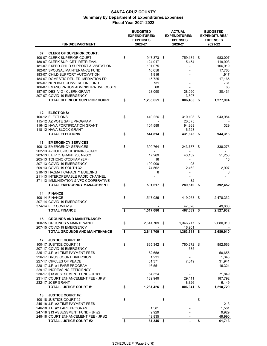| <b>FUND/DEPARTMENT</b>                                             | <b>BUDGETED</b><br><b>EXPENDITURES/</b><br><b>EXPENSES</b><br>2020-21 |      | <b>ACTUAL</b><br><b>EXPENDITURES/</b><br><b>EXPENSES</b><br>2020-21 | <b>BUDGETED</b><br><b>EXPENDITURES/</b><br><b>EXPENSES</b><br>2021-22 |
|--------------------------------------------------------------------|-----------------------------------------------------------------------|------|---------------------------------------------------------------------|-----------------------------------------------------------------------|
|                                                                    |                                                                       |      |                                                                     |                                                                       |
| 07<br><b>CLERK OF SUPERIOR COURT:</b>                              |                                                                       |      |                                                                     |                                                                       |
| 100-07 CLERK SUPERIOR COURT                                        | \$<br>947,373 \$                                                      |      | 759,134 \$                                                          | 983,007                                                               |
| 180-07 CLERK SUP. CRT. RETRIEVAL                                   | 124,017                                                               |      | 15,454                                                              | 119,903                                                               |
| 181-07 EXPED CHILD SUPPORT & VISITATION                            | 101,075                                                               |      |                                                                     | 106,919                                                               |
| 182-07 SPOUSAL MAINTENANCE FUND<br>183-07 CHILD SUPPORT AUTOMATION | 16,656<br>1,916                                                       |      |                                                                     | 17,763<br>1,917                                                       |
| 184-07 DOMESTIC REL. ED. MEDIATION FD                              | 15,725                                                                |      |                                                                     | 17,165                                                                |
| 185-07 NON IV-D CONVERSION FUND                                    | 731                                                                   |      |                                                                     | 731                                                                   |
| 186-07 EMANCIPATION ADMINISTRATIVE COSTS                           | 68                                                                    |      |                                                                     | 68                                                                    |
| 187-07 DES IV-D - CLERK GRANT                                      | 28,090                                                                |      | 28,090                                                              | 30,431                                                                |
| 207-07 COVID-19 EMERGENCY                                          |                                                                       |      | 3,807                                                               |                                                                       |
| <b>TOTAL CLERK OF SUPERIOR COURT</b>                               | \$<br>1,235,651                                                       | \$   | 806,485                                                             | \$<br>1,277,904                                                       |
| <b>ELECTIONS:</b><br>12                                            |                                                                       |      |                                                                     |                                                                       |
| 100-12 ELECTIONS                                                   | \$<br>440,226                                                         | \$   | $310,103$ \$                                                        | 943,984                                                               |
| 115-12 AZ VOTE SAFE PROGRAM                                        |                                                                       |      | 20,675                                                              |                                                                       |
| 116-12 HAVA FORTIFICATION GRANT                                    | 104,588                                                               |      | 94,368                                                              | 329                                                                   |
| 118-12 HAVA BLOCK GRANT                                            |                                                                       |      | 6,528                                                               |                                                                       |
| <b>TOTAL ELECTIONS</b>                                             | \$<br>544,814                                                         | \$   | 431,675                                                             | \$<br>944,313                                                         |
| 13                                                                 |                                                                       |      |                                                                     |                                                                       |
| <b>EMERGENCY SERVICES:</b><br>100-13 EMERGENCY SERVICES            | \$<br>309,764                                                         | \$   | 243,737 \$                                                          | 338,273                                                               |
| 202-13 AZDOHS-HSGP #160405-01/02                                   |                                                                       |      |                                                                     | $\blacksquare$                                                        |
| 203-13 L.E.P.C. GRANT 2001-2002                                    | 17,269                                                                |      | 43,132                                                              | 51,250                                                                |
| 205-13 TOHONO O'ODHAM (EM)                                         | 16                                                                    |      |                                                                     | 16                                                                    |
| 207-13 COVID-19 EMERGENCY                                          | 100,000                                                               |      | 98                                                                  |                                                                       |
| 209-13 COVID-19 SOUTH 32                                           | 74,562                                                                |      | 2,462                                                               | 2,907                                                                 |
| 210-13 HAZMAT CAPACITY BUILDING                                    | 6                                                                     |      | $\overline{a}$                                                      | 6                                                                     |
| 211-13 INTEROPERABLE RADIO CHANNEL                                 |                                                                       |      |                                                                     |                                                                       |
| 371-13 IMMUNIZATION & VFC COOPERATIVE                              |                                                                       |      | 82                                                                  |                                                                       |
| <b>TOTAL EMERGENCY MANAGEMENT</b>                                  | \$<br>501,617                                                         | \$   | 289,510                                                             | \$<br>392,452                                                         |
| 14<br><b>FINANCE:</b>                                              |                                                                       |      |                                                                     |                                                                       |
| 100-14 FINANCE                                                     | \$<br>1,517,086                                                       | \$   | 419,263                                                             | \$<br>2,478,332                                                       |
| 207-14 COVID-19 EMERGENCY                                          |                                                                       |      |                                                                     |                                                                       |
| 374-14 ELC COVID-19<br><b>TOTAL FINANCE</b>                        | \$                                                                    |      | 47,826<br>467,089                                                   | 49,600                                                                |
|                                                                    | 1,517,086                                                             | \$   |                                                                     | \$<br>2,527,932                                                       |
| <b>GROUNDS AND MAINTENANCE:</b><br>15                              |                                                                       |      |                                                                     |                                                                       |
| 100-15 GROUNDS & MAINTENANCE                                       | \$<br>2,641,709                                                       | \$   | 1,346,717 \$                                                        | 2,680,910                                                             |
| 207-15 COVID-19 EMERGENCY                                          |                                                                       |      | 16,901                                                              |                                                                       |
| <b>TOTAL GROUNDS AND MAINTENANCE</b>                               | \$<br>2,641,709 \$                                                    |      | 1,363,618 \$                                                        | 2,680,910                                                             |
|                                                                    |                                                                       |      |                                                                     |                                                                       |
| 17<br><b>JUSTICE COURT #1:</b>                                     |                                                                       |      |                                                                     |                                                                       |
| 100-17 JUSTICE COURT #1                                            | \$<br>865,342 \$                                                      |      | 760,272 \$                                                          | 852,666                                                               |
| 207-17 COVID-19 EMERGENCY                                          |                                                                       |      | 685                                                                 |                                                                       |
| 225-17 J.P. #1 TIME PAYMENT FEES<br>226-17 DRUG COURT DIVERSION    | 62,658                                                                |      | $\overline{\phantom{a}}$                                            | 50,656                                                                |
| 227-17 CIRCLES OF PEACE                                            | 1,231<br>31,371                                                       |      | 7,349                                                               | 1,343<br>31,941                                                       |
| 228-17 J.P. #1 FARE PROGRAM                                        | 16,551                                                                |      |                                                                     | 16,324                                                                |
| 229-17 INCREASING EFFICIENCY                                       |                                                                       |      |                                                                     |                                                                       |
| 230-17 \$13 ASSESSMENT FUND - JP #1                                | 64,324                                                                |      |                                                                     | 71,849                                                                |
| 231-17 COURT ENHANCEMENT FEE - JP #1                               | 189,949                                                               |      | 29,411                                                              | 187,792                                                               |
| 232-17 JCEF GRANT                                                  |                                                                       |      | 8,326                                                               | 6,149                                                                 |
| <b>TOTAL JUSTICE COURT #1</b>                                      | \$<br>1,231,426                                                       | - \$ | 806,041                                                             | \$<br>1,218,720                                                       |
|                                                                    |                                                                       |      |                                                                     |                                                                       |
| <b>JUSTICE COURT #2:</b><br>18                                     |                                                                       |      |                                                                     |                                                                       |
| 100-18 JUSTICE COURT #2<br>245-18 J.P. #2 TIME PAYMENT FEES        | \$                                                                    | \$   |                                                                     | \$<br>213                                                             |
| 246-18 J.P. #2 FARE PROGRAM                                        | 1,581                                                                 |      |                                                                     | 1,581                                                                 |
| 247-18 \$13 ASSESSMENT FUND - JP #2                                | 9,929                                                                 |      |                                                                     | 9,929                                                                 |
| 248-18 COURT ENHANCEMENT FEE - JP #2                               | 49,835                                                                |      |                                                                     | 49,990                                                                |
| <b>TOTAL JUSTICE COURT #2</b>                                      | \$<br>61,345 \$                                                       |      |                                                                     | \$<br>61,713                                                          |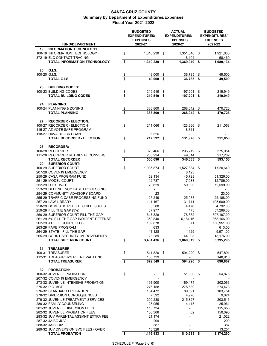|                                                                                                     |               | <b>BUDGETED</b><br><b>ACTUAL</b><br><b>EXPENDITURES/</b><br><b>EXPENDITURES/</b><br><b>EXPENSES</b><br><b>EXPENSES</b><br>2020-21<br>2020-21 |     |                          | <b>BUDGETED</b><br><b>EXPENDITURES/</b><br><b>EXPENSES</b><br>2021-22 |                        |  |
|-----------------------------------------------------------------------------------------------------|---------------|----------------------------------------------------------------------------------------------------------------------------------------------|-----|--------------------------|-----------------------------------------------------------------------|------------------------|--|
| <b>FUND/DEPARTMENT</b>                                                                              |               |                                                                                                                                              |     |                          |                                                                       |                        |  |
| <b>INFORMATION TECHNOLOGY:</b><br>19<br>100-19 INFORMATION TECHNOLOGY<br>372-19 ELC CONTACT TRACING | \$            | 1,310,230                                                                                                                                    | -\$ | 1,351,846<br>18,104      | \$                                                                    | 1,921,665<br>58,469    |  |
| TOTAL INFORMATION TECHNOLOGY                                                                        | \$            | 1,310,230                                                                                                                                    | \$  | 1,369,949                | \$                                                                    | 1,980,134              |  |
| G.I.S.<br>20                                                                                        |               |                                                                                                                                              |     |                          |                                                                       |                        |  |
| 100-20 G.I.S.                                                                                       | \$            | 49,000                                                                                                                                       | \$  | 36,735                   | \$                                                                    | 49,500                 |  |
| TOTAL G.I.S.                                                                                        | \$            | 49,000                                                                                                                                       | \$  | 36,735                   | \$                                                                    | 49,500                 |  |
| <b>BUILDING CODES:</b><br>23                                                                        |               |                                                                                                                                              |     |                          |                                                                       |                        |  |
| 100-23 BUILDING CODES                                                                               | $\frac{3}{2}$ | 219,519                                                                                                                                      | \$  | 197,201                  | \$                                                                    | 219,949                |  |
| <b>TOTAL BUILDING CODES</b>                                                                         | \$            | 219,519                                                                                                                                      | \$  | 197,201                  | \$                                                                    | 219,949                |  |
| <b>PLANNING:</b><br>24                                                                              |               |                                                                                                                                              |     |                          |                                                                       |                        |  |
| 100-24 PLANNING & ZONING                                                                            | $\frac{1}{2}$ | 383,800                                                                                                                                      | \$  | 268,042                  | \$                                                                    | 470,726                |  |
| <b>TOTAL PLANNING</b>                                                                               | \$            | 383,800                                                                                                                                      | \$  | 268,042                  | \$                                                                    | 470,726                |  |
| <b>RECORDER - ELECTION:</b><br>27                                                                   |               |                                                                                                                                              |     |                          |                                                                       |                        |  |
| 100-27 RECORDER - ELECTION                                                                          | \$            | 211,066                                                                                                                                      | -\$ | 123,666 \$               |                                                                       | 211,058                |  |
| 115-27 AZ VOTE SAFE PROGRAM                                                                         |               |                                                                                                                                              |     | 8,311                    |                                                                       |                        |  |
| 118-27 HAVA BLOCK GRANT                                                                             |               | 6,526                                                                                                                                        |     |                          |                                                                       |                        |  |
| <b>TOTAL RECORDER - ELECTION</b>                                                                    | \$            | 217,592 \$                                                                                                                                   |     | 131,978                  | \$                                                                    | 211,058                |  |
| 28<br><b>RECORDER:</b>                                                                              |               |                                                                                                                                              |     |                          |                                                                       |                        |  |
| 100-28 RECORDER                                                                                     | \$            | 325,466                                                                                                                                      | \$  | 296,719                  | \$                                                                    | 375,954                |  |
| 111-28 RECORDER RETRIEVAL CONVERS.                                                                  |               | 235,224                                                                                                                                      |     | 49,614                   |                                                                       | 217,202                |  |
| <b>TOTAL RECORDER</b>                                                                               | \$            | 560,690                                                                                                                                      | \$  | 346,333                  | \$                                                                    | 593,156                |  |
| <b>SUPERIOR COURT:</b><br>29                                                                        |               |                                                                                                                                              |     |                          |                                                                       |                        |  |
| 100-29 SUPERIOR COURT<br>207-29 COVID-19 EMERGENCY                                                  | \$            | 1,935,874                                                                                                                                    | \$  | 1,527,884<br>8,123       | \$                                                                    | 1,920,649              |  |
| 250-29 CASA PROGRAM FUND                                                                            |               | 52,134                                                                                                                                       |     | 45,728                   |                                                                       | 51,326.00              |  |
| 251-29 MODEL COURT                                                                                  |               | 12,787                                                                                                                                       |     | 17,933                   |                                                                       | 12,786.00              |  |
| 252-29 D.E.S. IV-D                                                                                  |               | 70,629                                                                                                                                       |     | 59,390                   |                                                                       | 72,599.00              |  |
| 253-29 DEPENDENCY CASE PROCESSING                                                                   |               |                                                                                                                                              |     | $\overline{\phantom{a}}$ |                                                                       |                        |  |
| 254-29 COMMUNITY ADVISORY BOARD                                                                     |               | 23                                                                                                                                           |     |                          |                                                                       | 23.00                  |  |
| 255-29 TRAFFIC CASE PROCESSING FUND                                                                 |               | 25,249                                                                                                                                       |     | 25,033                   |                                                                       | 25,188.00              |  |
| 257-29 LAW LIBRARY<br>258-29 DOMESTIC REL. ED. CHILD ISSUES                                         |               | 111,167<br>3,500                                                                                                                             |     | 31,711<br>4.470          |                                                                       | 105,600.00<br>4,792.00 |  |
| 259-29 FILL THE GAP (5%)                                                                            |               | 87,977                                                                                                                                       |     | 475                      |                                                                       | 57,268.00              |  |
| 260-29 SUPERIOR COURT FILL THE GAP                                                                  |               | 647,328                                                                                                                                      |     | 78,682                   |                                                                       | 597,187.00             |  |
| 261-29 5% FILL THE GAP INDIGENT DEFENSE                                                             |               | 359,840                                                                                                                                      |     | 6,184.16                 |                                                                       | 368,166.00             |  |
| 262-29 J.C.E.F. COURT FEES                                                                          |               | 139,878                                                                                                                                      |     | 71                       |                                                                       | 150,951.00             |  |
| 263-29 FARE PROGRAM                                                                                 |               | 633                                                                                                                                          |     |                          |                                                                       | 613.00                 |  |
| 264-29 STATE - FILL THE GAP                                                                         |               | 11,128                                                                                                                                       |     | 11,129                   |                                                                       | 9,971.00               |  |
| 265-29 COURT SECURITY IMPROVEMENTS<br><b>TOTAL SUPERIOR COURT</b>                                   | \$            | 23,289<br>3,481,436 \$                                                                                                                       |     | 44,008<br>1,860,819      | \$                                                                    | 18,176.00<br>3,395,295 |  |
|                                                                                                     |               |                                                                                                                                              |     |                          |                                                                       |                        |  |
| 31<br><b>TREASURER:</b>                                                                             |               |                                                                                                                                              |     |                          |                                                                       |                        |  |
| 100-31 TREASURER<br>112-31 TREASURER'S RETRIEVAL FUND                                               | \$            | 541,820 \$                                                                                                                                   |     | 594,220 \$               |                                                                       | 547,891                |  |
| <b>TOTAL TREASURER</b>                                                                              | \$            | 130,729<br>672,549                                                                                                                           | -\$ | 594,220                  | - \$                                                                  | 148,916<br>696,807     |  |
|                                                                                                     |               |                                                                                                                                              |     |                          |                                                                       |                        |  |
| <b>PROBATION:</b><br>32                                                                             |               |                                                                                                                                              |     |                          |                                                                       |                        |  |
| 100-32 JUVENILE PROBATION<br>207-32 COVID-19 EMERGENCY                                              | \$            |                                                                                                                                              | \$  | 51,000 \$                |                                                                       | 54,876                 |  |
| 273-32 JUVENILE INTENSIVE PROBATION                                                                 |               | 191,900                                                                                                                                      |     | 169,474                  |                                                                       | 202,066                |  |
| 275-32 PIC ACT                                                                                      |               | 276,158                                                                                                                                      |     | 275,639                  |                                                                       | 274,473                |  |
| 276-32 STANDARD PROBATION                                                                           |               | 104,472                                                                                                                                      |     | 89,891                   |                                                                       | 103,754                |  |
| 278-32 DIVERSION CONSEQUENCES                                                                       |               | 7,592                                                                                                                                        |     | 4,976                    |                                                                       | 9,024                  |  |
| 279-32 JUVENILE TREATMENT SERVICES                                                                  |               | 209,230                                                                                                                                      |     | 215,827                  |                                                                       | 203,516                |  |
| 280-32 FAMILY COUNSELING                                                                            |               | 25,955                                                                                                                                       |     | 4,115                    |                                                                       | 25,961                 |  |
| 281-32 JUVENILE DIVERSION FEES                                                                      |               | 115,724                                                                                                                                      |     | $\overline{a}$           |                                                                       | 115,655                |  |
| 282-32 JUVENILE PROBATION FEES<br>283-32 JUV PARENTAL ASSMNT EXTRA FEE                              |               | 150,306                                                                                                                                      |     | 62                       |                                                                       | 150,093                |  |
| 287-32 JAIBG JUV                                                                                    |               | 21,174<br>209                                                                                                                                |     |                          |                                                                       | 21,022<br>209          |  |
| 288-32 JAIBG #2                                                                                     |               | 387                                                                                                                                          |     |                          |                                                                       | 387                    |  |
| 289-32 JUV DIVERSION SVC FEES - OVER                                                                |               | 13,326                                                                                                                                       |     |                          |                                                                       | 13,254                 |  |
| <b>TOTAL PROBATION</b>                                                                              | \$            | 1,116,433 \$                                                                                                                                 |     | 810,983                  | \$                                                                    | 1,174,290              |  |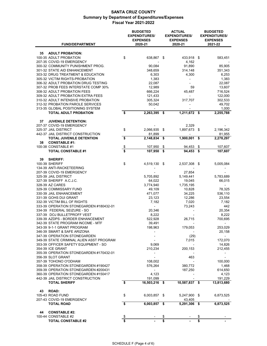| <b>FUND/DEPARTMENT</b>                                         |               | <b>BUDGETED</b><br><b>EXPENDITURES/</b><br><b>EXPENSES</b><br>2020-21 | <b>ACTUAL</b><br><b>EXPENDITURES/</b><br><b>EXPENSES</b><br>2020-21 |                     | <b>BUDGETED</b><br><b>EXPENDITURES/</b><br><b>EXPENSES</b><br>2021-22 |  |  |
|----------------------------------------------------------------|---------------|-----------------------------------------------------------------------|---------------------------------------------------------------------|---------------------|-----------------------------------------------------------------------|--|--|
|                                                                |               |                                                                       |                                                                     |                     |                                                                       |  |  |
| <b>ADULT PROBATION:</b><br>35                                  |               |                                                                       |                                                                     |                     |                                                                       |  |  |
| 100-35 ADULT PROBATION                                         | \$            | 638,867                                                               | \$                                                                  | 433,918             | \$<br>583,451                                                         |  |  |
| 207-35 COVID-19 EMERGENCY<br>300-32 COMMUNITY PUNISHMENT PROG. |               | 90,084                                                                |                                                                     | 4,162<br>91,890     | 85,905                                                                |  |  |
| 301-32 STATE AID ENHANCEMENT                                   |               | 348,659                                                               |                                                                     | 314,148             | 351,343                                                               |  |  |
| 303-32 DRUG TREATMENT & EDUCATION                              |               | 6,303                                                                 |                                                                     | 4,300               | 6,253                                                                 |  |  |
| 305-32 VICTIM RIGHTS-PROBATION                                 |               | 1,383                                                                 |                                                                     |                     | 1,383                                                                 |  |  |
| 306-32 ADULT PROBATION DRUG TESTING                            |               | 22,087                                                                |                                                                     |                     | 22,087                                                                |  |  |
| 307-32 PROB FEES INTERSTATE COMP 30%                           |               | 12,989                                                                |                                                                     | 59                  | 13,607                                                                |  |  |
| 308-32 ADULT PROBATION FEES                                    |               | 666,224                                                               |                                                                     | 45,487              | 716,524                                                               |  |  |
| 309-32 ADULT PROBATION EXTRA FEES                              |               | 121,433                                                               |                                                                     |                     | 122,000                                                               |  |  |
| 310-32 ADULT INTENSIVE PROBATION                               |               | 305,324                                                               |                                                                     | 317,707             | 302,533                                                               |  |  |
| 312-32 PROBATION PAROLE SERVICES                               |               | 50,042                                                                |                                                                     |                     | 49,702                                                                |  |  |
| 313-35 GLOBAL POSITIONING SYSTEM                               |               |                                                                       |                                                                     |                     | 1,000                                                                 |  |  |
| <b>TOTAL ADULT PROBATION</b>                                   | \$            | 2,263,395                                                             | \$                                                                  | 1,211,672 \$        | 2,255,788                                                             |  |  |
| <b>JUVENILE DETENTION:</b><br>37                               |               |                                                                       |                                                                     |                     |                                                                       |  |  |
| 207-37 COVID-19 EMERGENCY                                      |               |                                                                       |                                                                     | 2,329               |                                                                       |  |  |
| 325-37 JAIL DISTRICT                                           | \$            | 2,066,935                                                             | \$                                                                  | 1,897,673           | \$<br>2,196,342                                                       |  |  |
| 442-37 JAIL DISTRICT CONSTRUCTION                              |               | 81,899                                                                |                                                                     |                     | 81,955                                                                |  |  |
| <b>TOTAL JUVENILE DETENTION</b>                                | \$            | 2,148,834                                                             | \$                                                                  | 1,900,001           | \$<br>2,278,297                                                       |  |  |
| <b>CONSTABLE #1:</b><br>38<br>100-38 CONSTABLE #1              | $\frac{1}{2}$ | 107,950                                                               | \$                                                                  | 94,453              | \$<br>107,607                                                         |  |  |
| <b>TOTAL CONSTABLE #1</b>                                      | \$            | 107,950                                                               | \$                                                                  | 94.453              | \$<br>107,607                                                         |  |  |
|                                                                |               |                                                                       |                                                                     |                     |                                                                       |  |  |
| 39<br><b>SHERIFF:</b>                                          |               |                                                                       |                                                                     |                     |                                                                       |  |  |
| <b>100-39 SHERIFF</b>                                          | \$            | 4,519,130                                                             | \$                                                                  | 2,537,308           | \$<br>5,005,084                                                       |  |  |
| 134-39 ANTI-RACKETEERING                                       |               |                                                                       |                                                                     |                     |                                                                       |  |  |
| 207-39 COVID-19 EMERGENCY                                      |               |                                                                       |                                                                     | 27,854              |                                                                       |  |  |
| 325-39 JAIL DISTRICT<br>327-39 SHERIFF A.C.J.C.                |               | 5,705,892<br>64,022                                                   |                                                                     | 5,149,441           | 5,783,689<br>66,015                                                   |  |  |
| 328-39 AZ CARES                                                |               | 3,774,940                                                             |                                                                     | 19,045<br>1,735,195 |                                                                       |  |  |
| 329-39 COMMISSARY FUND                                         |               | 49,109                                                                |                                                                     | 10,828              | 78,325                                                                |  |  |
| 330-39 JAIL ENHANCEMENT                                        |               | 471,077                                                               |                                                                     | 34,225              | 536,110                                                               |  |  |
| 331-39 GOHS DUI GRANT                                          |               | 23,123                                                                |                                                                     | 12,286              | 23,554                                                                |  |  |
| 332-39 VICTIM BILL OF RIGHTS                                   |               | 7,182                                                                 |                                                                     | 7,020               | 7,182                                                                 |  |  |
| 333-39 OPERATION STONEGARDEN #180432-01                        |               | $\overline{\phantom{a}}$                                              |                                                                     | 73,243              | 442                                                                   |  |  |
| 334-39 FEDERAL SEIZURE - SO                                    |               | 20,346                                                                |                                                                     |                     | 20,354                                                                |  |  |
| 337-39 DOJ BULLETPROFF VEST                                    |               | 8,222                                                                 |                                                                     |                     | 8,222                                                                 |  |  |
| 339-39 AZDPS - BORDER ENHANCEMENT                              |               | 522,928                                                               |                                                                     | 26,715              | 700,695                                                               |  |  |
| 342-39 STATE PROGRAM INCOME - MTF                              |               | 39,491                                                                |                                                                     |                     | $\overline{\phantom{a}}$                                              |  |  |
| 343-39 9-1-1 GRANT PROGRAM                                     |               | 198,963                                                               |                                                                     | 179,053             | 253,029                                                               |  |  |
| 346-39 SMART & SAFE ARIZONA                                    |               |                                                                       |                                                                     |                     | 20,158                                                                |  |  |
| 347-39 OPERATION STONEGARDEN                                   |               |                                                                       |                                                                     | (29)                |                                                                       |  |  |
| 349-39 STATE CRIMINAL ALIEN ASST PROGRAM                       |               |                                                                       |                                                                     | 7,015               | 172,070                                                               |  |  |
| 353-39 OFFICER SAFETY EQUIPMENT - SO<br>354-39 ICE GRANT       |               | 9,069<br>210,234                                                      |                                                                     |                     | 14,826                                                                |  |  |
| 355-39 OPERATION STONEGARDEN #170432-01                        |               |                                                                       |                                                                     | 200,153             | 212,455                                                               |  |  |
| 356-39 SLOT GRANT                                              |               |                                                                       |                                                                     | 463                 | -                                                                     |  |  |
| 357-39 TOHONO O'ODHAM                                          |               | 108,002                                                               |                                                                     |                     | 100,000                                                               |  |  |
| 358-39 OPERATION STONEGARDEN #190427                           |               | 576,264                                                               |                                                                     | 380,772             | 1,468                                                                 |  |  |
| 359-39 OPERATION STONEGARDEN #200431                           |               |                                                                       |                                                                     | 187,250             | 614,650                                                               |  |  |
| 360-39 OPERATION STONEGARDEN #150417                           |               | 4,123                                                                 |                                                                     |                     | 4,123                                                                 |  |  |
| 442-39 JAIL DISTRICT CONSTRUCTION                              |               | 191,099                                                               |                                                                     |                     | 191,229                                                               |  |  |
| <b>TOTAL SHERIFF</b>                                           | \$            | 16,503,216                                                            | - \$                                                                | 10,587,837 \$       | 13,813,680                                                            |  |  |
| <b>ROAD:</b><br>43                                             |               |                                                                       |                                                                     |                     |                                                                       |  |  |
| 105-43 ROAD FUND                                               | \$            | 6,003,857                                                             | \$                                                                  | 5,247,900           | \$<br>6,873,525                                                       |  |  |
| 207-43 COVID-19 EMERGENCY                                      |               |                                                                       |                                                                     | 43,405              |                                                                       |  |  |
| <b>TOTAL ROAD</b>                                              | \$            | 6,003,857                                                             | \$                                                                  | 5,291,306           | \$<br>6,873,525                                                       |  |  |
|                                                                |               |                                                                       |                                                                     |                     |                                                                       |  |  |
| <b>CONSTABLE #2:</b><br>44<br>100-44 CONSTABLE #2              | \$            |                                                                       | \$                                                                  |                     | \$                                                                    |  |  |
| <b>TOTAL CONSTABLE #2</b>                                      | \$            |                                                                       | \$                                                                  |                     | \$                                                                    |  |  |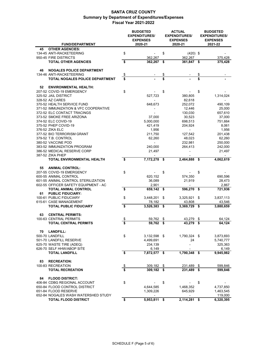|                                        |                      | <b>BUDGETED</b><br><b>EXPENDITURES/</b><br><b>EXPENSES</b> |      | <b>ACTUAL</b><br><b>EXPENDITURES/</b><br><b>EXPENSES</b> | <b>BUDGETED</b><br><b>EXPENDITURES/</b><br><b>EXPENSES</b> |
|----------------------------------------|----------------------|------------------------------------------------------------|------|----------------------------------------------------------|------------------------------------------------------------|
| <b>FUND/DEPARTMENT</b>                 |                      | 2020-21                                                    |      | 2020-21                                                  | 2021-22                                                    |
| <b>OTHER AGENCIES:</b><br>45           |                      |                                                            |      |                                                          |                                                            |
| 134-45 ANTI-RACKETEERING               | \$                   |                                                            | \$   | $(420)$ \$                                               |                                                            |
| 950-45 FIRE DISTRICTS                  |                      | 362,267                                                    |      | 362,267                                                  | 375,428                                                    |
| <b>TOTAL OTHER AGENCIES</b>            | \$                   | 362,267                                                    | \$   | 361,847                                                  | \$<br>375,428                                              |
| <b>NOGALES POLICE DEPARTMENT</b><br>46 |                      |                                                            |      |                                                          |                                                            |
| 134-46 ANTI-RACKETEERING               | \$                   |                                                            | \$   |                                                          | \$                                                         |
| <b>TOTAL NOGALES POLICE DEPARTMENT</b> | \$                   |                                                            | \$   |                                                          | \$                                                         |
|                                        |                      |                                                            |      |                                                          |                                                            |
| 52<br><b>ENVIRONMENTAL HEALTH:</b>     |                      |                                                            |      |                                                          |                                                            |
| 207-52 COVID-19 EMERGENCY              | \$                   |                                                            | \$   |                                                          | \$                                                         |
| 325-52 JAIL DISTRICT                   |                      | 527,723                                                    |      | 380,805                                                  | 1,314,024                                                  |
| 328-52 AZ CARES                        |                      |                                                            |      | 82,618                                                   |                                                            |
| 370-52 HEALTH SERVICE FUND             |                      | 648,673                                                    |      | 252,072                                                  | 490,109                                                    |
| 371-52 IMMUNIZATION & VFC COOPERATIVE  |                      |                                                            |      | 12,446                                                   | 25,000                                                     |
| 372-52 ELC CONTACT TRACINGS            |                      |                                                            |      | 130,030                                                  | 657,610                                                    |
| 373-52 SMOKE FREE ARIZONA              |                      | 37,000                                                     |      | 30,523                                                   | 37,000                                                     |
| 374-52 ELC COVID-19                    |                      | 5,000,000                                                  |      | 698,513                                                  | 751,664                                                    |
| 375-52 PHEP COVID-19                   |                      | 421,419                                                    |      | 204,924                                                  | 8,061                                                      |
| 376-52 ZIKA ELC                        |                      | 1,956                                                      |      | $\frac{1}{2}$                                            | 1,956                                                      |
| 377-52 BIO TERRORISM GRANT             |                      | 211,750                                                    |      | 127,542                                                  | 201,438                                                    |
| 379-52 T.B. CONTROL                    |                      | 62,260                                                     |      | 48,023                                                   | 62,260                                                     |
| 380-52 VACCINE POD                     |                      |                                                            |      | 232,981                                                  | 250,000                                                    |
| 383-52 IMMUNIZATION PROGRAM            |                      | 240.000                                                    |      | 264,413                                                  | 242,000                                                    |
| 386-52 MEDICAL RESERVE CORP            |                      | 21,497                                                     |      |                                                          | 21,497                                                     |
| 387-52 ZIKA PHEP                       |                      |                                                            |      |                                                          |                                                            |
| TOTAL ENVIRONMENTAL HEALTH             | \$                   | 7,172,278                                                  | -\$  | 2,464,888                                                | \$<br>4,062,619                                            |
| <b>ANIMAL CONTROL:</b><br>55           |                      |                                                            |      |                                                          |                                                            |
| 207-55 COVID-19 EMERGENCY              | \$                   |                                                            | \$   |                                                          | \$                                                         |
| 600-55 ANIMAL CONTROL                  |                      | 620,152                                                    |      | 574,350                                                  | 690,596                                                    |
| 601-55 ANIMAL CONTROL STERILIZATION    |                      | 36,089                                                     |      | 21,919                                                   | 28,473                                                     |
| 602-55 OFFICER SAFETY EQUIPMENT - AC   |                      | 2,901                                                      |      |                                                          | 2,867                                                      |
| <b>TOTAL ANIMAL CONTROL</b>            | \$                   | 659,142                                                    | -\$  | 596,270                                                  | \$<br>721,936                                              |
| <b>PUBLIC FIDUCIARY:</b><br>61         |                      |                                                            |      |                                                          |                                                            |
| 100-61 PUBLIC FIDUCIARY                | \$                   | 3,448,201                                                  | -\$  | 3,325,921                                                | \$<br>3,837,113                                            |
| 615-61 CASE MANAGEMENT                 |                      | 78,182                                                     |      | 43,808                                                   | 43,546                                                     |
| <b>TOTAL PUBLIC FIDUCIARY</b>          | \$                   | 3,526,383                                                  | \$   | 3,369,729                                                | \$<br>3,880,659                                            |
|                                        |                      |                                                            |      |                                                          |                                                            |
| 63<br><b>CENTRAL PERMITS:</b>          |                      |                                                            |      |                                                          |                                                            |
| 100-63 CENTRAL PERMITS                 | \$                   | 59,762                                                     | \$   | 43,279                                                   | \$<br>64,124                                               |
| TOTAL CENTRAL PERMITS                  | \$                   | 59,762                                                     | \$   | 43,279                                                   | \$<br>64,124                                               |
|                                        |                      |                                                            |      |                                                          |                                                            |
| 70<br><b>LANDFILL:</b>                 |                      |                                                            |      |                                                          |                                                            |
| 500-70 LANDFILL                        | \$                   | 3,132,598                                                  | - \$ | 1,790,324                                                | \$<br>3,873,693                                            |
| 501-70 LANDFILL RESERVE                |                      | 4,499,691                                                  |      | 24                                                       | 5,740,777                                                  |
| 625-70 WASTE TIRE (ADEQ)               |                      | 234,139                                                    |      |                                                          | 325,363                                                    |
| 626-70 SELF HHW/ABOP SITE              | $\overline{\bullet}$ | 6,149                                                      |      |                                                          | 6,149<br>9,945,982                                         |
| <b>TOTAL LANDFILL</b>                  |                      | 7,872,577 \$                                               |      | 1,790,348                                                | \$                                                         |
| 83<br><b>RECREATION:</b>               |                      |                                                            |      |                                                          |                                                            |
| 100-83 RECREATION                      |                      | 309,182                                                    | \$   | 231,489                                                  | \$<br>599,846                                              |
| <b>TOTAL RECREATION</b>                | $\frac{1}{2}$        | 309,182                                                    | \$   | 231,489                                                  | \$<br>599,846                                              |
|                                        |                      |                                                            |      |                                                          |                                                            |
| <b>FLOOD DISTRICT:</b><br>84           |                      |                                                            |      |                                                          |                                                            |
| 406-84 CDBG REGIONAL ACCOUNT           | \$                   |                                                            | \$   |                                                          | \$                                                         |
| 650-84 FLOOD CONTROL DISTRICT          |                      | 4,644,585                                                  |      | 1,468,352                                                | 4,737,850                                                  |
| 651-84 FLOOD RESERVE                   |                      | 1,309,226                                                  |      | 645,929                                                  | 1,463,545                                                  |
| 652-84 NOGALES WASH WATERSHED STUDY    |                      |                                                            |      | $\overline{a}$                                           | 119,000                                                    |
| <b>TOTAL FLOOD DISTRICT</b>            | \$                   | 5,953,811                                                  | \$   | 2,114,281                                                | \$<br>6,320,395                                            |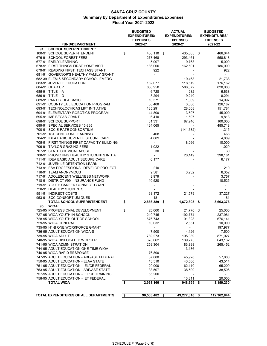| <b>FUND/DEPARTMENT</b>                                                             | <b>BUDGETED</b><br><b>EXPENDITURES/</b><br><b>EXPENSES</b><br>2020-21 |      | <b>ACTUAL</b><br><b>EXPENDITURES/</b><br><b>EXPENSES</b><br>2020-21 | <b>BUDGETED</b><br><b>EXPENDITURES/</b><br><b>EXPENSES</b><br>2021-22 |
|------------------------------------------------------------------------------------|-----------------------------------------------------------------------|------|---------------------------------------------------------------------|-----------------------------------------------------------------------|
|                                                                                    |                                                                       |      |                                                                     |                                                                       |
| <b>SCHOOL SUPERINTENDENT:</b><br>91                                                |                                                                       |      |                                                                     |                                                                       |
| 100-91 SCHOOL SUPERINTENDENT                                                       | \$<br>456,110 \$                                                      |      | 435,065 \$                                                          | 466,044                                                               |
| 676-91 SCHOOL FOREST FEES                                                          | 278,468                                                               |      | 293,461                                                             | 558,818                                                               |
| 677-91 EARLY LEARNING                                                              | 5,007                                                                 |      | 9,763                                                               | 5,000                                                                 |
| 678-91 FIRST THINGS FIRST HOME VISIT<br>679-91 READING FIRST, TECH ASSISTANT       | 186,000<br>922                                                        |      | 162,501                                                             | 186,000<br>922                                                        |
| 681-91 GOVERNOR'S HEALTHY FAMILY GRANT                                             | $\overline{\phantom{a}}$                                              |      |                                                                     |                                                                       |
| 682-39 ELEM & SECONDARY SCHOOL EMERG                                               |                                                                       |      | 19,468                                                              | 21,738                                                                |
| 683-91 JUVENILE EDUCATION                                                          | 182,077                                                               |      | 118,519                                                             | 176,162                                                               |
| 684-91 GEAR UP                                                                     | 836,958                                                               |      | 588,072                                                             | 820,000                                                               |
| 685-91 TITLE II-A                                                                  | 6,728                                                                 |      | 232                                                                 | 6,638                                                                 |
| 686-91 TITLE II-D                                                                  | 8,294                                                                 |      | 9,240                                                               | 8,294                                                                 |
| 689-91 PART B IDEA BASIC                                                           | 10,371                                                                |      | 1,309                                                               | 14,997                                                                |
| 691-91 COUNTY JAIL EDUCATION PROGRAM                                               | 58,408                                                                |      | 3,380                                                               | 126,187                                                               |
| 693-91 TECHNOLOCHICAS LIFT INITIATIVE                                              | 135,291                                                               |      | 28,008                                                              | 151,784                                                               |
| 694-91 ELEMENTARY ROBOTICS PROGRAM                                                 | 44,800                                                                |      | 3,597                                                               | 45,000                                                                |
| 695-91 IME BECAS GRANT                                                             | 6,410                                                                 |      | 1,597                                                               | 9,813                                                                 |
| 698-91 SCHOOL SUPPORT                                                              | 81,331                                                                |      | 87,246                                                              | 100,000                                                               |
| 699-91 SPECIAL SERVICES 15-365                                                     | 464,065                                                               |      |                                                                     | 485,718                                                               |
| 700-91 SCC E-RATE CONSORTIUM                                                       |                                                                       |      | (141, 682)                                                          | 1,315                                                                 |
| 701-91 1ST CENT COM. LEARNING                                                      | 468                                                                   |      |                                                                     | 468                                                                   |
| 704-91 IDEA BASIC JUVENILE SECURE CARE                                             | 4,809                                                                 |      |                                                                     | 4,809                                                                 |
| 705-91 FIRST THINGS FIRST CAPACITY BUILDING                                        |                                                                       |      | 8,066                                                               | 10,000                                                                |
| 706-91 TAYLOR GRAZING FEES                                                         | 1,022                                                                 |      |                                                                     | 1,029                                                                 |
| 707-91 STATE CHEMICAL ABUSE                                                        | 30                                                                    |      |                                                                     | 30                                                                    |
| 708-91 PROMOTING HEALTHY STUDENTS INITIA                                           | $\overline{\phantom{0}}$                                              |      | 20,149                                                              | 398,181                                                               |
| 711-91 IDEA BASIC ADULT SECURE CARE                                                | 6,177                                                                 |      |                                                                     | 6,177                                                                 |
| 712-91 JUVENILE DETENTION LEARN                                                    | ٠                                                                     |      |                                                                     |                                                                       |
| 713-91 ESA PROFESSIONAL DEVELOP PROJECT                                            | 210                                                                   |      |                                                                     | 210                                                                   |
| 716-91 TEAM ANONYMOUS                                                              | 9,581                                                                 |      | 3,232                                                               | 6,352                                                                 |
| 717-91 ADOLESCENT WELLNESS NETWORK                                                 | 8,979                                                                 |      |                                                                     | 3,757                                                                 |
| 718-91 DISTRICT #99 - INSURANCE FUND<br>719-91 YOUTH CAREER CONNECT GRANT          | 10,520                                                                |      |                                                                     | 10,525                                                                |
| 720-91 HEALTHY STUDENTS                                                            |                                                                       |      |                                                                     | $\overline{\phantom{a}}$                                              |
| 951-91 INDIRECT COSTS                                                              | 63,172                                                                |      | 21,579                                                              | 37,227                                                                |
| 953-91 SCC CONSORTIUM DUES                                                         | 181                                                                   |      |                                                                     | 181                                                                   |
| TOTAL SCHOOL SUPERINTENDENT                                                        | \$<br>2,866,389                                                       | \$   | 1,672,803                                                           | \$<br>3,663,376                                                       |
| WIOA:<br>95                                                                        |                                                                       |      |                                                                     |                                                                       |
| 725-95 PROFESSIONAL DEVELOPMENT                                                    | \$<br>25,000                                                          | -\$  | 21,770 \$                                                           | 25,000                                                                |
| 727-95 WIOA YOUTH IN SCHOOL                                                        | 219,745                                                               |      | 192,774                                                             | 237,981                                                               |
| 728-95 WIOA YOUTH OUT OF SCHOOL                                                    | 676,743                                                               |      | 91,328                                                              | 676,141                                                               |
| 729-95 WIOA GENERAL                                                                | 10,032                                                                |      | 2,651                                                               | 10,000                                                                |
| 735-95 H1-B ONE WORKFORCE GRANT                                                    | $\blacksquare$                                                        |      | $\blacksquare$                                                      | 197,977                                                               |
| 736-95 ADULT EDUCATION WIOA-S                                                      | 7,500                                                                 |      | 4,126                                                               | 7,500                                                                 |
| 739-95 WIOA ADULT                                                                  | 789,273                                                               |      | 195,039                                                             | 871,027                                                               |
| 740-95 WIOA DISLOCATED WORKER                                                      | 678,662                                                               |      | 139,775                                                             | 643,132                                                               |
| 741-95 WIOA ADMINISTRATION                                                         | 259,304                                                               |      | 83,898                                                              | 265,452                                                               |
| 744-95 ADULT EDUCATION ONE-TIME WIOA                                               |                                                                       |      | 13,186                                                              |                                                                       |
| 746-95 WIOA RAPID RESPONSE                                                         | 76,890                                                                |      | $\overline{\phantom{a}}$                                            | $\overline{\phantom{a}}$                                              |
| 747-95 ADULT EDUCATION - ABE/ASE FEDERAL                                           | 57,800                                                                |      | 45,928                                                              | 57,800                                                                |
| 750-95 ADULT EDUCATION - ELAA STATE                                                | 43,510                                                                |      | 43,500                                                              | 43,514                                                                |
| 751-95 ADULT EDUCATION - IEL/CE FEDERAL                                            | 20,000                                                                |      | 62,110                                                              | 65,200                                                                |
| 753-95 ADULT EDUCATION - ABE/ASE STATE<br>757-95 ADULT EDUCATION - IEL/CE TRAINING | 38,507                                                                |      | 38,500                                                              | 38,506                                                                |
| 758-95 ADULT EDUCATION - IET FEDERAL                                               | 65,200                                                                |      | 13,811                                                              | 20,000                                                                |
| <b>TOTAL WIOA</b>                                                                  | \$<br>2,968,166                                                       | - \$ | 948,395 \$                                                          | 3,159,230                                                             |
|                                                                                    |                                                                       |      |                                                                     |                                                                       |
|                                                                                    |                                                                       |      |                                                                     |                                                                       |
| TOTAL EXPENDITURES OF ALL DEPARTMENTS                                              | \$<br>90,503,482                                                      | \$   | 49,277,310                                                          | \$<br>112,362,844                                                     |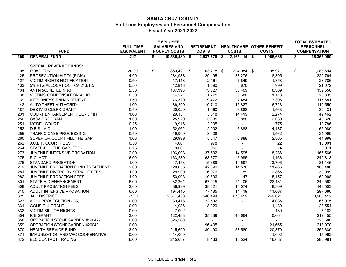#### **SANTA CRUZ COUNTY Full-Time Employees and Personnel Compensation Fiscal Year 2021-2022**

|     | <b>FUND</b>                          | <b>FULL-TIME</b><br><b>EQUIVALENT</b> | <b>EMPLOYEE</b><br><b>SALARIES AND</b><br><b>HOURLY COSTS</b> | <b>RETIREMENT</b><br><b>COSTS</b> | <b>COSTS</b>   | HEALTHCARE OTHER BENEFIT<br><b>COSTS</b> | <b>TOTAL ESTIMATED</b><br><b>PERSONNEL</b><br><b>COMPENSATION</b> |
|-----|--------------------------------------|---------------------------------------|---------------------------------------------------------------|-----------------------------------|----------------|------------------------------------------|-------------------------------------------------------------------|
| 100 | <b>GENERAL FUND:</b>                 | 217                                   | \$<br>10,586,480 \$                                           | $2,537,670$ \$                    | $2,165,114$ \$ | 1,066,686                                | \$<br>16,355,950                                                  |
|     | <b>SPECIAL REVENUE FUNDS:</b>        |                                       |                                                               |                                   |                |                                          |                                                                   |
| 105 | <b>ROAD FUND</b>                     | 20.00                                 | \$<br>860,421 \$                                              | 103,218 \$                        | 224,084 \$     | 95,971                                   | \$<br>1,283,694                                                   |
| 125 | PROSECUTION HIDTA (PIMA)             | 4.00                                  | 234,988                                                       | 29,195                            | 38,276         | 18,305                                   | 320,764                                                           |
| 127 | <b>VICTIM RIGHTS NOTIFICATION</b>    | 0.50                                  | 17,418                                                        | 2,161                             | 7,849          | 1,358                                    | 28,786                                                            |
| 133 | 5% FTG ALLOCATION - CA 21.61%        | 0.50                                  | 12,813                                                        | 1,590                             | 5,670          | 999                                      | 21,072                                                            |
| 134 | ANTI-RACKETEERING                    | 2.50                                  | 107,393                                                       | 13,327                            | 30,469         | 8,369                                    | 159,558                                                           |
| 138 | <b>VICTIMS COMPENSATION ACJC</b>     | 0.50                                  | 14,271                                                        | 1,771                             | 6,680          | 1,113                                    | 23,835                                                            |
| 139 | <b>ATTORNEY'S ENHANCEMENT</b>        | 1.50                                  | 76,329                                                        | 9,472                             | 22,484         | 7,396                                    | 115,681                                                           |
| 142 | AUTO THEFT AUTHORITY                 | 1.00                                  | 86,299                                                        | 10,710                            | 15,827         | 6,723                                    | 119,559                                                           |
| 187 | DES IV-D CLERK GRANT                 | 0.50                                  | 20,020                                                        | 1,960                             | 6,888          | 1,563                                    | 30,431                                                            |
| 231 | <b>COURT ENHANCEMENT FEE - JP #1</b> | 1.00                                  | 29,151                                                        | 3,618                             | 14,419         | 2,274                                    | 49,462                                                            |
| 250 | <b>CASA PROGRAM</b>                  | 1.00                                  | 25,979                                                        | 5,631                             | 6,888          | 2,030                                    | 40,528                                                            |
| 251 | <b>MODEL COURT</b>                   | 0.25                                  | 9,916                                                         | 2,095                             |                | 775                                      | 12,786                                                            |
| 252 | D.E.S. IV-D                          | 1.00                                  | 52,962                                                        | 2,002                             | 6,888          | 4,137                                    | 65,989                                                            |
| 255 | TRAFFIC CASE PROCESSING              | 0.50                                  | 19,999                                                        | 3,438                             | $\sim$         | 1,562                                    | 24,999                                                            |
| 260 | SUPERIOR COURT FILL THE GAP          | 1.00                                  | 29,999                                                        | 5,247                             | 6,888          | 2,865                                    | 44,999                                                            |
| 262 | J.C.E.F. COURT FEES                  | 0.50                                  | 14,001                                                        | 978                               | $\blacksquare$ | 22                                       | 15,001                                                            |
| 264 | STATE-FILL THE GAP (FTG)             | 0.25                                  | 9,001                                                         | 956                               |                | 14                                       | 9,971                                                             |
| 273 | JUVENILE INTENSIVE PROBATION         | 2.00                                  | 106,093                                                       | 37,592                            | 14,595         | 8,286                                    | 166,566                                                           |
| 275 | PIC ACT                              | 6.00                                  | 163,280                                                       | 68,377                            | 6,995          | 11,166                                   | 249,818                                                           |
| 276 | STANDARD PROBATION                   | 1.00                                  | 47,453                                                        | 15,389                            | 14,597         | 3,706                                    | 81,145                                                            |
| 279 | JUVENILE PROBATION FUND TREATMENT    | 2.00                                  | 120,055                                                       | 42,390                            | 14,576         | 11,465                                   | 188,486                                                           |
| 281 | JUVENILE DIVERSION SERVICE FEES      | 1.00                                  | 29,999                                                        | 6,976                             | 159            | 2,865                                    | 39,999                                                            |
| 282 | <b>JUVENILE PROBATION FEES</b>       | 1.00                                  | 53,998                                                        | 10,696                            | 147            | 5,157                                    | 69,998                                                            |
| 301 | STATE AID ENHANCEMENT                | 6.00                                  | 232,261                                                       | 67,015                            | 21,105         | 22,181                                   | 342,562                                                           |
| 308 | <b>ADULT PROBATION FEES</b>          | 2.00                                  | 86,999                                                        | 38,621                            | 14,574         | 8,309                                    | 148,503                                                           |
| 310 | ADULT INTENSIVE PROBATION            | 6.00                                  | 194,415                                                       | 77,185                            | 14,419         | 11,667                                   | 297,686                                                           |
| 325 | <b>JAIL DISTRICT</b>                 | 67.00                                 | 2,517,438                                                     | 540,494                           | 673,459        | 249,021                                  | 3,980,412                                                         |
| 327 | <b>ACJC PROSECUTION (CA)</b>         | 0.00                                  | 39,478                                                        | 22,502                            |                | 4,035                                    | 66,015                                                            |
| 331 | <b>GOHS DUI GRANT</b>                | 0.00                                  | 14,086                                                        | 8,029                             |                | 1,439                                    | 23,554                                                            |
| 332 | <b>VICTIM BILL OF RIGHTS</b>         | 0.00                                  | 7,002                                                         |                                   |                | 180                                      | 7,182                                                             |
| 354 | <b>ICE GRANT</b>                     | 3.00                                  | 122,488                                                       | 35,639                            | 43,664         | 10,664                                   | 212,455                                                           |
| 358 | OPERATION STONEGARDEN #190427        | 0.00                                  | 326,580                                                       |                                   |                |                                          | 326,580                                                           |
| 359 | OPERATION STONEGARDEN #200431        | 0.00                                  |                                                               | 196,405                           | $\sim$         | 21,665                                   | 218,070                                                           |
| 370 | <b>HEALTH SERVICE FUND</b>           | 3.00                                  | 245,690                                                       | 30,490                            | 58,589         | 20,870                                   | 355,639                                                           |
| 371 | IMMUNIZATION AND VFC COOPERATIVE     | 0.00                                  | 14,000                                                        |                                   |                | 1,092                                    | 15,092                                                            |
| 372 | ELC CONTACT TRACING                  | 6.00                                  | 245,637                                                       | 8,133                             | 10,524         | 16,687                                   | 280,981                                                           |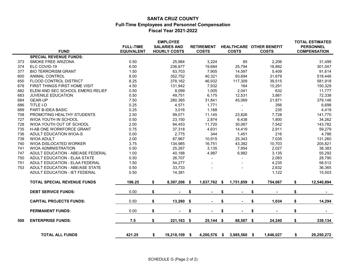#### **SANTA CRUZ COUNTY Full-Time Employees and Personnel Compensation Fiscal Year 2021-2022**

|     |                                    | <b>FULL-TIME</b>  | <b>EMPLOYEE</b><br><b>SALARIES AND</b> |                         | <b>RETIREMENT</b> | <b>HEALTHCARE OTHER BENEFIT</b> |      |                | <b>TOTAL ESTIMATED</b><br><b>PERSONNEL</b> |
|-----|------------------------------------|-------------------|----------------------------------------|-------------------------|-------------------|---------------------------------|------|----------------|--------------------------------------------|
|     | <b>FUND</b>                        | <b>EQUIVALENT</b> | <b>HOURLY COSTS</b>                    |                         | <b>COSTS</b>      | <b>COSTS</b>                    |      | <b>COSTS</b>   | <b>COMPENSATION</b>                        |
|     | <b>SPECIAL REVENUE FUNDS:</b>      |                   |                                        |                         |                   |                                 |      |                |                                            |
| 373 | <b>SMOKE FREE ARIZONA</b>          | 0.50              | 25,984                                 |                         | 3,224             | 85                              |      | 2,206          | 31,499                                     |
| 374 | ELC COVID-19                       | 6.00              | 236,677                                |                         | 19,684            | 25,794                          |      | 18,892         | 301,047                                    |
| 377 | <b>BIO TERRORISM GRANT</b>         | 1.50              | 63,703                                 |                         | 7,905             | 14,597                          |      | 5,409          | 91,614                                     |
| 600 | <b>ANIMAL CONTROL</b>              | 8.00              | 352,752                                |                         | 40,321            | 93,694                          |      | 31,679         | 518,446                                    |
| 650 | FLOOD CONTROL DISTRICT             | 8.25              | 378,162                                |                         | 46,932            | 117,309                         |      | 39,515         | 581,918                                    |
| 678 | FIRST THINGS FIRST HOME VISIT      | 4.50              | 131,942                                |                         | 7,932             | 164                             |      | 10,291         | 150,329                                    |
| 682 | ELEM AND SEC SCHOOL EMERG RELIEF   | 0.50              | 8,099                                  |                         | 1,005             | 2,041                           |      | 632            | 11,777                                     |
| 683 | JUVENILE EDUCATION                 | 0.50              | 49,751                                 |                         | 6,175             | 12,531                          |      | 3,881          | 72,338                                     |
| 684 | <b>GEAR-UP</b>                     | 7.50              | 280,365                                |                         | 31,841            | 45,069                          |      | 21,871         | 379,146                                    |
| 686 | TITLE I-D                          | 0.25              | 4,571                                  |                         | 1,771             |                                 |      | 356            | 6,698                                      |
| 689 | PART B-IDEA BASIC                  | 0.25              | 3,016                                  |                         | 1,168             | $\blacksquare$                  |      | 235            | 4,419                                      |
| 708 | PROMOTING HEALTHY STUDENTS         | 2.50              | 99,071                                 |                         | 11,145            | 23,826                          |      | 7,728          | 141,770                                    |
| 727 | WIOA YOUTH IN SCHOOL               | 0.50              | 23,150                                 |                         | 2,874             | 6,438                           |      | 1,800          | 34,262                                     |
| 728 | WIOA YOUTH OUT OF SCHOOL           | 2.00              | 94,453                                 |                         | 11,720            | 30,067                          |      | 7,542          | 143,782                                    |
| 735 | H-AB ONE WORKFORCE GRANT           | 0.75              | 37,318                                 |                         | 4,631             | 14,419                          |      | 2,911          | 59,279                                     |
| 736 | ADULT EDUCATION WIOA-S             | 0.00              | 2,775                                  |                         | 344               | 1,451                           |      | 216            | 4,786                                      |
| 739 | <b>WIOA ADULT</b>                  | 2.00              | 87,967                                 |                         | 10,915            | 25,343                          |      | 7,035          | 131,260                                    |
| 740 | WIOA DISLOCATED WORKER             | 3.75              | 134,985                                |                         | 16,751            | 43,382                          |      | 10,703         | 205,821                                    |
| 741 | <b>WIOA ADMINISTRATION</b>         | 0.50              | 25,267                                 |                         | 3,135             | 7,954                           |      | 2,027          | 38,383                                     |
| 747 | ADULT EDUCATION - ABE/ASE FEDERAL  | 1.00              | 40,188                                 |                         | 4,987             | 6,982                           |      | 3,135          | 55,292                                     |
| 750 | ADULT EDUCATION - ELAA STATE       | 0.50              | 26,707                                 |                         |                   |                                 |      | 2,083          | 28,790                                     |
| 751 | ADULT EDUCATION - ELAA FEDERAL     | 1.50              | 54,277                                 |                         |                   |                                 |      | 4,235          | 58,512                                     |
| 753 | ADULT EDUCATION - ABE/ASE STATE    | 0.50              | 33,733                                 |                         |                   |                                 |      | 2,632          | 36,365                                     |
|     | ADULT EDUCATION - IET FEDERAL      | 0.50              | 14,381                                 |                         |                   |                                 |      | 1,122          | 15,503                                     |
|     | <b>TOTAL SPECIAL REVENUE FUNDS</b> | 196.25            | \$<br>8,397,206                        | $\sqrt[6]{\frac{1}{2}}$ | 1,637,762         | 1,751,859<br>- \$               | - \$ | 754,067        | \$<br>12,540,894                           |
|     | <b>DEBT SERVICE FUNDS:</b>         | 0.00              | \$                                     | \$                      |                   | \$                              | \$   |                | \$                                         |
|     | <b>CAPITAL PROJECTS FUNDS:</b>     | 0.50              | \$<br>13,260                           | \$                      |                   | \$                              | \$   | 1,034          | \$<br>14,294                               |
|     | <b>PERMANENT FUNDS:</b>            | 0.00              | \$                                     | \$                      |                   | \$                              | \$   | $\blacksquare$ | \$                                         |
| 500 | <b>ENTERPRISE FUNDS:</b>           | 7.5               | \$<br>221,163 \$                       |                         | $25,144$ \$       | 68,587 \$                       |      | 24,240         | \$<br>339,134                              |
|     | <b>TOTAL ALL FUNDS</b>             | 421.25            | \$<br>19,218,109                       | - \$                    | 4,200,576         | 3,985,560 \$<br>- \$            |      | 1,846,027      | \$<br>29,250,272                           |